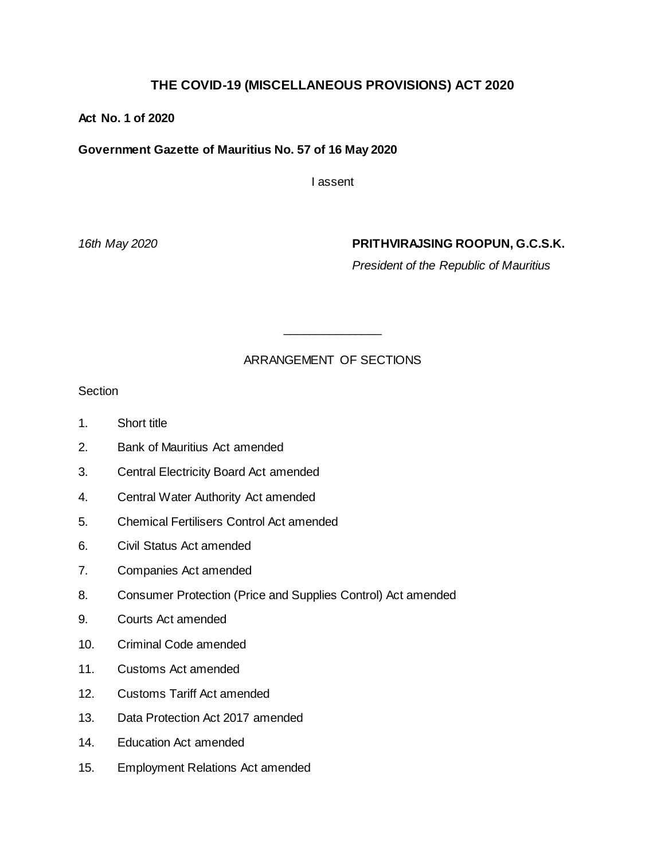# **THE COVID-19 (MISCELLANEOUS PROVISIONS) ACT 2020**

### **Act No. 1 of 2020**

### **Government Gazette of Mauritius No. 57 of 16 May 2020**

I assent

### *16th May 2020* **PRITHVIRAJSING ROOPUN, G.C.S.K.**

*President of the Republic of Mauritius*

### ARRANGEMENT OF SECTIONS

\_\_\_\_\_\_\_\_\_\_\_\_\_\_\_

**Section** 

- 1. Short title
- 2. Bank of Mauritius Act amended
- 3. Central Electricity Board Act amended
- 4. Central Water Authority Act amended
- 5. Chemical Fertilisers Control Act amended
- 6. Civil Status Act amended
- 7. Companies Act amended
- 8. Consumer Protection (Price and Supplies Control) Act amended
- 9. Courts Act amended
- 10. Criminal Code amended
- 11. Customs Act amended
- 12. Customs Tariff Act amended
- 13. Data Protection Act 2017 amended
- 14. Education Act amended
- 15. Employment Relations Act amended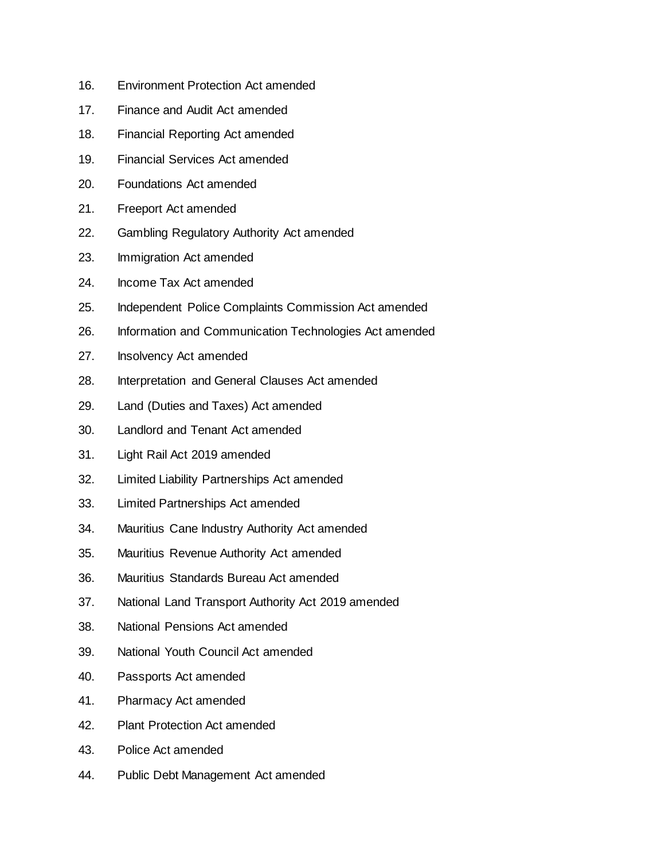- 16. Environment Protection Act amended
- 17. Finance and Audit Act amended
- 18. Financial Reporting Act amended
- 19. Financial Services Act amended
- 20. Foundations Act amended
- 21. Freeport Act amended
- 22. Gambling Regulatory Authority Act amended
- 23. Immigration Act amended
- 24. Income Tax Act amended
- 25. Independent Police Complaints Commission Act amended
- 26. Information and Communication Technologies Act amended
- 27. Insolvency Act amended
- 28. Interpretation and General Clauses Act amended
- 29. Land (Duties and Taxes) Act amended
- 30. Landlord and Tenant Act amended
- 31. Light Rail Act 2019 amended
- 32. Limited Liability Partnerships Act amended
- 33. Limited Partnerships Act amended
- 34. Mauritius Cane Industry Authority Act amended
- 35. Mauritius Revenue Authority Act amended
- 36. Mauritius Standards Bureau Act amended
- 37. National Land Transport Authority Act 2019 amended
- 38. National Pensions Act amended
- 39. National Youth Council Act amended
- 40. Passports Act amended
- 41. Pharmacy Act amended
- 42. Plant Protection Act amended
- 43. Police Act amended
- 44. Public Debt Management Act amended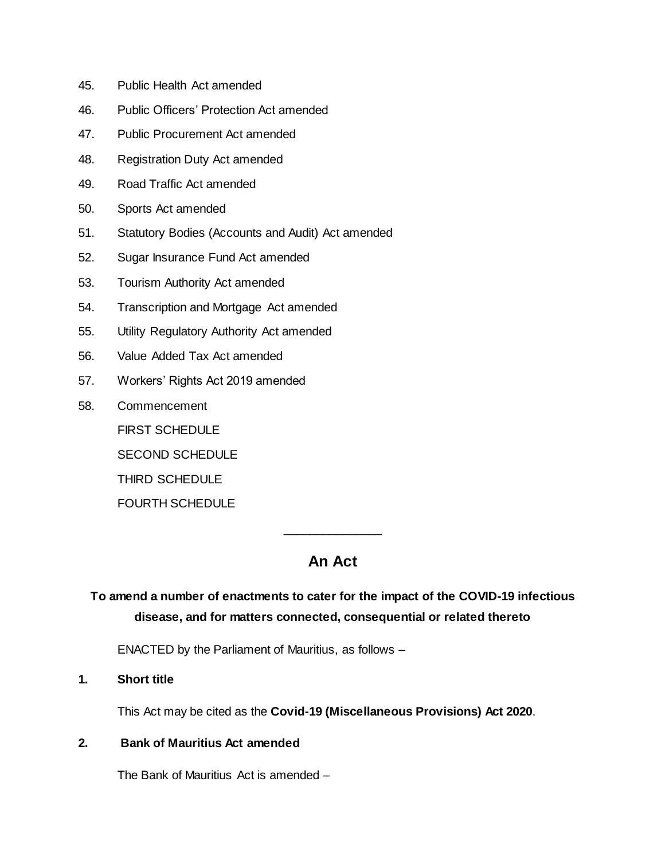- 45. Public Health Act amended
- 46. Public Officers' Protection Act amended
- 47. Public Procurement Act amended
- 48. Registration Duty Act amended
- 49. Road Traffic Act amended
- 50. Sports Act amended
- 51. Statutory Bodies (Accounts and Audit) Act amended
- 52. Sugar Insurance Fund Act amended
- 53. Tourism Authority Act amended
- 54. Transcription and Mortgage Act amended
- 55. Utility Regulatory Authority Act amended
- 56. Value Added Tax Act amended
- 57. Workers' Rights Act 2019 amended
- 58. Commencement
	- FIRST SCHEDULE
	- SECOND SCHEDULE
	- THIRD SCHEDULE

FOURTH SCHEDULE

# **An Act**

\_\_\_\_\_\_\_\_\_\_\_\_\_\_\_

# **To amend a number of enactments to cater for the impact of the COVID-19 infectious disease, and for matters connected, consequential or related thereto**

ENACTED by the Parliament of Mauritius, as follows –

**1. Short title**

This Act may be cited as the **Covid-19 (Miscellaneous Provisions) Act 2020**.

#### **2. Bank of Mauritius Act amended**

The Bank of Mauritius Act is amended –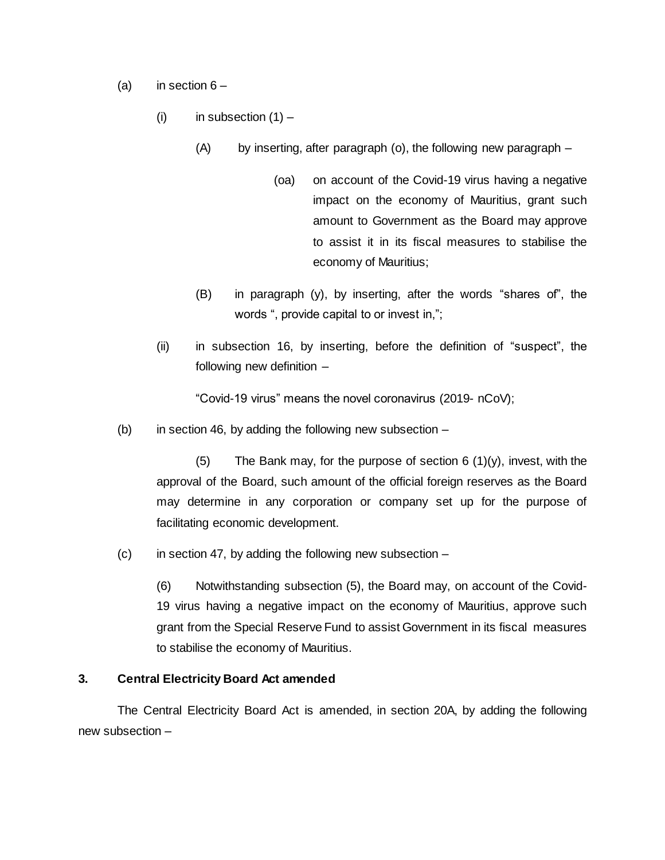- (a) in section  $6 -$ 
	- (i) in subsection  $(1)$ 
		- (A) by inserting, after paragraph (o), the following new paragraph
			- (oa) on account of the Covid-19 virus having a negative impact on the economy of Mauritius, grant such amount to Government as the Board may approve to assist it in its fiscal measures to stabilise the economy of Mauritius;
		- (B) in paragraph (y), by inserting, after the words "shares of", the words ", provide capital to or invest in,";
	- (ii) in subsection 16, by inserting, before the definition of "suspect", the following new definition –

"Covid-19 virus" means the novel coronavirus (2019- nCoV);

(b) in section 46, by adding the following new subsection  $-$ 

(5) The Bank may, for the purpose of section  $6(1)(y)$ , invest, with the approval of the Board, such amount of the official foreign reserves as the Board may determine in any corporation or company set up for the purpose of facilitating economic development.

 $(c)$  in section 47, by adding the following new subsection –

(6) Notwithstanding subsection (5), the Board may, on account of the Covid-19 virus having a negative impact on the economy of Mauritius, approve such grant from the Special Reserve Fund to assist Government in its fiscal measures to stabilise the economy of Mauritius.

### **3. Central Electricity Board Act amended**

The Central Electricity Board Act is amended, in section 20A, by adding the following new subsection –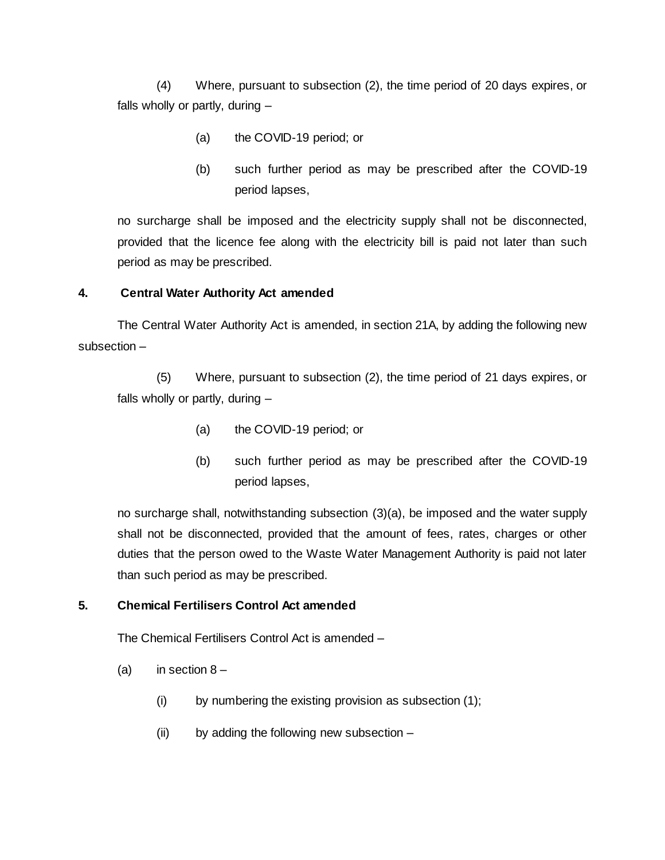(4) Where, pursuant to subsection (2), the time period of 20 days expires, or falls wholly or partly, during –

- (a) the COVID-19 period; or
- (b) such further period as may be prescribed after the COVID-19 period lapses,

no surcharge shall be imposed and the electricity supply shall not be disconnected, provided that the licence fee along with the electricity bill is paid not later than such period as may be prescribed.

### **4. Central Water Authority Act amended**

The Central Water Authority Act is amended, in section 21A, by adding the following new subsection –

(5) Where, pursuant to subsection (2), the time period of 21 days expires, or falls wholly or partly, during –

- (a) the COVID-19 period; or
- (b) such further period as may be prescribed after the COVID-19 period lapses,

no surcharge shall, notwithstanding subsection (3)(a), be imposed and the water supply shall not be disconnected, provided that the amount of fees, rates, charges or other duties that the person owed to the Waste Water Management Authority is paid not later than such period as may be prescribed.

# **5. Chemical Fertilisers Control Act amended**

The Chemical Fertilisers Control Act is amended –

- (a) in section  $8 -$ 
	- (i) by numbering the existing provision as subsection (1);
	- (ii) by adding the following new subsection –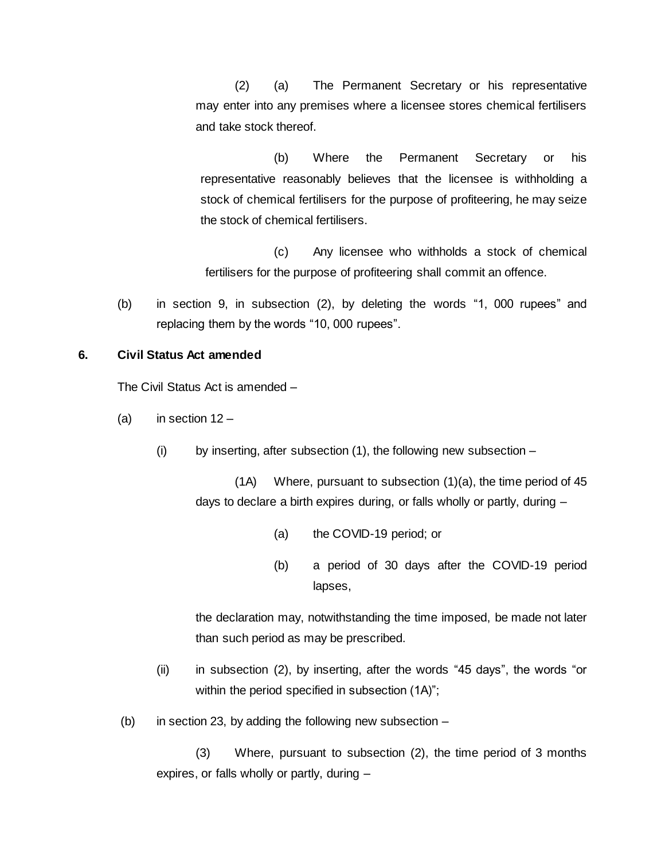(2) (a) The Permanent Secretary or his representative may enter into any premises where a licensee stores chemical fertilisers and take stock thereof.

(b) Where the Permanent Secretary or his representative reasonably believes that the licensee is withholding a stock of chemical fertilisers for the purpose of profiteering, he may seize the stock of chemical fertilisers.

(c) Any licensee who withholds a stock of chemical fertilisers for the purpose of profiteering shall commit an offence.

(b) in section 9, in subsection (2), by deleting the words "1, 000 rupees" and replacing them by the words "10, 000 rupees".

### **6. Civil Status Act amended**

The Civil Status Act is amended –

- (a) in section  $12 -$ 
	- (i) by inserting, after subsection (1), the following new subsection –

(1A) Where, pursuant to subsection (1)(a), the time period of 45 days to declare a birth expires during, or falls wholly or partly, during –

- (a) the COVID-19 period; or
- (b) a period of 30 days after the COVID-19 period lapses,

the declaration may, notwithstanding the time imposed, be made not later than such period as may be prescribed.

- (ii) in subsection (2), by inserting, after the words "45 days", the words "or within the period specified in subsection  $(1A)$ ";
- (b) in section 23, by adding the following new subsection –

(3) Where, pursuant to subsection (2), the time period of 3 months expires, or falls wholly or partly, during –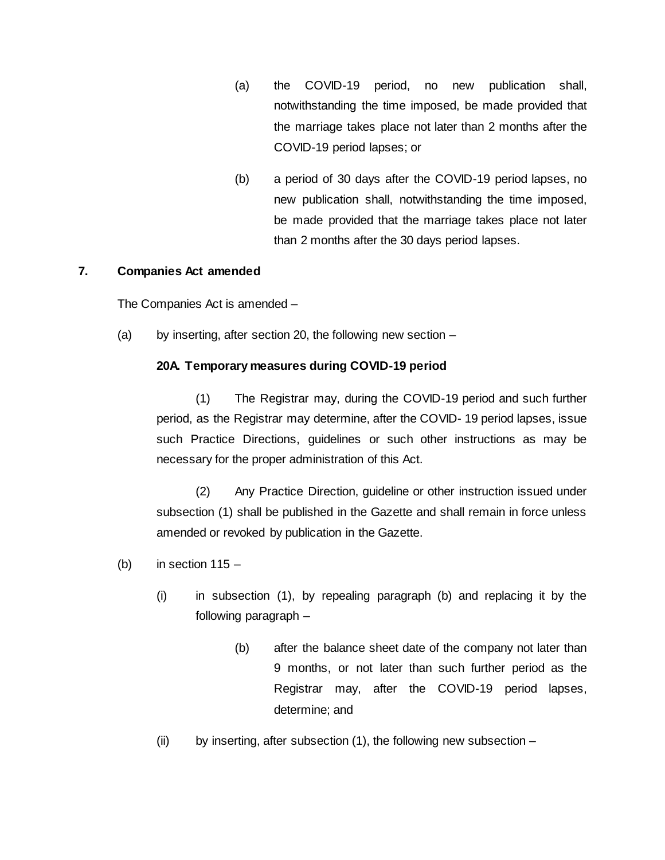- (a) the COVID-19 period, no new publication shall, notwithstanding the time imposed, be made provided that the marriage takes place not later than 2 months after the COVID-19 period lapses; or
- (b) a period of 30 days after the COVID-19 period lapses, no new publication shall, notwithstanding the time imposed, be made provided that the marriage takes place not later than 2 months after the 30 days period lapses.

### **7. Companies Act amended**

The Companies Act is amended –

(a) by inserting, after section 20, the following new section –

### **20A. Temporary measures during COVID-19 period**

(1) The Registrar may, during the COVID-19 period and such further period, as the Registrar may determine, after the COVID- 19 period lapses, issue such Practice Directions, guidelines or such other instructions as may be necessary for the proper administration of this Act.

(2) Any Practice Direction, guideline or other instruction issued under subsection (1) shall be published in the Gazette and shall remain in force unless amended or revoked by publication in the Gazette.

- (b) in section  $115 -$ 
	- (i) in subsection (1), by repealing paragraph (b) and replacing it by the following paragraph –
		- (b) after the balance sheet date of the company not later than 9 months, or not later than such further period as the Registrar may, after the COVID-19 period lapses, determine; and
	- (ii) by inserting, after subsection (1), the following new subsection –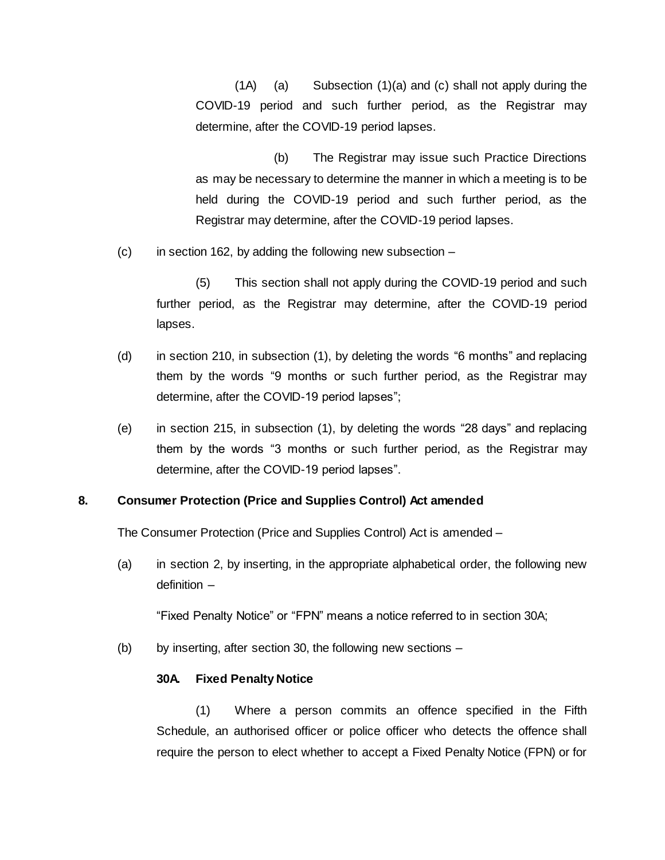(1A) (a) Subsection (1)(a) and (c) shall not apply during the COVID-19 period and such further period, as the Registrar may determine, after the COVID-19 period lapses.

(b) The Registrar may issue such Practice Directions as may be necessary to determine the manner in which a meeting is to be held during the COVID-19 period and such further period, as the Registrar may determine, after the COVID-19 period lapses.

 $(c)$  in section 162, by adding the following new subsection  $-\frac{1}{2}$ 

(5) This section shall not apply during the COVID-19 period and such further period, as the Registrar may determine, after the COVID-19 period lapses.

- (d) in section 210, in subsection (1), by deleting the words "6 months" and replacing them by the words "9 months or such further period, as the Registrar may determine, after the COVID-19 period lapses";
- (e) in section 215, in subsection (1), by deleting the words "28 days" and replacing them by the words "3 months or such further period, as the Registrar may determine, after the COVID-19 period lapses".

### **8. Consumer Protection (Price and Supplies Control) Act amended**

The Consumer Protection (Price and Supplies Control) Act is amended –

(a) in section 2, by inserting, in the appropriate alphabetical order, the following new definition –

"Fixed Penalty Notice" or "FPN" means a notice referred to in section 30A;

(b) by inserting, after section 30, the following new sections –

#### **30A. Fixed Penalty Notice**

(1) Where a person commits an offence specified in the Fifth Schedule, an authorised officer or police officer who detects the offence shall require the person to elect whether to accept a Fixed Penalty Notice (FPN) or for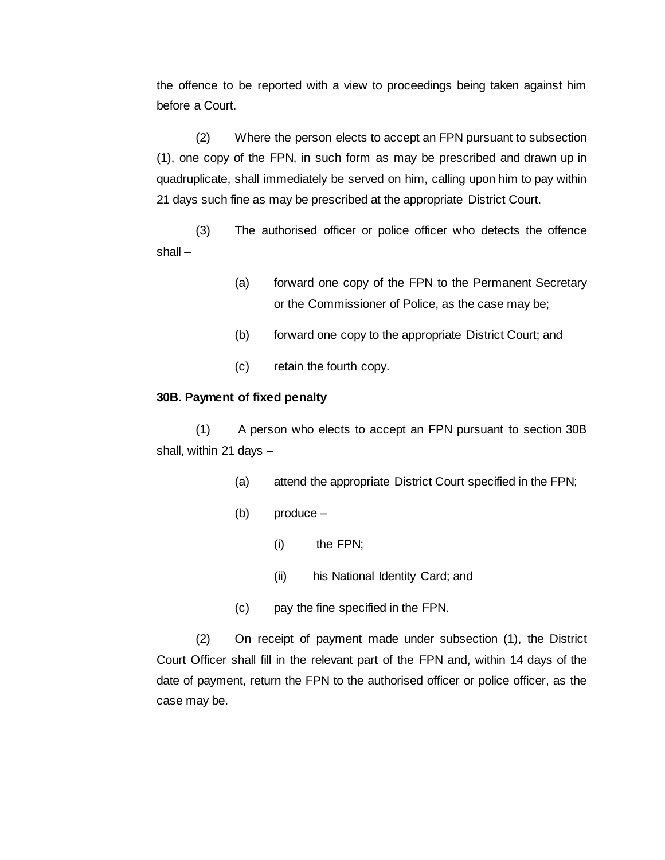the offence to be reported with a view to proceedings being taken against him before a Court.

(2) Where the person elects to accept an FPN pursuant to subsection (1), one copy of the FPN, in such form as may be prescribed and drawn up in quadruplicate, shall immediately be served on him, calling upon him to pay within 21 days such fine as may be prescribed at the appropriate District Court.

(3) The authorised officer or police officer who detects the offence shall –

- (a) forward one copy of the FPN to the Permanent Secretary or the Commissioner of Police, as the case may be;
- (b) forward one copy to the appropriate District Court; and
- (c) retain the fourth copy.

### **30B. Payment of fixed penalty**

(1) A person who elects to accept an FPN pursuant to section 30B shall, within 21 days –

- (a) attend the appropriate District Court specified in the FPN;
- (b) produce
	- (i) the FPN;
	- (ii) his National Identity Card; and
- (c) pay the fine specified in the FPN.

(2) On receipt of payment made under subsection (1), the District Court Officer shall fill in the relevant part of the FPN and, within 14 days of the date of payment, return the FPN to the authorised officer or police officer, as the case may be.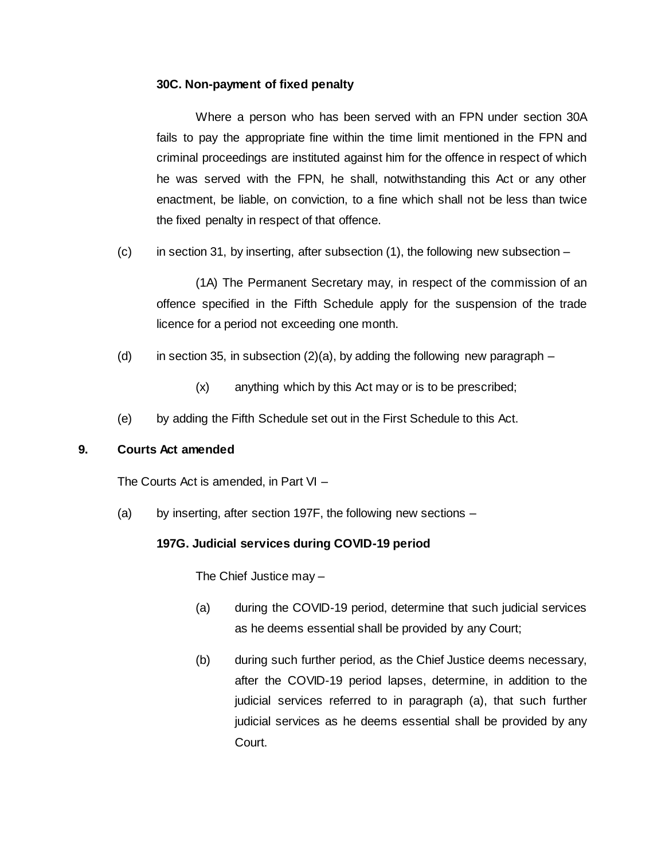### **30C. Non-payment of fixed penalty**

Where a person who has been served with an FPN under section 30A fails to pay the appropriate fine within the time limit mentioned in the FPN and criminal proceedings are instituted against him for the offence in respect of which he was served with the FPN, he shall, notwithstanding this Act or any other enactment, be liable, on conviction, to a fine which shall not be less than twice the fixed penalty in respect of that offence.

 $(c)$  in section 31, by inserting, after subsection  $(1)$ , the following new subsection –

(1A) The Permanent Secretary may, in respect of the commission of an offence specified in the Fifth Schedule apply for the suspension of the trade licence for a period not exceeding one month.

- (d) in section 35, in subsection  $(2)(a)$ , by adding the following new paragraph
	- (x) anything which by this Act may or is to be prescribed;
- (e) by adding the Fifth Schedule set out in the First Schedule to this Act.

### **9. Courts Act amended**

The Courts Act is amended, in Part VI –

(a) by inserting, after section 197F, the following new sections –

# **197G. Judicial services during COVID-19 period**

The Chief Justice may –

- (a) during the COVID-19 period, determine that such judicial services as he deems essential shall be provided by any Court;
- (b) during such further period, as the Chief Justice deems necessary, after the COVID-19 period lapses, determine, in addition to the judicial services referred to in paragraph (a), that such further judicial services as he deems essential shall be provided by any Court.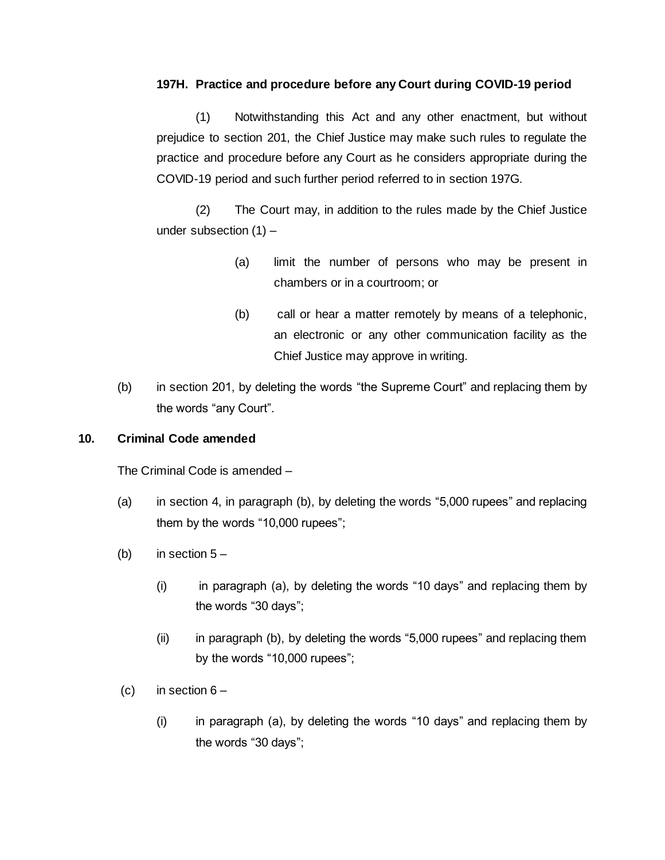### **197H. Practice and procedure before any Court during COVID-19 period**

(1) Notwithstanding this Act and any other enactment, but without prejudice to section 201, the Chief Justice may make such rules to regulate the practice and procedure before any Court as he considers appropriate during the COVID-19 period and such further period referred to in section 197G.

(2) The Court may, in addition to the rules made by the Chief Justice under subsection (1) –

- (a) limit the number of persons who may be present in chambers or in a courtroom; or
- (b) call or hear a matter remotely by means of a telephonic, an electronic or any other communication facility as the Chief Justice may approve in writing.
- (b) in section 201, by deleting the words "the Supreme Court" and replacing them by the words "any Court".

# **10. Criminal Code amended**

The Criminal Code is amended –

- (a) in section 4, in paragraph (b), by deleting the words "5,000 rupees" and replacing them by the words "10,000 rupees";
- (b) in section  $5 -$ 
	- (i) in paragraph (a), by deleting the words "10 days" and replacing them by the words "30 days";
	- (ii) in paragraph (b), by deleting the words "5,000 rupees" and replacing them by the words "10,000 rupees";
- (c) in section  $6 -$ 
	- (i) in paragraph (a), by deleting the words "10 days" and replacing them by the words "30 days";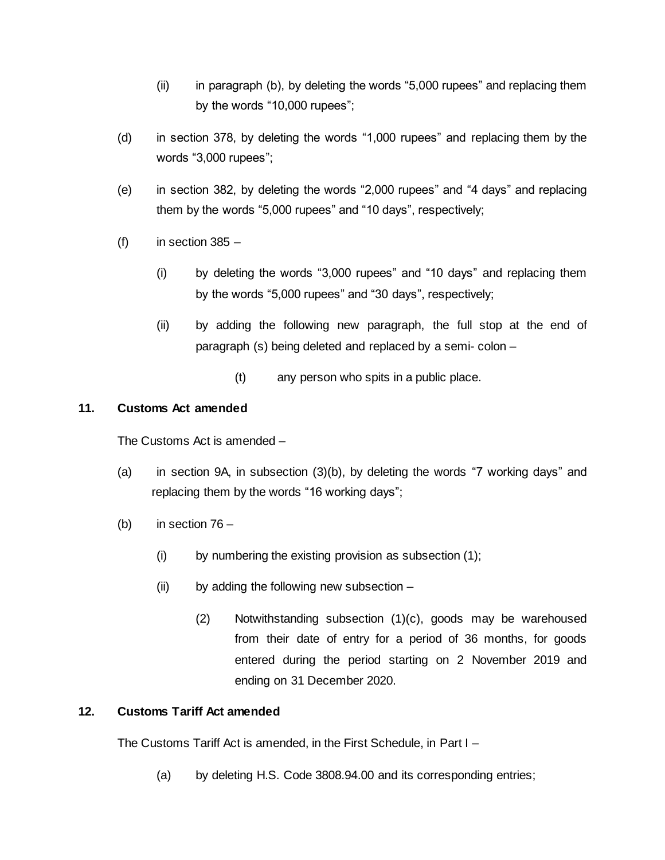- (ii) in paragraph (b), by deleting the words "5,000 rupees" and replacing them by the words "10,000 rupees";
- (d) in section 378, by deleting the words "1,000 rupees" and replacing them by the words "3,000 rupees";
- (e) in section 382, by deleting the words "2,000 rupees" and "4 days" and replacing them by the words "5,000 rupees" and "10 days", respectively;
- $(f)$  in section 385
	- (i) by deleting the words "3,000 rupees" and "10 days" and replacing them by the words "5,000 rupees" and "30 days", respectively;
	- (ii) by adding the following new paragraph, the full stop at the end of paragraph (s) being deleted and replaced by a semi- colon –
		- (t) any person who spits in a public place.

### **11. Customs Act amended**

The Customs Act is amended –

- (a) in section 9A, in subsection (3)(b), by deleting the words "7 working days" and replacing them by the words "16 working days";
- (b) in section 76
	- $(i)$  by numbering the existing provision as subsection  $(1)$ ;
	- (ii) by adding the following new subsection
		- (2) Notwithstanding subsection (1)(c), goods may be warehoused from their date of entry for a period of 36 months, for goods entered during the period starting on 2 November 2019 and ending on 31 December 2020.

# **12. Customs Tariff Act amended**

The Customs Tariff Act is amended, in the First Schedule, in Part I –

(a) by deleting H.S. Code 3808.94.00 and its corresponding entries;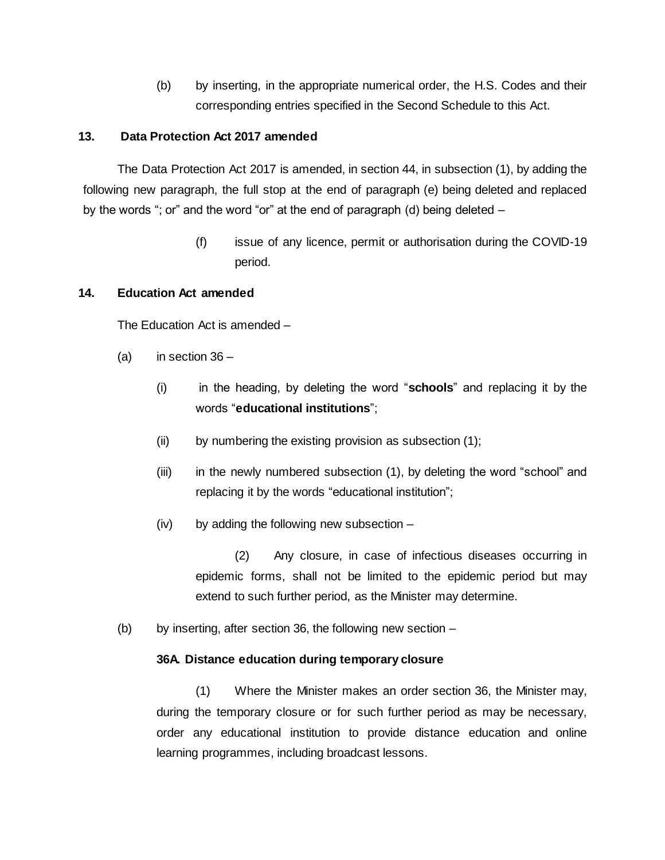(b) by inserting, in the appropriate numerical order, the H.S. Codes and their corresponding entries specified in the Second Schedule to this Act.

### **13. Data Protection Act 2017 amended**

The Data Protection Act 2017 is amended, in section 44, in subsection (1), by adding the following new paragraph, the full stop at the end of paragraph (e) being deleted and replaced by the words "; or" and the word "or" at the end of paragraph (d) being deleted –

> (f) issue of any licence, permit or authorisation during the COVID-19 period.

### **14. Education Act amended**

The Education Act is amended –

- (a) in section  $36 -$ 
	- (i) in the heading, by deleting the word "**schools**" and replacing it by the words "**educational institutions**";
	- (ii) by numbering the existing provision as subsection (1);
	- (iii) in the newly numbered subsection (1), by deleting the word "school" and replacing it by the words "educational institution";
	- (iv) by adding the following new subsection –

(2) Any closure, in case of infectious diseases occurring in epidemic forms, shall not be limited to the epidemic period but may extend to such further period, as the Minister may determine.

(b) by inserting, after section 36, the following new section  $-$ 

### **36A. Distance education during temporary closure**

(1) Where the Minister makes an order section 36, the Minister may, during the temporary closure or for such further period as may be necessary, order any educational institution to provide distance education and online learning programmes, including broadcast lessons.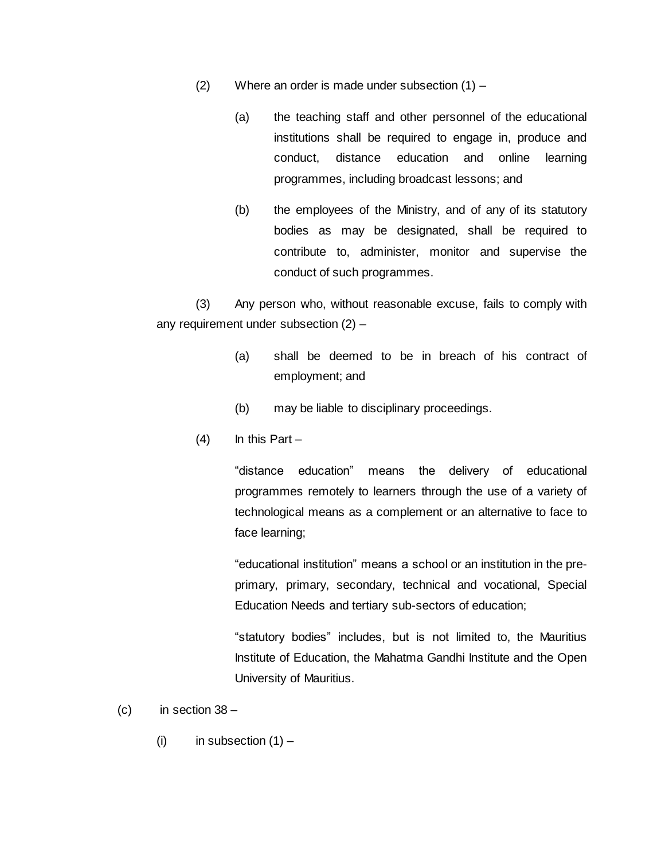- (2) Where an order is made under subsection (1)
	- (a) the teaching staff and other personnel of the educational institutions shall be required to engage in, produce and conduct, distance education and online learning programmes, including broadcast lessons; and
	- (b) the employees of the Ministry, and of any of its statutory bodies as may be designated, shall be required to contribute to, administer, monitor and supervise the conduct of such programmes.

(3) Any person who, without reasonable excuse, fails to comply with any requirement under subsection (2) –

- (a) shall be deemed to be in breach of his contract of employment; and
- (b) may be liable to disciplinary proceedings.
- $(4)$  In this Part –

"distance education" means the delivery of educational programmes remotely to learners through the use of a variety of technological means as a complement or an alternative to face to face learning;

"educational institution" means a school or an institution in the preprimary, primary, secondary, technical and vocational, Special Education Needs and tertiary sub-sectors of education;

"statutory bodies" includes, but is not limited to, the Mauritius Institute of Education, the Mahatma Gandhi Institute and the Open University of Mauritius.

- $(c)$  in section  $38 -$ 
	- (i) in subsection  $(1)$  –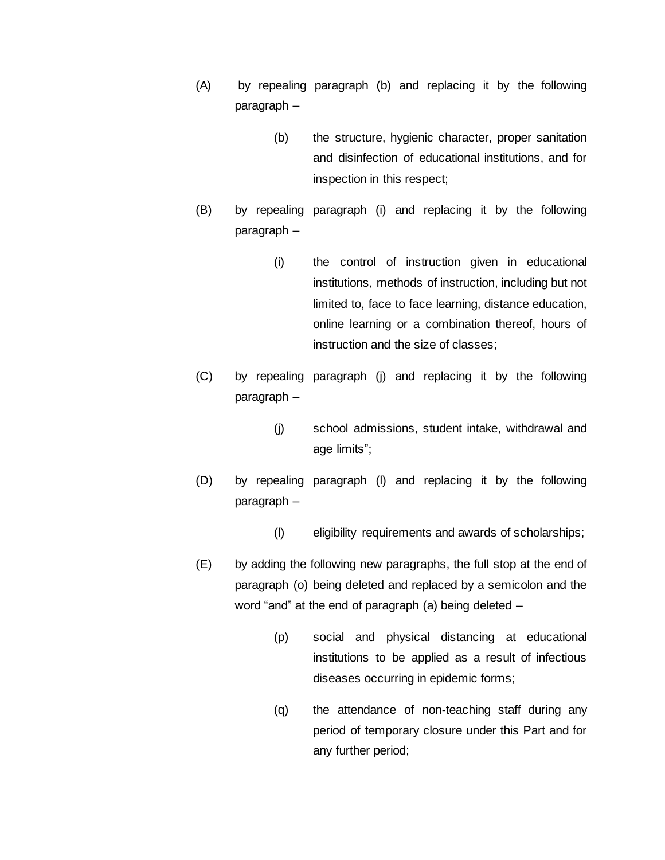- (A) by repealing paragraph (b) and replacing it by the following paragraph –
	- (b) the structure, hygienic character, proper sanitation and disinfection of educational institutions, and for inspection in this respect;
- (B) by repealing paragraph (i) and replacing it by the following paragraph –
	- (i) the control of instruction given in educational institutions, methods of instruction, including but not limited to, face to face learning, distance education, online learning or a combination thereof, hours of instruction and the size of classes;
- (C) by repealing paragraph (j) and replacing it by the following paragraph –
	- (j) school admissions, student intake, withdrawal and age limits";
- (D) by repealing paragraph (l) and replacing it by the following paragraph –
	- (l) eligibility requirements and awards of scholarships;
- (E) by adding the following new paragraphs, the full stop at the end of paragraph (o) being deleted and replaced by a semicolon and the word "and" at the end of paragraph (a) being deleted –
	- (p) social and physical distancing at educational institutions to be applied as a result of infectious diseases occurring in epidemic forms;
	- (q) the attendance of non-teaching staff during any period of temporary closure under this Part and for any further period;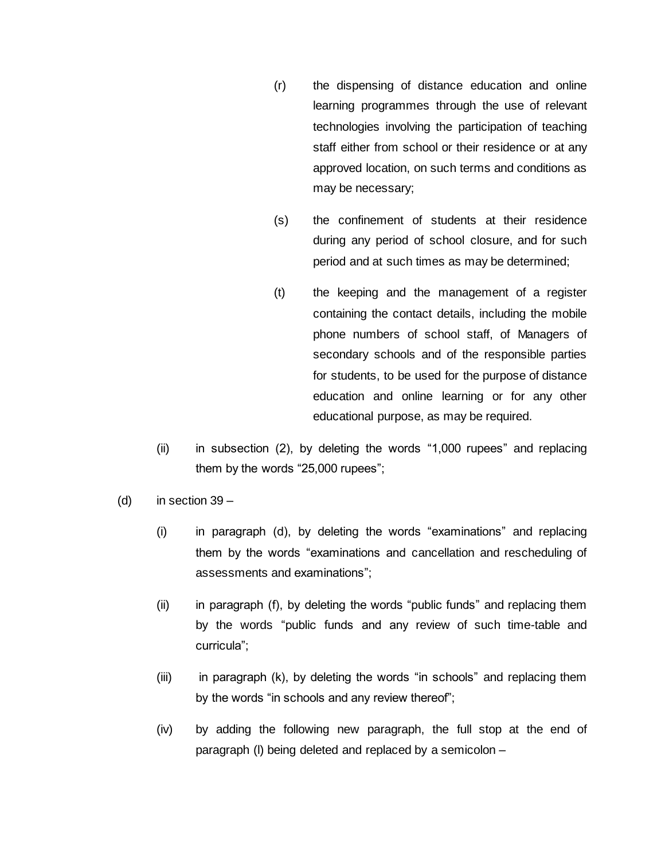- (r) the dispensing of distance education and online learning programmes through the use of relevant technologies involving the participation of teaching staff either from school or their residence or at any approved location, on such terms and conditions as may be necessary;
- (s) the confinement of students at their residence during any period of school closure, and for such period and at such times as may be determined;
- (t) the keeping and the management of a register containing the contact details, including the mobile phone numbers of school staff, of Managers of secondary schools and of the responsible parties for students, to be used for the purpose of distance education and online learning or for any other educational purpose, as may be required.
- (ii) in subsection (2), by deleting the words "1,000 rupees" and replacing them by the words "25,000 rupees";
- (d) in section  $39 -$ 
	- (i) in paragraph (d), by deleting the words "examinations" and replacing them by the words "examinations and cancellation and rescheduling of assessments and examinations";
	- (ii) in paragraph (f), by deleting the words "public funds" and replacing them by the words "public funds and any review of such time-table and curricula";
	- (iii) in paragraph (k), by deleting the words "in schools" and replacing them by the words "in schools and any review thereof";
	- (iv) by adding the following new paragraph, the full stop at the end of paragraph (l) being deleted and replaced by a semicolon –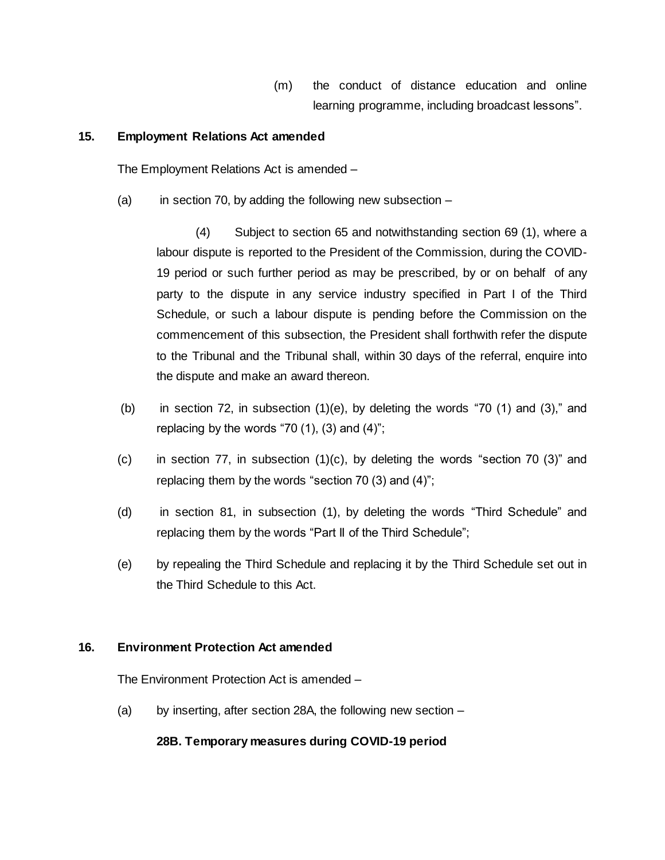(m) the conduct of distance education and online learning programme, including broadcast lessons".

#### **15. Employment Relations Act amended**

The Employment Relations Act is amended –

(a) in section 70, by adding the following new subsection  $-$ 

(4) Subject to section 65 and notwithstanding section 69 (1), where a labour dispute is reported to the President of the Commission, during the COVID-19 period or such further period as may be prescribed, by or on behalf of any party to the dispute in any service industry specified in Part I of the Third Schedule, or such a labour dispute is pending before the Commission on the commencement of this subsection, the President shall forthwith refer the dispute to the Tribunal and the Tribunal shall, within 30 days of the referral, enquire into the dispute and make an award thereon.

- (b) in section 72, in subsection  $(1)(e)$ , by deleting the words "70  $(1)$  and  $(3)$ ," and replacing by the words "70 $(1)$ ,  $(3)$  and  $(4)$ ";
- $(c)$  in section 77, in subsection  $(1)(c)$ , by deleting the words "section 70  $(3)$ " and replacing them by the words "section 70 (3) and (4)";
- (d) in section 81, in subsection (1), by deleting the words "Third Schedule" and replacing them by the words "Part II of the Third Schedule";
- (e) by repealing the Third Schedule and replacing it by the Third Schedule set out in the Third Schedule to this Act.

### **16. Environment Protection Act amended**

The Environment Protection Act is amended –

(a) by inserting, after section 28A, the following new section –

### **28B. Temporary measures during COVID-19 period**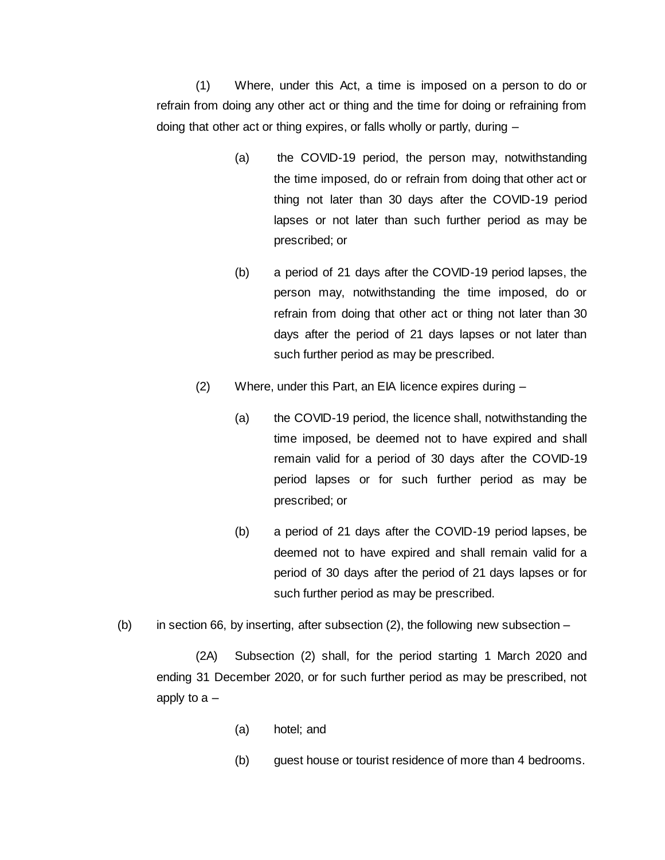(1) Where, under this Act, a time is imposed on a person to do or refrain from doing any other act or thing and the time for doing or refraining from doing that other act or thing expires, or falls wholly or partly, during –

- (a) the COVID-19 period, the person may, notwithstanding the time imposed, do or refrain from doing that other act or thing not later than 30 days after the COVID-19 period lapses or not later than such further period as may be prescribed; or
- (b) a period of 21 days after the COVID-19 period lapses, the person may, notwithstanding the time imposed, do or refrain from doing that other act or thing not later than 30 days after the period of 21 days lapses or not later than such further period as may be prescribed.
- (2) Where, under this Part, an EIA licence expires during
	- (a) the COVID-19 period, the licence shall, notwithstanding the time imposed, be deemed not to have expired and shall remain valid for a period of 30 days after the COVID-19 period lapses or for such further period as may be prescribed; or
	- (b) a period of 21 days after the COVID-19 period lapses, be deemed not to have expired and shall remain valid for a period of 30 days after the period of 21 days lapses or for such further period as may be prescribed.
- (b) in section 66, by inserting, after subsection  $(2)$ , the following new subsection  $-$

(2A) Subsection (2) shall, for the period starting 1 March 2020 and ending 31 December 2020, or for such further period as may be prescribed, not apply to  $a -$ 

- (a) hotel; and
- (b) guest house or tourist residence of more than 4 bedrooms.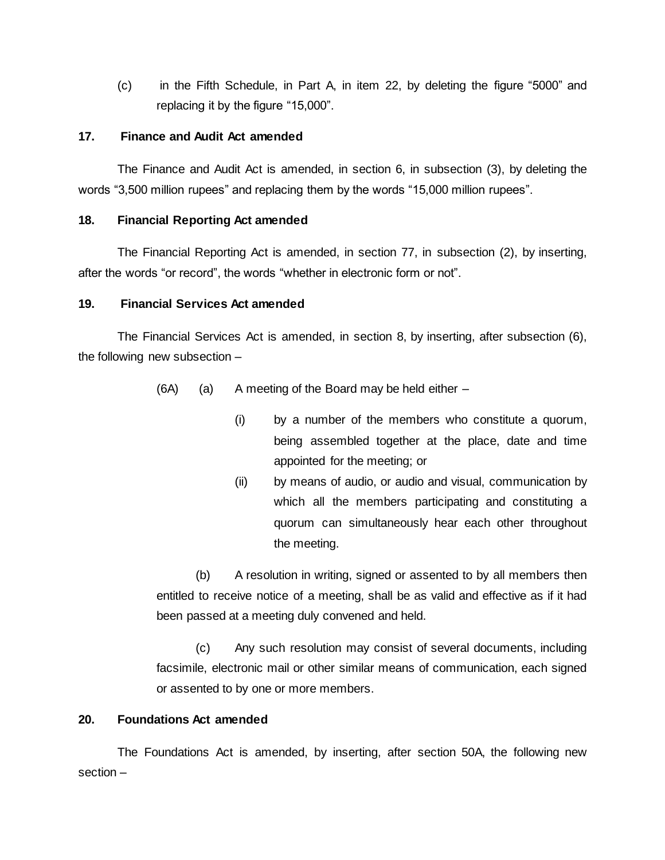(c) in the Fifth Schedule, in Part A, in item 22, by deleting the figure "5000" and replacing it by the figure "15,000".

### **17. Finance and Audit Act amended**

The Finance and Audit Act is amended, in section 6, in subsection (3), by deleting the words "3,500 million rupees" and replacing them by the words "15,000 million rupees".

### **18. Financial Reporting Act amended**

The Financial Reporting Act is amended, in section 77, in subsection (2), by inserting, after the words "or record", the words "whether in electronic form or not".

### **19. Financial Services Act amended**

The Financial Services Act is amended, in section 8, by inserting, after subsection (6), the following new subsection –

- $(6A)$  (a) A meeting of the Board may be held either  $-$ 
	- (i) by a number of the members who constitute a quorum, being assembled together at the place, date and time appointed for the meeting; or
	- (ii) by means of audio, or audio and visual, communication by which all the members participating and constituting a quorum can simultaneously hear each other throughout the meeting.

(b) A resolution in writing, signed or assented to by all members then entitled to receive notice of a meeting, shall be as valid and effective as if it had been passed at a meeting duly convened and held.

(c) Any such resolution may consist of several documents, including facsimile, electronic mail or other similar means of communication, each signed or assented to by one or more members.

# **20. Foundations Act amended**

The Foundations Act is amended, by inserting, after section 50A, the following new section –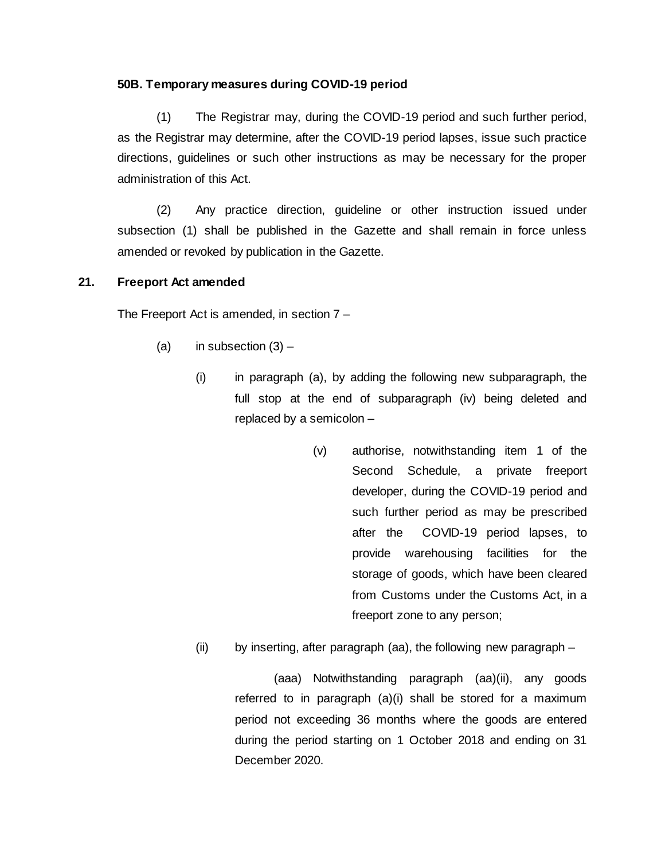### **50B. Temporary measures during COVID-19 period**

(1) The Registrar may, during the COVID-19 period and such further period, as the Registrar may determine, after the COVID-19 period lapses, issue such practice directions, guidelines or such other instructions as may be necessary for the proper administration of this Act.

(2) Any practice direction, guideline or other instruction issued under subsection (1) shall be published in the Gazette and shall remain in force unless amended or revoked by publication in the Gazette.

### **21. Freeport Act amended**

The Freeport Act is amended, in section 7 –

- (a) in subsection  $(3)$ 
	- $(i)$  in paragraph  $(a)$ , by adding the following new subparagraph, the full stop at the end of subparagraph (iv) being deleted and replaced by a semicolon –
		- (v) authorise, notwithstanding item 1 of the Second Schedule, a private freeport developer, during the COVID-19 period and such further period as may be prescribed after the COVID-19 period lapses, to provide warehousing facilities for the storage of goods, which have been cleared from Customs under the Customs Act, in a freeport zone to any person;
	- (ii) by inserting, after paragraph (aa), the following new paragraph –

(aaa) Notwithstanding paragraph (aa)(ii), any goods referred to in paragraph (a)(i) shall be stored for a maximum period not exceeding 36 months where the goods are entered during the period starting on 1 October 2018 and ending on 31 December 2020.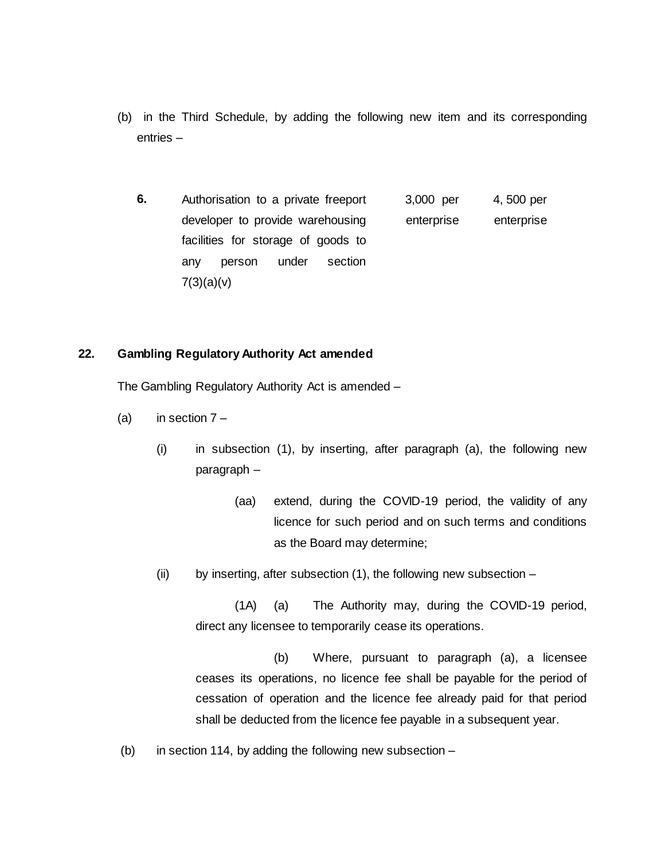- (b) in the Third Schedule, by adding the following new item and its corresponding entries –
	- **6.** Authorisation to a private freeport developer to provide warehousing facilities for storage of goods to any person under section  $7(3)(a)(v)$ 3,000 per enterprise 4, 500 per enterprise

#### **22. Gambling Regulatory Authority Act amended**

The Gambling Regulatory Authority Act is amended –

- (a) in section  $7 -$ 
	- (i) in subsection (1), by inserting, after paragraph (a), the following new paragraph –
		- (aa) extend, during the COVID-19 period, the validity of any licence for such period and on such terms and conditions as the Board may determine;
	- (ii) by inserting, after subsection (1), the following new subsection –

(1A) (a) The Authority may, during the COVID-19 period, direct any licensee to temporarily cease its operations.

(b) Where, pursuant to paragraph (a), a licensee ceases its operations, no licence fee shall be payable for the period of cessation of operation and the licence fee already paid for that period shall be deducted from the licence fee payable in a subsequent year.

(b) in section 114, by adding the following new subsection –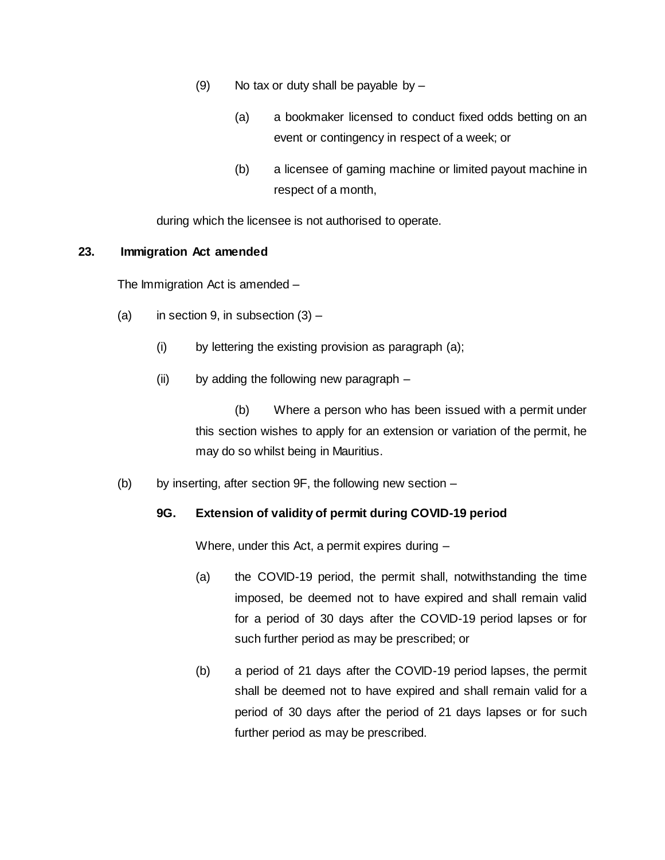- (9) No tax or duty shall be payable by  $-$ 
	- (a) a bookmaker licensed to conduct fixed odds betting on an event or contingency in respect of a week; or
	- (b) a licensee of gaming machine or limited payout machine in respect of a month,

during which the licensee is not authorised to operate.

### **23. Immigration Act amended**

The Immigration Act is amended –

- (a) in section 9, in subsection  $(3)$ 
	- (i) by lettering the existing provision as paragraph (a);
	- (ii) by adding the following new paragraph –

(b) Where a person who has been issued with a permit under this section wishes to apply for an extension or variation of the permit, he may do so whilst being in Mauritius.

(b) by inserting, after section 9F, the following new section –

# **9G. Extension of validity of permit during COVID-19 period**

Where, under this Act, a permit expires during –

- (a) the COVID-19 period, the permit shall, notwithstanding the time imposed, be deemed not to have expired and shall remain valid for a period of 30 days after the COVID-19 period lapses or for such further period as may be prescribed; or
- (b) a period of 21 days after the COVID-19 period lapses, the permit shall be deemed not to have expired and shall remain valid for a period of 30 days after the period of 21 days lapses or for such further period as may be prescribed.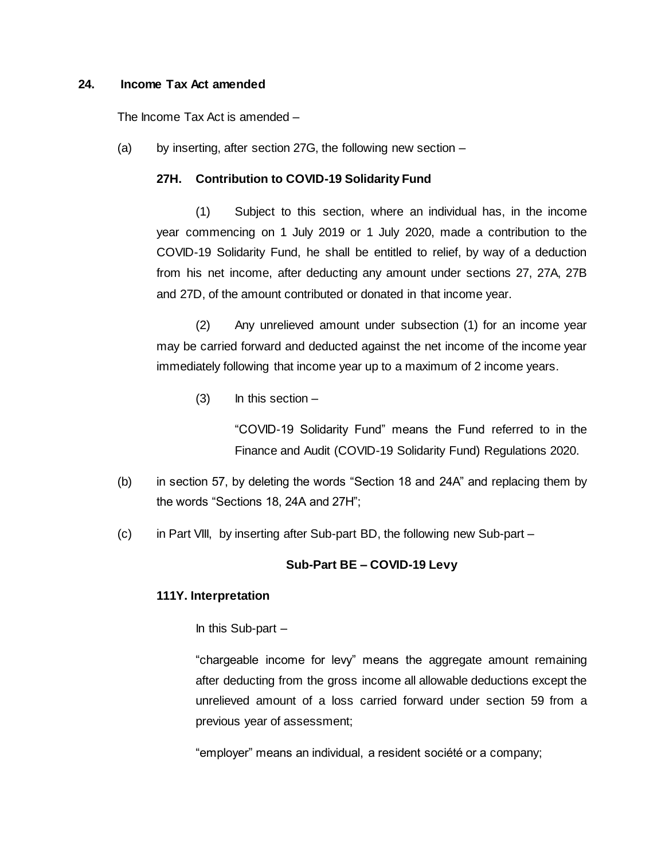#### **24. Income Tax Act amended**

The Income Tax Act is amended –

(a) by inserting, after section 27G, the following new section –

### **27H. Contribution to COVID-19 Solidarity Fund**

(1) Subject to this section, where an individual has, in the income year commencing on 1 July 2019 or 1 July 2020, made a contribution to the COVID-19 Solidarity Fund, he shall be entitled to relief, by way of a deduction from his net income, after deducting any amount under sections 27, 27A, 27B and 27D, of the amount contributed or donated in that income year.

(2) Any unrelieved amount under subsection (1) for an income year may be carried forward and deducted against the net income of the income year immediately following that income year up to a maximum of 2 income years.

 $(3)$  In this section –

"COVID-19 Solidarity Fund" means the Fund referred to in the Finance and Audit (COVID-19 Solidarity Fund) Regulations 2020.

- (b) in section 57, by deleting the words "Section 18 and 24A" and replacing them by the words "Sections 18, 24A and 27H";
- (c) in Part VIII, by inserting after Sub-part BD, the following new Sub-part –

### **Sub-Part BE – COVID-19 Levy**

#### **111Y. Interpretation**

In this Sub-part –

"chargeable income for levy" means the aggregate amount remaining after deducting from the gross income all allowable deductions except the unrelieved amount of a loss carried forward under section 59 from a previous year of assessment;

"employer" means an individual, a resident société or a company;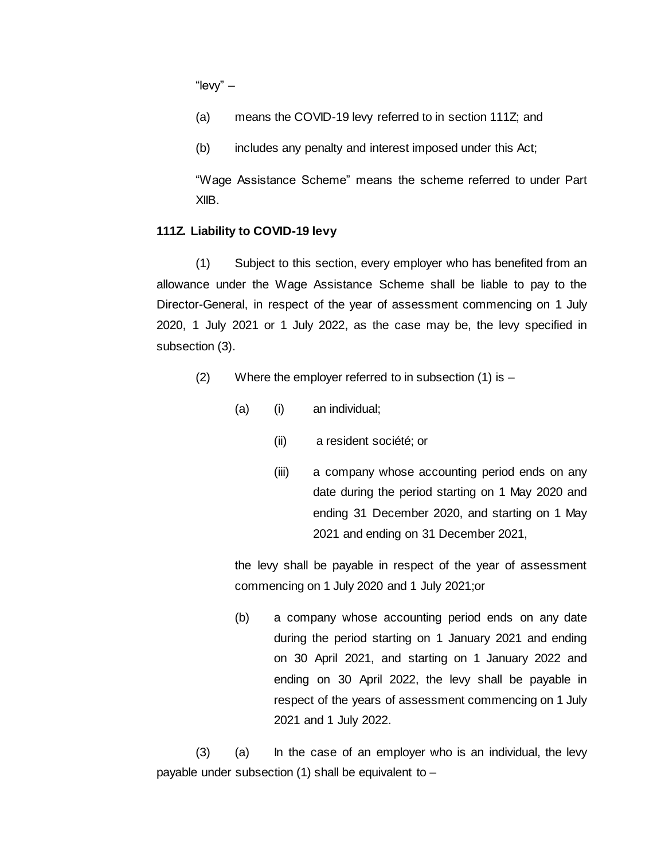"levy" –

(a) means the COVID-19 levy referred to in section 111Z; and

(b) includes any penalty and interest imposed under this Act;

"Wage Assistance Scheme" means the scheme referred to under Part XIIB.

### **111Z. Liability to COVID-19 levy**

(1) Subject to this section, every employer who has benefited from an allowance under the Wage Assistance Scheme shall be liable to pay to the Director-General, in respect of the year of assessment commencing on 1 July 2020, 1 July 2021 or 1 July 2022, as the case may be, the levy specified in subsection (3).

- (2) Where the employer referred to in subsection (1) is
	- (a) (i) an individual;
		- (ii) a resident société; or
		- (iii) a company whose accounting period ends on any date during the period starting on 1 May 2020 and ending 31 December 2020, and starting on 1 May 2021 and ending on 31 December 2021,

the levy shall be payable in respect of the year of assessment commencing on 1 July 2020 and 1 July 2021;or

(b) a company whose accounting period ends on any date during the period starting on 1 January 2021 and ending on 30 April 2021, and starting on 1 January 2022 and ending on 30 April 2022, the levy shall be payable in respect of the years of assessment commencing on 1 July 2021 and 1 July 2022.

(3) (a) In the case of an employer who is an individual, the levy payable under subsection (1) shall be equivalent to –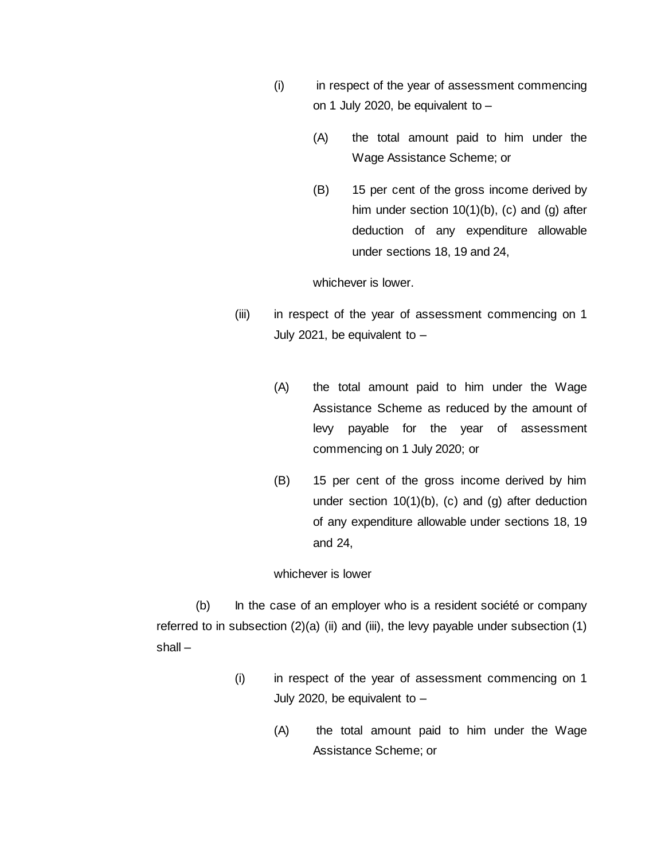- (i) in respect of the year of assessment commencing on 1 July 2020, be equivalent to –
	- (A) the total amount paid to him under the Wage Assistance Scheme; or
	- (B) 15 per cent of the gross income derived by him under section 10(1)(b), (c) and (g) after deduction of any expenditure allowable under sections 18, 19 and 24,

whichever is lower.

- (iii) in respect of the year of assessment commencing on 1 July 2021, be equivalent to  $-$ 
	- (A) the total amount paid to him under the Wage Assistance Scheme as reduced by the amount of levy payable for the year of assessment commencing on 1 July 2020; or
	- (B) 15 per cent of the gross income derived by him under section 10(1)(b), (c) and (g) after deduction of any expenditure allowable under sections 18, 19 and 24,

#### whichever is lower

(b) In the case of an employer who is a resident société or company referred to in subsection (2)(a) (ii) and (iii), the levy payable under subsection (1) shall –

- (i) in respect of the year of assessment commencing on 1 July 2020, be equivalent to –
	- (A) the total amount paid to him under the Wage Assistance Scheme; or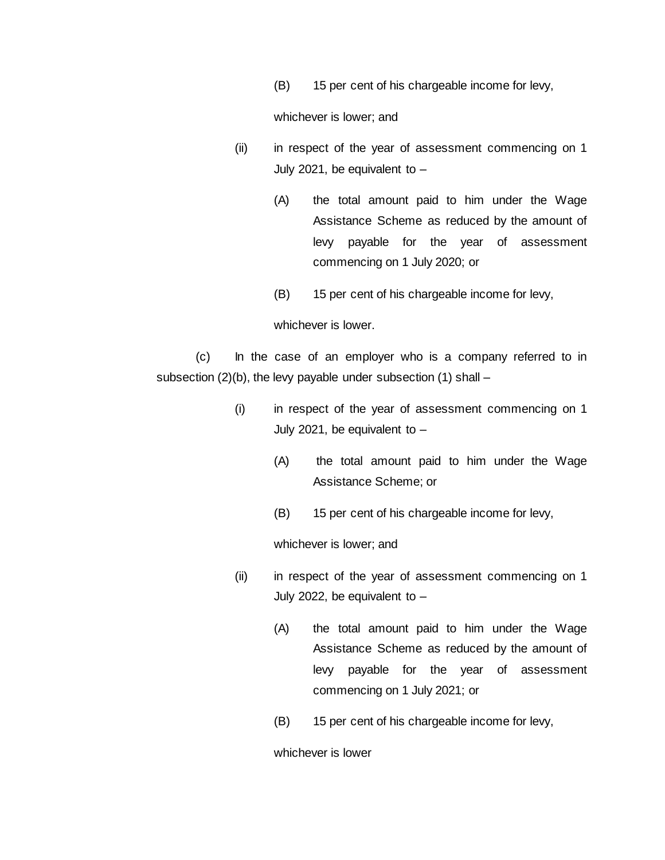(B) 15 per cent of his chargeable income for levy,

whichever is lower; and

- (ii) in respect of the year of assessment commencing on 1 July 2021, be equivalent to –
	- (A) the total amount paid to him under the Wage Assistance Scheme as reduced by the amount of levy payable for the year of assessment commencing on 1 July 2020; or
	- (B) 15 per cent of his chargeable income for levy,

whichever is lower.

(c) In the case of an employer who is a company referred to in subsection (2)(b), the levy payable under subsection (1) shall –

- (i) in respect of the year of assessment commencing on 1 July 2021, be equivalent to –
	- (A) the total amount paid to him under the Wage Assistance Scheme; or
	- (B) 15 per cent of his chargeable income for levy,

whichever is lower; and

- (ii) in respect of the year of assessment commencing on 1 July 2022, be equivalent to –
	- (A) the total amount paid to him under the Wage Assistance Scheme as reduced by the amount of levy payable for the year of assessment commencing on 1 July 2021; or
	- (B) 15 per cent of his chargeable income for levy,

whichever is lower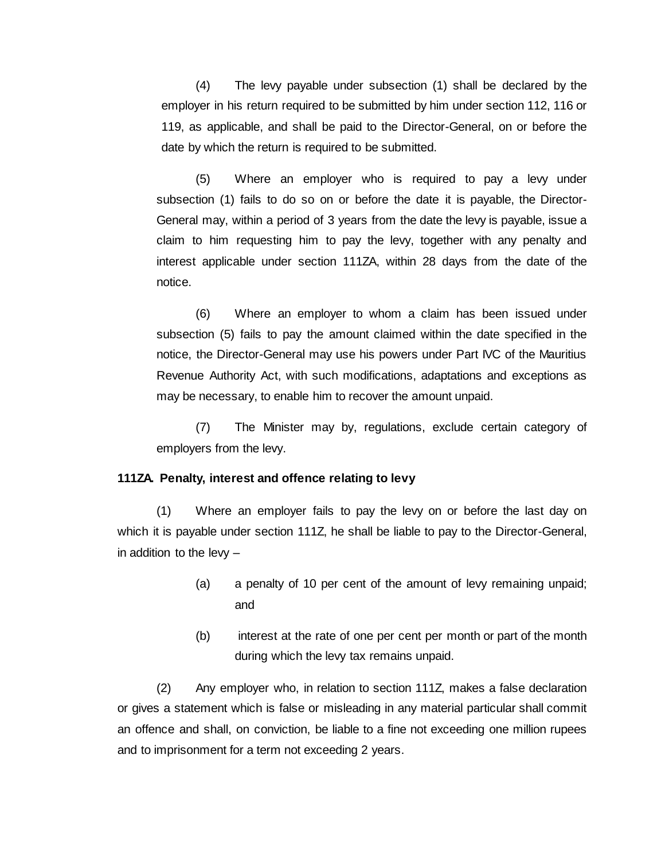(4) The levy payable under subsection (1) shall be declared by the employer in his return required to be submitted by him under section 112, 116 or 119, as applicable, and shall be paid to the Director-General, on or before the date by which the return is required to be submitted.

(5) Where an employer who is required to pay a levy under subsection (1) fails to do so on or before the date it is payable, the Director-General may, within a period of 3 years from the date the levy is payable, issue a claim to him requesting him to pay the levy, together with any penalty and interest applicable under section 111ZA, within 28 days from the date of the notice.

(6) Where an employer to whom a claim has been issued under subsection (5) fails to pay the amount claimed within the date specified in the notice, the Director-General may use his powers under Part IVC of the Mauritius Revenue Authority Act, with such modifications, adaptations and exceptions as may be necessary, to enable him to recover the amount unpaid.

(7) The Minister may by, regulations, exclude certain category of employers from the levy.

#### **111ZA. Penalty, interest and offence relating to levy**

(1) Where an employer fails to pay the levy on or before the last day on which it is payable under section 111Z, he shall be liable to pay to the Director-General, in addition to the levy –

- (a) a penalty of 10 per cent of the amount of levy remaining unpaid; and
- (b) interest at the rate of one per cent per month or part of the month during which the levy tax remains unpaid.

(2) Any employer who, in relation to section 111Z, makes a false declaration or gives a statement which is false or misleading in any material particular shall commit an offence and shall, on conviction, be liable to a fine not exceeding one million rupees and to imprisonment for a term not exceeding 2 years.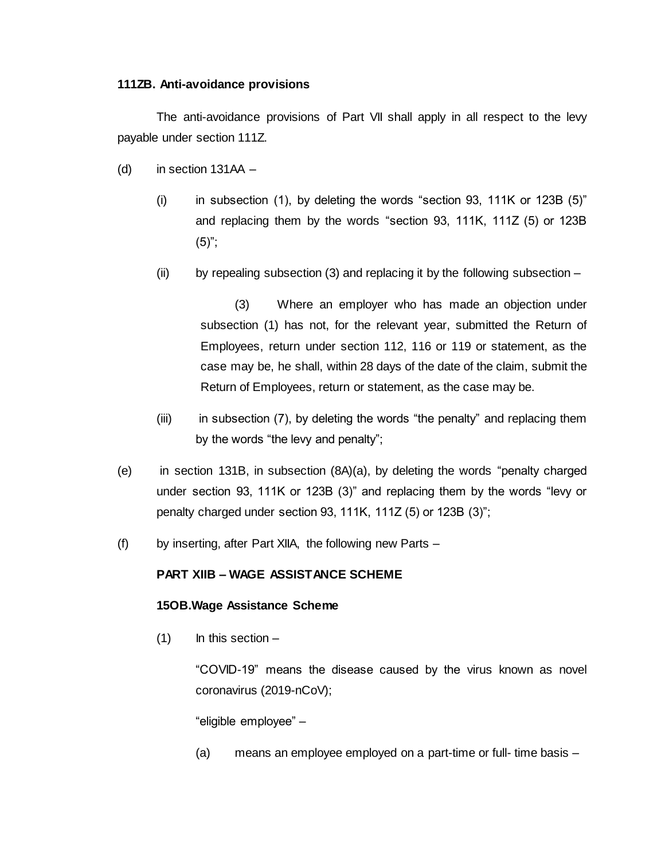#### **111ZB. Anti-avoidance provisions**

The anti-avoidance provisions of Part VII shall apply in all respect to the levy payable under section 111Z.

- (d) in section  $131AA -$ 
	- (i) in subsection (1), by deleting the words "section 93, 111K or 123B  $(5)$ " and replacing them by the words "section 93, 111K, 111Z (5) or 123B  $(5)$ ";
	- (ii) by repealing subsection (3) and replacing it by the following subsection  $-$

(3) Where an employer who has made an objection under subsection (1) has not, for the relevant year, submitted the Return of Employees, return under section 112, 116 or 119 or statement, as the case may be, he shall, within 28 days of the date of the claim, submit the Return of Employees, return or statement, as the case may be.

- (iii) in subsection (7), by deleting the words "the penalty" and replacing them by the words "the levy and penalty";
- (e) in section 131B, in subsection (8A)(a), by deleting the words "penalty charged under section 93, 111K or 123B (3)" and replacing them by the words "levy or penalty charged under section 93, 111K, 111Z (5) or 123B (3)";
- (f) by inserting, after Part XIIA, the following new Parts –

# **PART XIIB – WAGE ASSISTANCE SCHEME**

### **15OB.Wage Assistance Scheme**

 $(1)$  In this section –

"COVID-19" means the disease caused by the virus known as novel coronavirus (2019-nCoV);

"eligible employee" –

(a) means an employee employed on a part-time or full- time basis –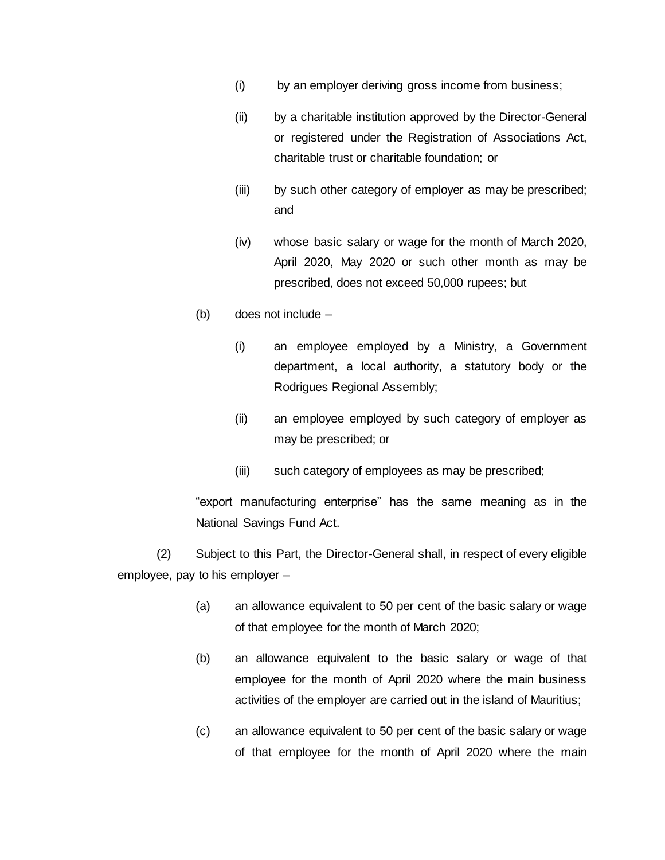- (i) by an employer deriving gross income from business;
- (ii) by a charitable institution approved by the Director-General or registered under the Registration of Associations Act, charitable trust or charitable foundation; or
- (iii) by such other category of employer as may be prescribed; and
- (iv) whose basic salary or wage for the month of March 2020, April 2020, May 2020 or such other month as may be prescribed, does not exceed 50,000 rupees; but
- (b) does not include
	- (i) an employee employed by a Ministry, a Government department, a local authority, a statutory body or the Rodrigues Regional Assembly;
	- (ii) an employee employed by such category of employer as may be prescribed; or
	- (iii) such category of employees as may be prescribed;

"export manufacturing enterprise" has the same meaning as in the National Savings Fund Act.

(2) Subject to this Part, the Director-General shall, in respect of every eligible employee, pay to his employer –

- (a) an allowance equivalent to 50 per cent of the basic salary or wage of that employee for the month of March 2020;
- (b) an allowance equivalent to the basic salary or wage of that employee for the month of April 2020 where the main business activities of the employer are carried out in the island of Mauritius;
- (c) an allowance equivalent to 50 per cent of the basic salary or wage of that employee for the month of April 2020 where the main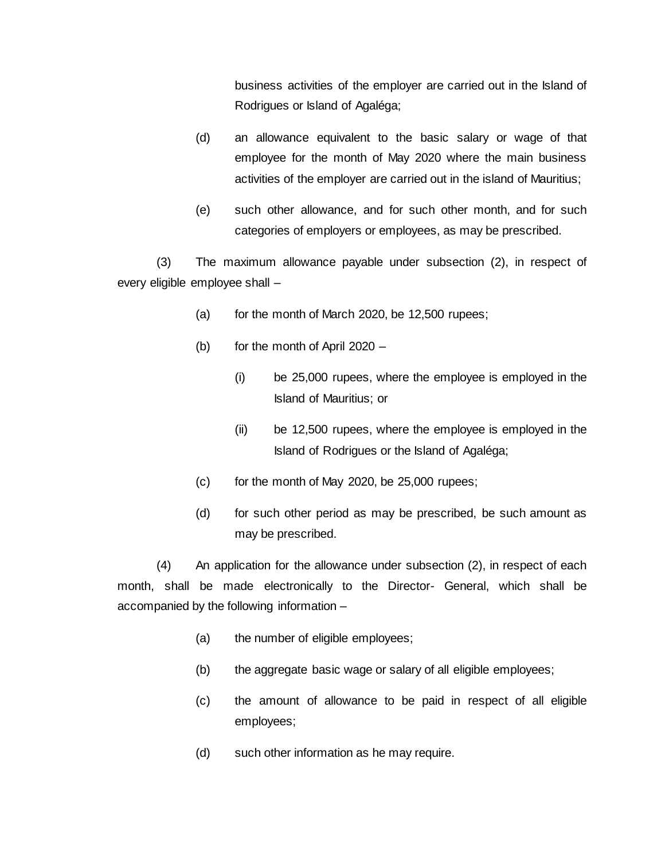business activities of the employer are carried out in the Island of Rodrigues or Island of Agaléga;

- (d) an allowance equivalent to the basic salary or wage of that employee for the month of May 2020 where the main business activities of the employer are carried out in the island of Mauritius;
- (e) such other allowance, and for such other month, and for such categories of employers or employees, as may be prescribed.

(3) The maximum allowance payable under subsection (2), in respect of every eligible employee shall –

- (a) for the month of March 2020, be  $12,500$  rupees;
- (b) for the month of April 2020
	- (i) be 25,000 rupees, where the employee is employed in the Island of Mauritius; or
	- (ii) be 12,500 rupees, where the employee is employed in the Island of Rodrigues or the Island of Agaléga;
- $(c)$  for the month of May 2020, be 25,000 rupees;
- (d) for such other period as may be prescribed, be such amount as may be prescribed.

(4) An application for the allowance under subsection (2), in respect of each month, shall be made electronically to the Director- General, which shall be accompanied by the following information –

- (a) the number of eligible employees;
- (b) the aggregate basic wage or salary of all eligible employees;
- (c) the amount of allowance to be paid in respect of all eligible employees;
- (d) such other information as he may require.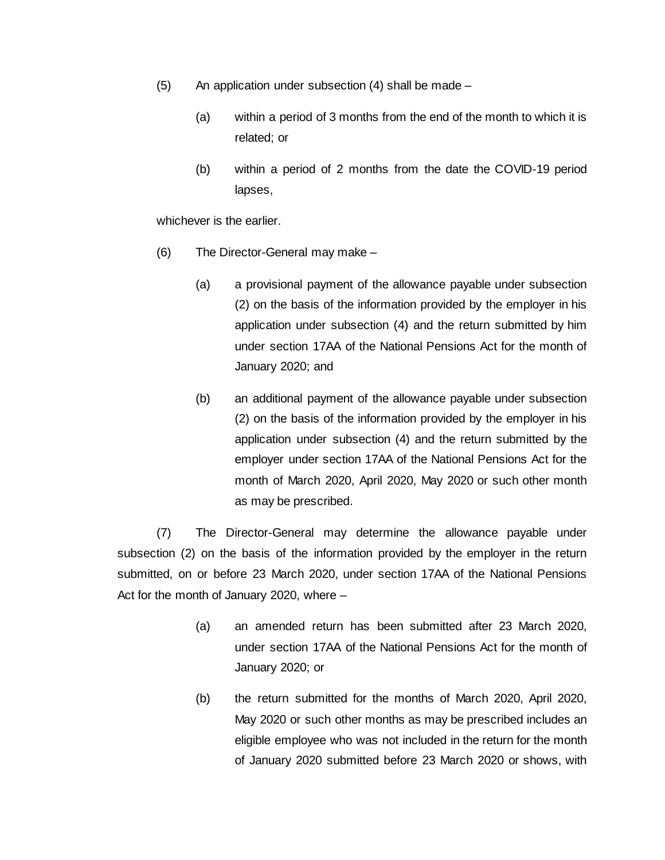- (5) An application under subsection (4) shall be made
	- (a) within a period of 3 months from the end of the month to which it is related; or
	- (b) within a period of 2 months from the date the COVID-19 period lapses,

whichever is the earlier.

- (6) The Director-General may make
	- (a) a provisional payment of the allowance payable under subsection (2) on the basis of the information provided by the employer in his application under subsection (4) and the return submitted by him under section 17AA of the National Pensions Act for the month of January 2020; and
	- (b) an additional payment of the allowance payable under subsection (2) on the basis of the information provided by the employer in his application under subsection (4) and the return submitted by the employer under section 17AA of the National Pensions Act for the month of March 2020, April 2020, May 2020 or such other month as may be prescribed.

(7) The Director-General may determine the allowance payable under subsection (2) on the basis of the information provided by the employer in the return submitted, on or before 23 March 2020, under section 17AA of the National Pensions Act for the month of January 2020, where –

- (a) an amended return has been submitted after 23 March 2020, under section 17AA of the National Pensions Act for the month of January 2020; or
- (b) the return submitted for the months of March 2020, April 2020, May 2020 or such other months as may be prescribed includes an eligible employee who was not included in the return for the month of January 2020 submitted before 23 March 2020 or shows, with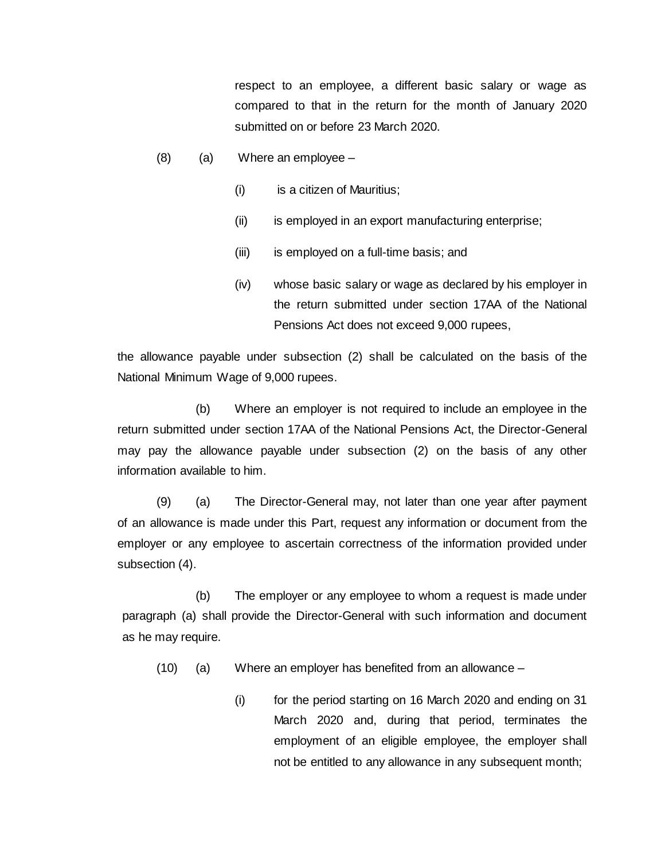respect to an employee, a different basic salary or wage as compared to that in the return for the month of January 2020 submitted on or before 23 March 2020.

- $(8)$  (a) Where an employee
	- (i) is a citizen of Mauritius;
	- (ii) is employed in an export manufacturing enterprise;
	- (iii) is employed on a full-time basis; and
	- (iv) whose basic salary or wage as declared by his employer in the return submitted under section 17AA of the National Pensions Act does not exceed 9,000 rupees,

the allowance payable under subsection (2) shall be calculated on the basis of the National Minimum Wage of 9,000 rupees.

(b) Where an employer is not required to include an employee in the return submitted under section 17AA of the National Pensions Act, the Director-General may pay the allowance payable under subsection (2) on the basis of any other information available to him.

(9) (a) The Director-General may, not later than one year after payment of an allowance is made under this Part, request any information or document from the employer or any employee to ascertain correctness of the information provided under subsection (4).

(b) The employer or any employee to whom a request is made under paragraph (a) shall provide the Director-General with such information and document as he may require.

(10) (a) Where an employer has benefited from an allowance –

(i) for the period starting on 16 March 2020 and ending on 31 March 2020 and, during that period, terminates the employment of an eligible employee, the employer shall not be entitled to any allowance in any subsequent month;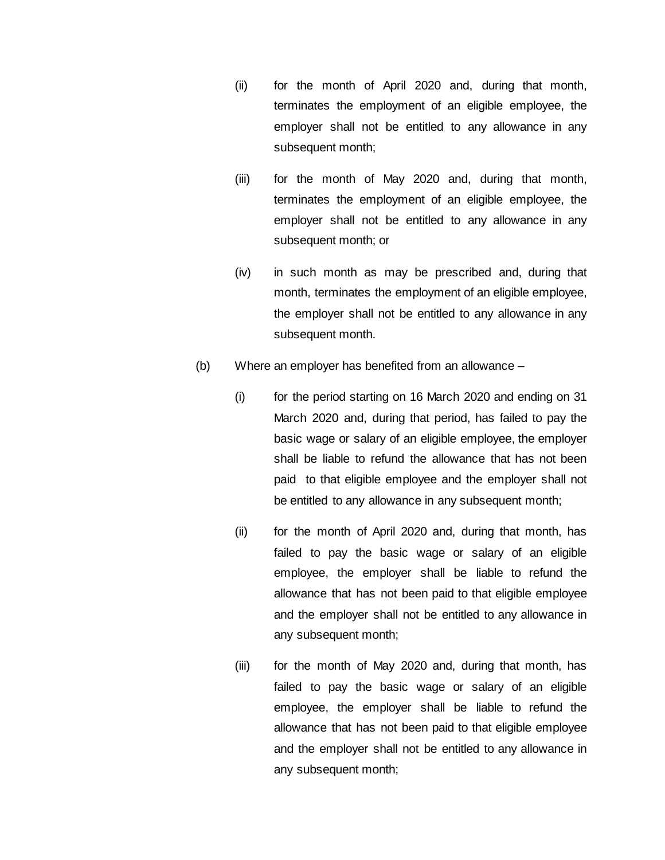- (ii) for the month of April 2020 and, during that month, terminates the employment of an eligible employee, the employer shall not be entitled to any allowance in any subsequent month;
- (iii) for the month of May 2020 and, during that month, terminates the employment of an eligible employee, the employer shall not be entitled to any allowance in any subsequent month; or
- (iv) in such month as may be prescribed and, during that month, terminates the employment of an eligible employee, the employer shall not be entitled to any allowance in any subsequent month.
- (b) Where an employer has benefited from an allowance
	- (i) for the period starting on 16 March 2020 and ending on 31 March 2020 and, during that period, has failed to pay the basic wage or salary of an eligible employee, the employer shall be liable to refund the allowance that has not been paid to that eligible employee and the employer shall not be entitled to any allowance in any subsequent month;
	- (ii) for the month of April 2020 and, during that month, has failed to pay the basic wage or salary of an eligible employee, the employer shall be liable to refund the allowance that has not been paid to that eligible employee and the employer shall not be entitled to any allowance in any subsequent month;
	- (iii) for the month of May 2020 and, during that month, has failed to pay the basic wage or salary of an eligible employee, the employer shall be liable to refund the allowance that has not been paid to that eligible employee and the employer shall not be entitled to any allowance in any subsequent month;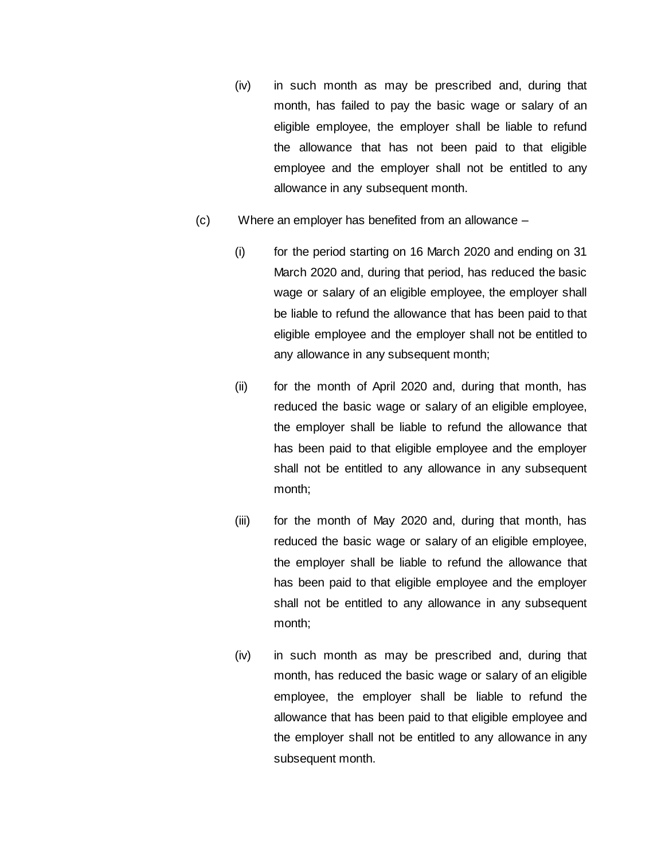- (iv) in such month as may be prescribed and, during that month, has failed to pay the basic wage or salary of an eligible employee, the employer shall be liable to refund the allowance that has not been paid to that eligible employee and the employer shall not be entitled to any allowance in any subsequent month.
- (c) Where an employer has benefited from an allowance
	- (i) for the period starting on 16 March 2020 and ending on 31 March 2020 and, during that period, has reduced the basic wage or salary of an eligible employee, the employer shall be liable to refund the allowance that has been paid to that eligible employee and the employer shall not be entitled to any allowance in any subsequent month;
	- (ii) for the month of April 2020 and, during that month, has reduced the basic wage or salary of an eligible employee, the employer shall be liable to refund the allowance that has been paid to that eligible employee and the employer shall not be entitled to any allowance in any subsequent month;
	- (iii) for the month of May 2020 and, during that month, has reduced the basic wage or salary of an eligible employee, the employer shall be liable to refund the allowance that has been paid to that eligible employee and the employer shall not be entitled to any allowance in any subsequent month;
	- (iv) in such month as may be prescribed and, during that month, has reduced the basic wage or salary of an eligible employee, the employer shall be liable to refund the allowance that has been paid to that eligible employee and the employer shall not be entitled to any allowance in any subsequent month.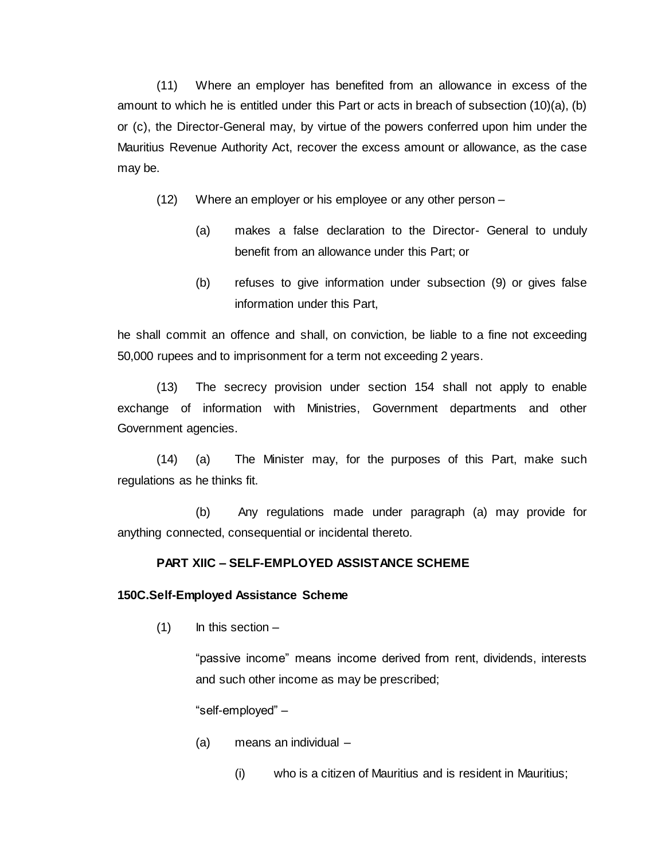(11) Where an employer has benefited from an allowance in excess of the amount to which he is entitled under this Part or acts in breach of subsection (10)(a), (b) or (c), the Director-General may, by virtue of the powers conferred upon him under the Mauritius Revenue Authority Act, recover the excess amount or allowance, as the case may be.

- (12) Where an employer or his employee or any other person
	- (a) makes a false declaration to the Director- General to unduly benefit from an allowance under this Part; or
	- (b) refuses to give information under subsection (9) or gives false information under this Part,

he shall commit an offence and shall, on conviction, be liable to a fine not exceeding 50,000 rupees and to imprisonment for a term not exceeding 2 years.

(13) The secrecy provision under section 154 shall not apply to enable exchange of information with Ministries, Government departments and other Government agencies.

(14) (a) The Minister may, for the purposes of this Part, make such regulations as he thinks fit.

(b) Any regulations made under paragraph (a) may provide for anything connected, consequential or incidental thereto.

### **PART XIIC – SELF-EMPLOYED ASSISTANCE SCHEME**

#### **150C.Self-Employed Assistance Scheme**

 $(1)$  In this section –

"passive income" means income derived from rent, dividends, interests and such other income as may be prescribed;

"self-employed" –

- (a) means an individual
	- (i) who is a citizen of Mauritius and is resident in Mauritius;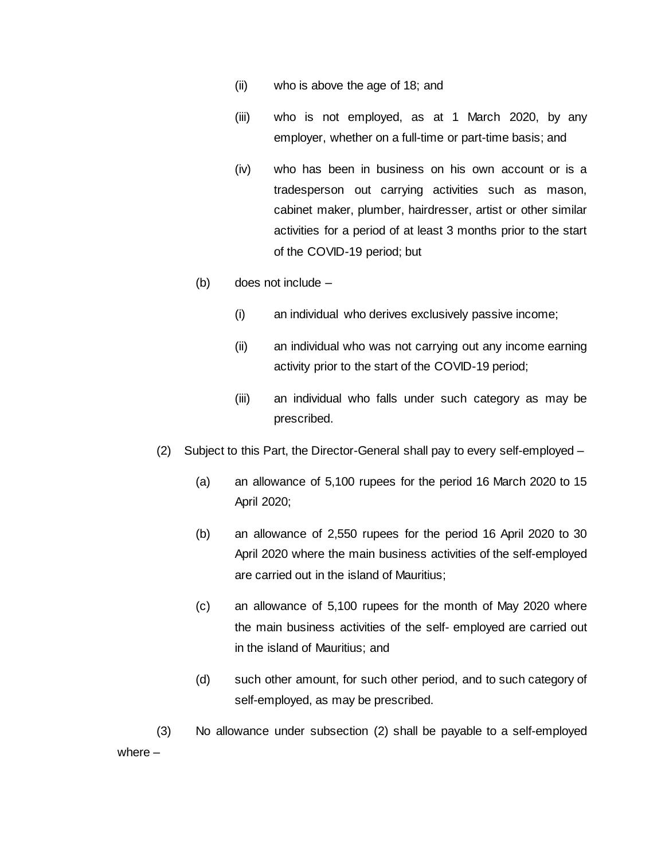- (ii) who is above the age of 18; and
- (iii) who is not employed, as at 1 March 2020, by any employer, whether on a full-time or part-time basis; and
- (iv) who has been in business on his own account or is a tradesperson out carrying activities such as mason, cabinet maker, plumber, hairdresser, artist or other similar activities for a period of at least 3 months prior to the start of the COVID-19 period; but
- (b) does not include
	- (i) an individual who derives exclusively passive income;
	- (ii) an individual who was not carrying out any income earning activity prior to the start of the COVID-19 period;
	- (iii) an individual who falls under such category as may be prescribed.
- (2) Subject to this Part, the Director-General shall pay to every self-employed
	- (a) an allowance of 5,100 rupees for the period 16 March 2020 to 15 April 2020;
	- (b) an allowance of 2,550 rupees for the period 16 April 2020 to 30 April 2020 where the main business activities of the self-employed are carried out in the island of Mauritius;
	- (c) an allowance of 5,100 rupees for the month of May 2020 where the main business activities of the self- employed are carried out in the island of Mauritius; and
	- (d) such other amount, for such other period, and to such category of self-employed, as may be prescribed.

(3) No allowance under subsection (2) shall be payable to a self-employed where –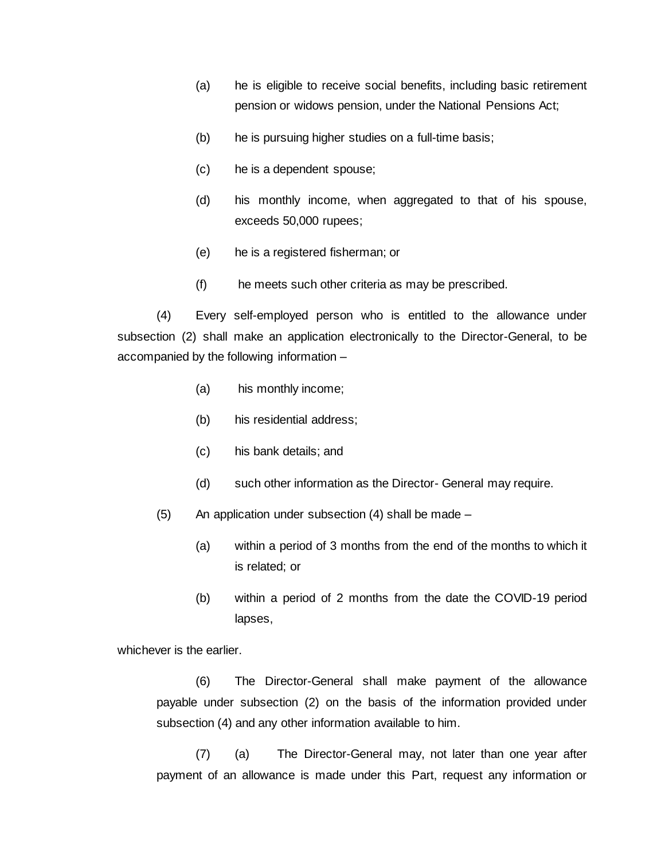- (a) he is eligible to receive social benefits, including basic retirement pension or widows pension, under the National Pensions Act;
- (b) he is pursuing higher studies on a full-time basis;
- (c) he is a dependent spouse;
- (d) his monthly income, when aggregated to that of his spouse, exceeds 50,000 rupees;
- (e) he is a registered fisherman; or
- (f) he meets such other criteria as may be prescribed.

(4) Every self-employed person who is entitled to the allowance under subsection (2) shall make an application electronically to the Director-General, to be accompanied by the following information –

- (a) his monthly income;
- (b) his residential address;
- (c) his bank details; and
- (d) such other information as the Director- General may require.
- $(5)$  An application under subsection  $(4)$  shall be made
	- (a) within a period of 3 months from the end of the months to which it is related; or
	- (b) within a period of 2 months from the date the COVID-19 period lapses,

whichever is the earlier.

(6) The Director-General shall make payment of the allowance payable under subsection (2) on the basis of the information provided under subsection (4) and any other information available to him.

(7) (a) The Director-General may, not later than one year after payment of an allowance is made under this Part, request any information or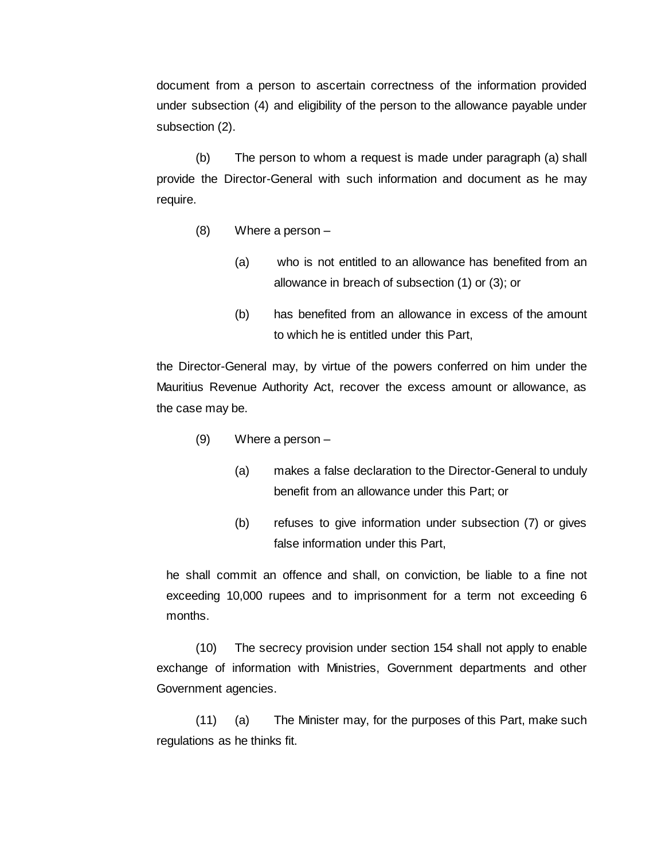document from a person to ascertain correctness of the information provided under subsection (4) and eligibility of the person to the allowance payable under subsection (2).

(b) The person to whom a request is made under paragraph (a) shall provide the Director-General with such information and document as he may require.

- (8) Where a person
	- (a) who is not entitled to an allowance has benefited from an allowance in breach of subsection (1) or (3); or
	- (b) has benefited from an allowance in excess of the amount to which he is entitled under this Part,

the Director-General may, by virtue of the powers conferred on him under the Mauritius Revenue Authority Act, recover the excess amount or allowance, as the case may be.

- (9) Where a person
	- (a) makes a false declaration to the Director-General to unduly benefit from an allowance under this Part; or
	- (b) refuses to give information under subsection (7) or gives false information under this Part,

he shall commit an offence and shall, on conviction, be liable to a fine not exceeding 10,000 rupees and to imprisonment for a term not exceeding 6 months.

(10) The secrecy provision under section 154 shall not apply to enable exchange of information with Ministries, Government departments and other Government agencies.

(11) (a) The Minister may, for the purposes of this Part, make such regulations as he thinks fit.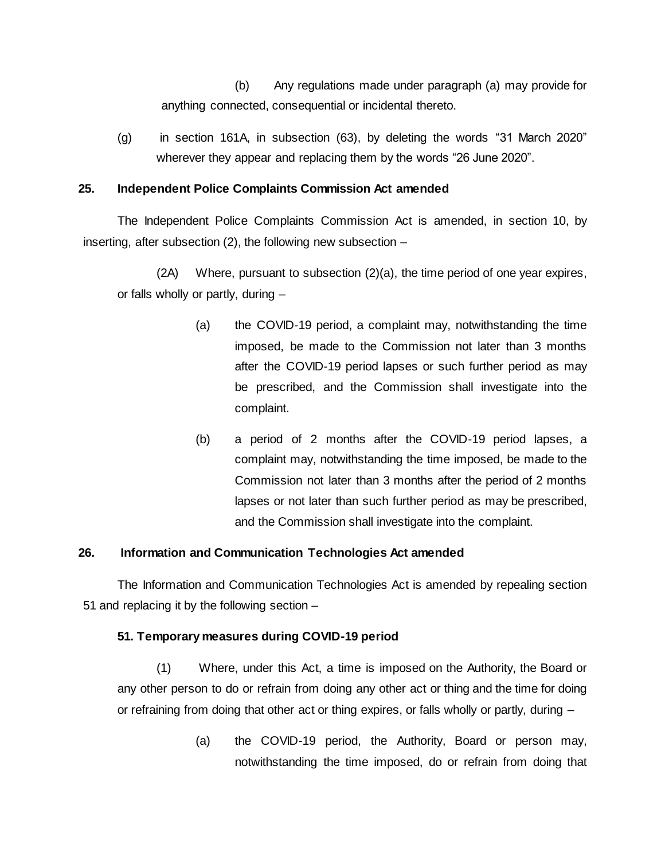(b) Any regulations made under paragraph (a) may provide for anything connected, consequential or incidental thereto.

(g) in section 161A, in subsection (63), by deleting the words "31 March 2020" wherever they appear and replacing them by the words "26 June 2020".

# **25. Independent Police Complaints Commission Act amended**

The Independent Police Complaints Commission Act is amended, in section 10, by inserting, after subsection (2), the following new subsection –

(2A) Where, pursuant to subsection (2)(a), the time period of one year expires, or falls wholly or partly, during –

- (a) the COVID-19 period, a complaint may, notwithstanding the time imposed, be made to the Commission not later than 3 months after the COVID-19 period lapses or such further period as may be prescribed, and the Commission shall investigate into the complaint.
- (b) a period of 2 months after the COVID-19 period lapses, a complaint may, notwithstanding the time imposed, be made to the Commission not later than 3 months after the period of 2 months lapses or not later than such further period as may be prescribed, and the Commission shall investigate into the complaint.

# **26. Information and Communication Technologies Act amended**

The Information and Communication Technologies Act is amended by repealing section 51 and replacing it by the following section –

# **51. Temporary measures during COVID-19 period**

(1) Where, under this Act, a time is imposed on the Authority, the Board or any other person to do or refrain from doing any other act or thing and the time for doing or refraining from doing that other act or thing expires, or falls wholly or partly, during –

> (a) the COVID-19 period, the Authority, Board or person may, notwithstanding the time imposed, do or refrain from doing that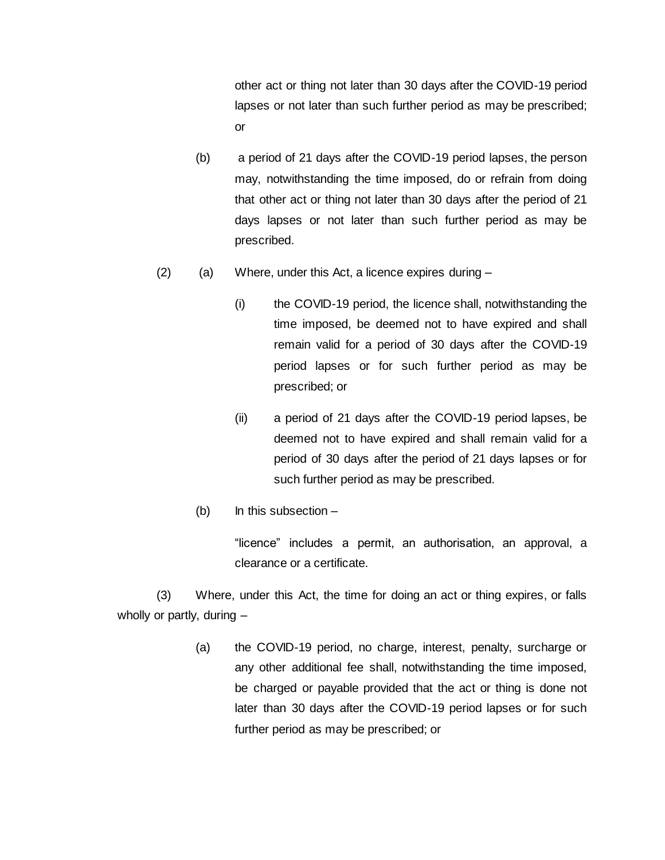other act or thing not later than 30 days after the COVID-19 period lapses or not later than such further period as may be prescribed; or

- (b) a period of 21 days after the COVID-19 period lapses, the person may, notwithstanding the time imposed, do or refrain from doing that other act or thing not later than 30 days after the period of 21 days lapses or not later than such further period as may be prescribed.
- $(2)$  (a) Where, under this Act, a licence expires during  $-$ 
	- (i) the COVID-19 period, the licence shall, notwithstanding the time imposed, be deemed not to have expired and shall remain valid for a period of 30 days after the COVID-19 period lapses or for such further period as may be prescribed; or
	- (ii) a period of 21 days after the COVID-19 period lapses, be deemed not to have expired and shall remain valid for a period of 30 days after the period of 21 days lapses or for such further period as may be prescribed.
	- (b) In this subsection  $-$

"licence" includes a permit, an authorisation, an approval, a clearance or a certificate.

(3) Where, under this Act, the time for doing an act or thing expires, or falls wholly or partly, during –

> (a) the COVID-19 period, no charge, interest, penalty, surcharge or any other additional fee shall, notwithstanding the time imposed, be charged or payable provided that the act or thing is done not later than 30 days after the COVID-19 period lapses or for such further period as may be prescribed; or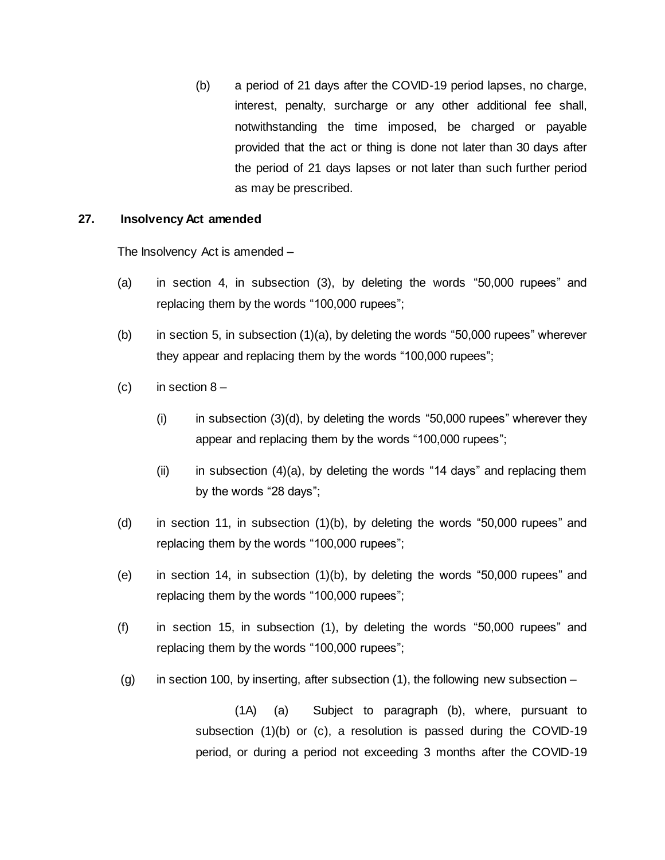(b) a period of 21 days after the COVID-19 period lapses, no charge, interest, penalty, surcharge or any other additional fee shall, notwithstanding the time imposed, be charged or payable provided that the act or thing is done not later than 30 days after the period of 21 days lapses or not later than such further period as may be prescribed.

#### **27. Insolvency Act amended**

The Insolvency Act is amended –

- (a) in section 4, in subsection (3), by deleting the words "50,000 rupees" and replacing them by the words "100,000 rupees";
- (b) in section 5, in subsection  $(1)(a)$ , by deleting the words "50,000 rupees" wherever they appear and replacing them by the words "100,000 rupees";
- (c) in section  $8 -$ 
	- (i) in subsection (3)(d), by deleting the words "50,000 rupees" wherever they appear and replacing them by the words "100,000 rupees";
	- (ii) in subsection  $(4)(a)$ , by deleting the words "14 days" and replacing them by the words "28 days";
- (d) in section 11, in subsection (1)(b), by deleting the words "50,000 rupees" and replacing them by the words "100,000 rupees";
- (e) in section 14, in subsection (1)(b), by deleting the words "50,000 rupees" and replacing them by the words "100,000 rupees";
- (f) in section 15, in subsection (1), by deleting the words "50,000 rupees" and replacing them by the words "100,000 rupees";
- (g) in section 100, by inserting, after subsection  $(1)$ , the following new subsection –

(1A) (a) Subject to paragraph (b), where, pursuant to subsection (1)(b) or (c), a resolution is passed during the COVID-19 period, or during a period not exceeding 3 months after the COVID-19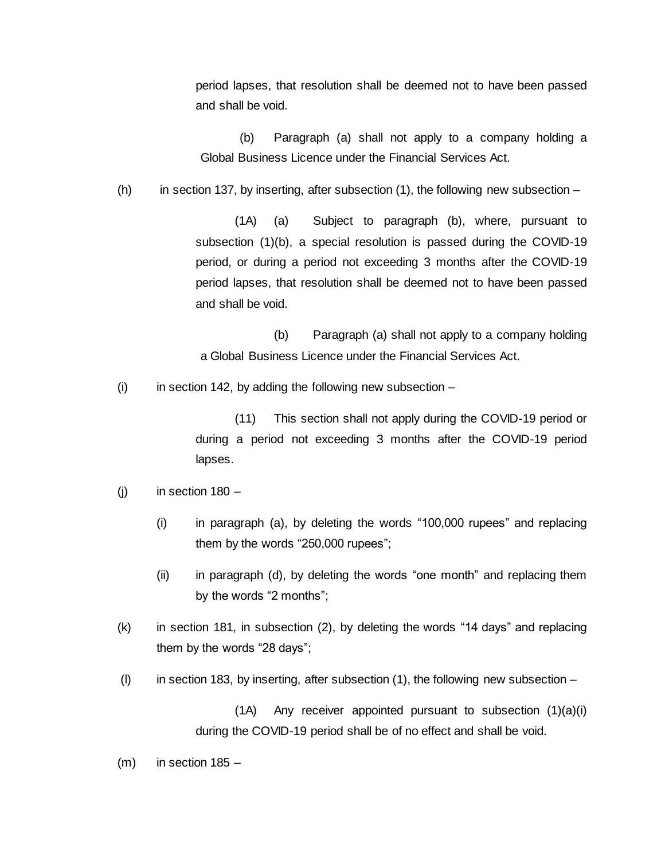period lapses, that resolution shall be deemed not to have been passed and shall be void.

(b) Paragraph (a) shall not apply to a company holding a Global Business Licence under the Financial Services Act.

(h) in section 137, by inserting, after subsection  $(1)$ , the following new subsection –

(1A) (a) Subject to paragraph (b), where, pursuant to subsection (1)(b), a special resolution is passed during the COVID-19 period, or during a period not exceeding 3 months after the COVID-19 period lapses, that resolution shall be deemed not to have been passed and shall be void.

(b) Paragraph (a) shall not apply to a company holding a Global Business Licence under the Financial Services Act.

 $(i)$  in section 142, by adding the following new subsection –

(11) This section shall not apply during the COVID-19 period or during a period not exceeding 3 months after the COVID-19 period lapses.

- $(i)$  in section 180
	- (i) in paragraph (a), by deleting the words "100,000 rupees" and replacing them by the words "250,000 rupees";
	- (ii) in paragraph (d), by deleting the words "one month" and replacing them by the words "2 months";
- (k) in section 181, in subsection (2), by deleting the words "14 days" and replacing them by the words "28 days";
- (I) in section 183, by inserting, after subsection  $(1)$ , the following new subsection –

(1A) Any receiver appointed pursuant to subsection (1)(a)(i) during the COVID-19 period shall be of no effect and shall be void.

 $(m)$  in section 185 –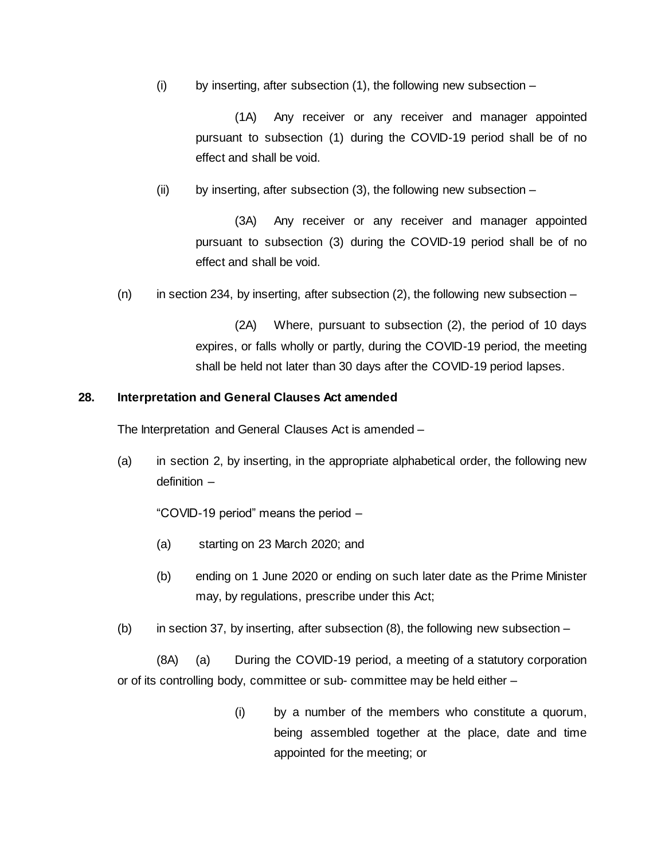(i) by inserting, after subsection  $(1)$ , the following new subsection –

(1A) Any receiver or any receiver and manager appointed pursuant to subsection (1) during the COVID-19 period shall be of no effect and shall be void.

(ii) by inserting, after subsection (3), the following new subsection –

(3A) Any receiver or any receiver and manager appointed pursuant to subsection (3) during the COVID-19 period shall be of no effect and shall be void.

(n) in section 234, by inserting, after subsection  $(2)$ , the following new subsection –

(2A) Where, pursuant to subsection (2), the period of 10 days expires, or falls wholly or partly, during the COVID-19 period, the meeting shall be held not later than 30 days after the COVID-19 period lapses.

# **28. Interpretation and General Clauses Act amended**

The Interpretation and General Clauses Act is amended –

(a) in section 2, by inserting, in the appropriate alphabetical order, the following new definition –

"COVID-19 period" means the period –

- (a) starting on 23 March 2020; and
- (b) ending on 1 June 2020 or ending on such later date as the Prime Minister may, by regulations, prescribe under this Act;
- (b) in section 37, by inserting, after subsection  $(8)$ , the following new subsection –

(8A) (a) During the COVID-19 period, a meeting of a statutory corporation or of its controlling body, committee or sub- committee may be held either –

> (i) by a number of the members who constitute a quorum, being assembled together at the place, date and time appointed for the meeting; or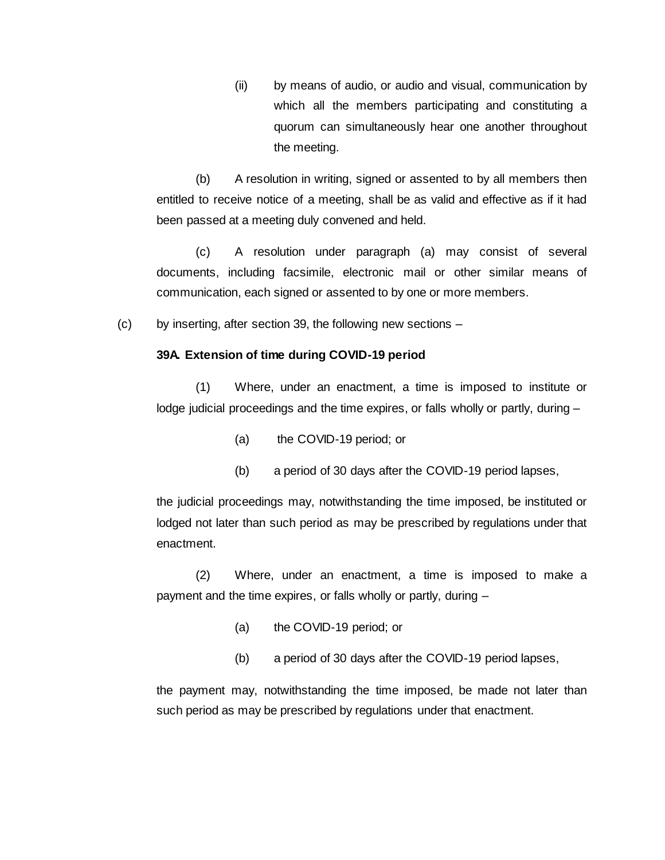(ii) by means of audio, or audio and visual, communication by which all the members participating and constituting a quorum can simultaneously hear one another throughout the meeting.

(b) A resolution in writing, signed or assented to by all members then entitled to receive notice of a meeting, shall be as valid and effective as if it had been passed at a meeting duly convened and held.

(c) A resolution under paragraph (a) may consist of several documents, including facsimile, electronic mail or other similar means of communication, each signed or assented to by one or more members.

(c) by inserting, after section 39, the following new sections –

#### **39A. Extension of time during COVID-19 period**

(1) Where, under an enactment, a time is imposed to institute or lodge judicial proceedings and the time expires, or falls wholly or partly, during –

- (a) the COVID-19 period; or
- (b) a period of 30 days after the COVID-19 period lapses,

the judicial proceedings may, notwithstanding the time imposed, be instituted or lodged not later than such period as may be prescribed by regulations under that enactment.

(2) Where, under an enactment, a time is imposed to make a payment and the time expires, or falls wholly or partly, during –

- (a) the COVID-19 period; or
- (b) a period of 30 days after the COVID-19 period lapses,

the payment may, notwithstanding the time imposed, be made not later than such period as may be prescribed by regulations under that enactment.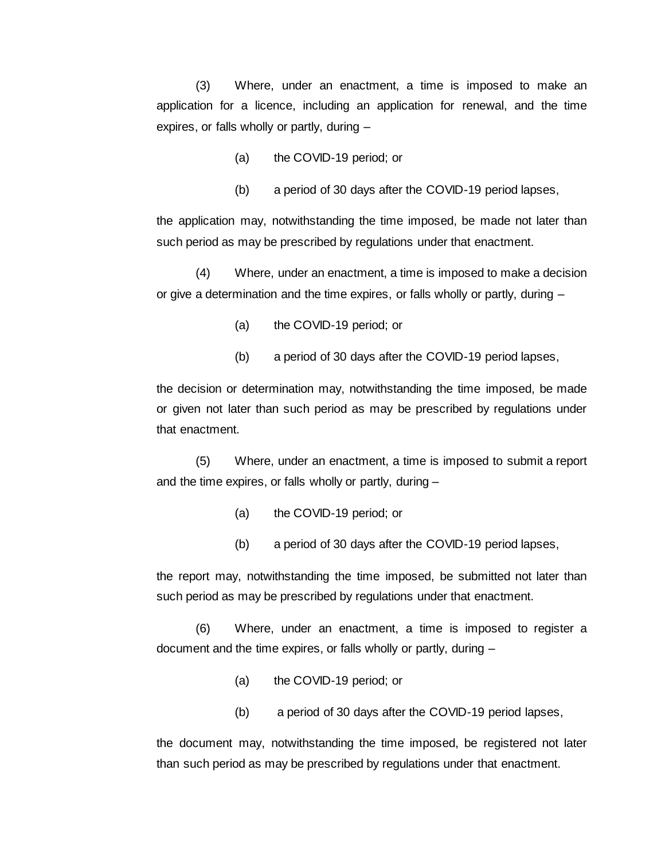(3) Where, under an enactment, a time is imposed to make an application for a licence, including an application for renewal, and the time expires, or falls wholly or partly, during –

- (a) the COVID-19 period; or
- (b) a period of 30 days after the COVID-19 period lapses,

the application may, notwithstanding the time imposed, be made not later than such period as may be prescribed by regulations under that enactment.

(4) Where, under an enactment, a time is imposed to make a decision or give a determination and the time expires, or falls wholly or partly, during –

- (a) the COVID-19 period; or
- (b) a period of 30 days after the COVID-19 period lapses,

the decision or determination may, notwithstanding the time imposed, be made or given not later than such period as may be prescribed by regulations under that enactment.

(5) Where, under an enactment, a time is imposed to submit a report and the time expires, or falls wholly or partly, during –

- (a) the COVID-19 period; or
- (b) a period of 30 days after the COVID-19 period lapses,

the report may, notwithstanding the time imposed, be submitted not later than such period as may be prescribed by regulations under that enactment.

(6) Where, under an enactment, a time is imposed to register a document and the time expires, or falls wholly or partly, during –

- (a) the COVID-19 period; or
- (b) a period of 30 days after the COVID-19 period lapses,

the document may, notwithstanding the time imposed, be registered not later than such period as may be prescribed by regulations under that enactment.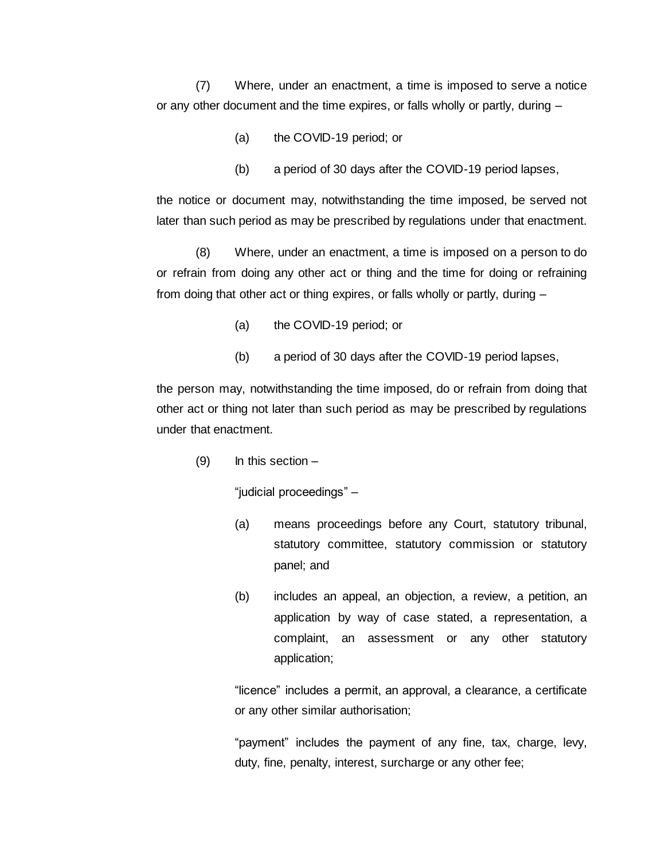(7) Where, under an enactment, a time is imposed to serve a notice or any other document and the time expires, or falls wholly or partly, during –

- (a) the COVID-19 period; or
- (b) a period of 30 days after the COVID-19 period lapses,

the notice or document may, notwithstanding the time imposed, be served not later than such period as may be prescribed by regulations under that enactment.

(8) Where, under an enactment, a time is imposed on a person to do or refrain from doing any other act or thing and the time for doing or refraining from doing that other act or thing expires, or falls wholly or partly, during –

- (a) the COVID-19 period; or
- (b) a period of 30 days after the COVID-19 period lapses,

the person may, notwithstanding the time imposed, do or refrain from doing that other act or thing not later than such period as may be prescribed by regulations under that enactment.

 $(9)$  In this section –

"judicial proceedings" –

- (a) means proceedings before any Court, statutory tribunal, statutory committee, statutory commission or statutory panel; and
- (b) includes an appeal, an objection, a review, a petition, an application by way of case stated, a representation, a complaint, an assessment or any other statutory application;

"licence" includes a permit, an approval, a clearance, a certificate or any other similar authorisation;

"payment" includes the payment of any fine, tax, charge, levy, duty, fine, penalty, interest, surcharge or any other fee;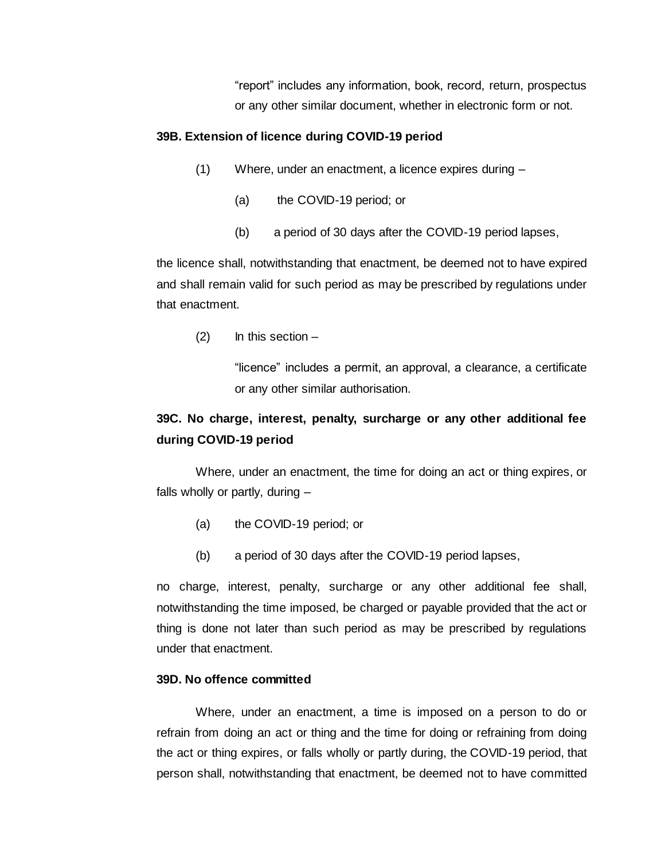"report" includes any information, book, record, return, prospectus or any other similar document, whether in electronic form or not.

#### **39B. Extension of licence during COVID-19 period**

- (1) Where, under an enactment, a licence expires during
	- (a) the COVID-19 period; or
	- (b) a period of 30 days after the COVID-19 period lapses,

the licence shall, notwithstanding that enactment, be deemed not to have expired and shall remain valid for such period as may be prescribed by regulations under that enactment.

 $(2)$  In this section –

"licence" includes a permit, an approval, a clearance, a certificate or any other similar authorisation.

# **39C. No charge, interest, penalty, surcharge or any other additional fee during COVID-19 period**

Where, under an enactment, the time for doing an act or thing expires, or falls wholly or partly, during –

- (a) the COVID-19 period; or
- (b) a period of 30 days after the COVID-19 period lapses,

no charge, interest, penalty, surcharge or any other additional fee shall, notwithstanding the time imposed, be charged or payable provided that the act or thing is done not later than such period as may be prescribed by regulations under that enactment.

#### **39D. No offence committed**

Where, under an enactment, a time is imposed on a person to do or refrain from doing an act or thing and the time for doing or refraining from doing the act or thing expires, or falls wholly or partly during, the COVID-19 period, that person shall, notwithstanding that enactment, be deemed not to have committed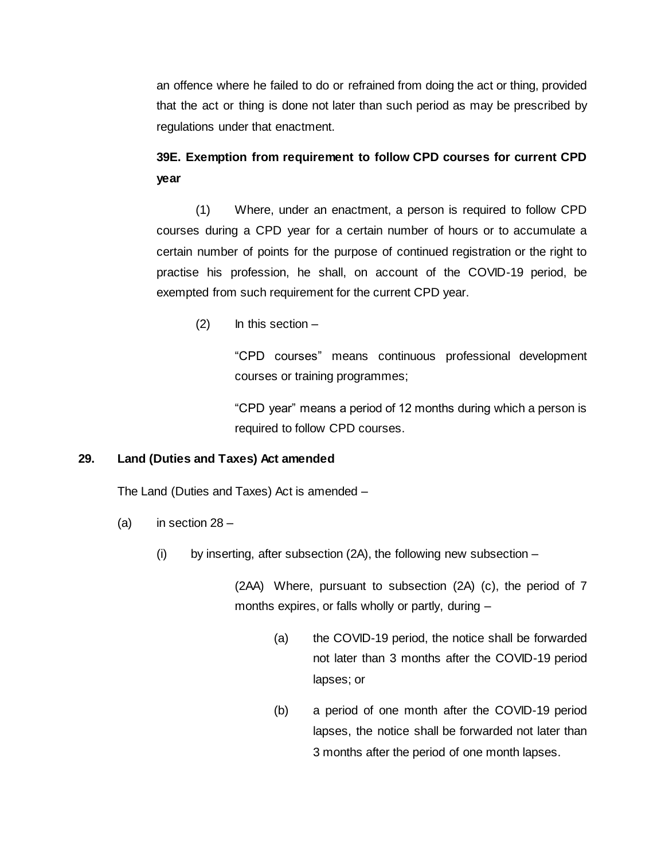an offence where he failed to do or refrained from doing the act or thing, provided that the act or thing is done not later than such period as may be prescribed by regulations under that enactment.

# **39E. Exemption from requirement to follow CPD courses for current CPD year**

(1) Where, under an enactment, a person is required to follow CPD courses during a CPD year for a certain number of hours or to accumulate a certain number of points for the purpose of continued registration or the right to practise his profession, he shall, on account of the COVID-19 period, be exempted from such requirement for the current CPD year.

 $(2)$  In this section –

"CPD courses" means continuous professional development courses or training programmes;

"CPD year" means a period of 12 months during which a person is required to follow CPD courses.

# **29. Land (Duties and Taxes) Act amended**

The Land (Duties and Taxes) Act is amended –

- (a) in section  $28 -$ 
	- (i) by inserting, after subsection (2A), the following new subsection –

(2AA) Where, pursuant to subsection (2A) (c), the period of 7 months expires, or falls wholly or partly, during –

- (a) the COVID-19 period, the notice shall be forwarded not later than 3 months after the COVID-19 period lapses; or
- (b) a period of one month after the COVID-19 period lapses, the notice shall be forwarded not later than 3 months after the period of one month lapses.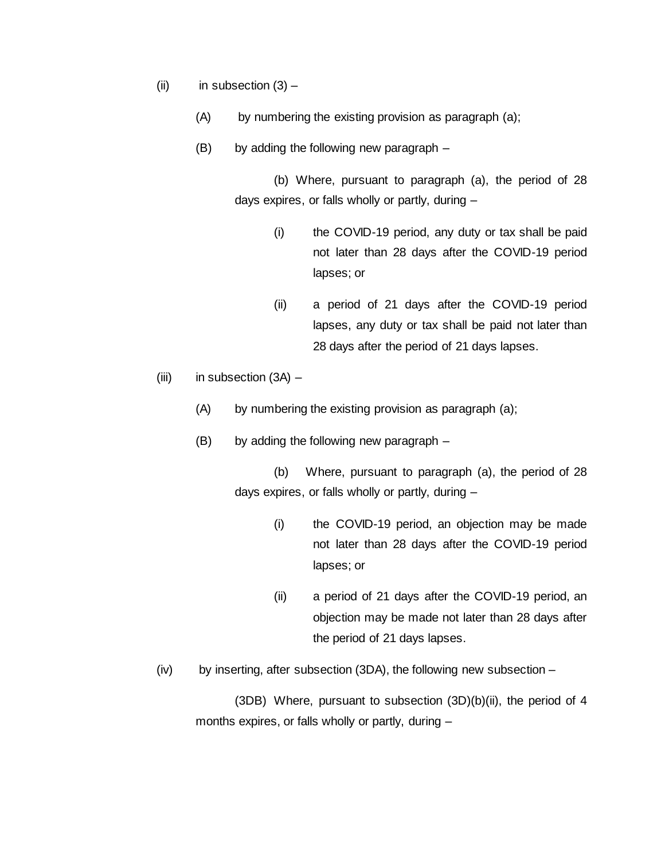- $(ii)$  in subsection  $(3)$ 
	- (A) by numbering the existing provision as paragraph (a);
	- (B) by adding the following new paragraph –

(b) Where, pursuant to paragraph (a), the period of 28 days expires, or falls wholly or partly, during –

- (i) the COVID-19 period, any duty or tax shall be paid not later than 28 days after the COVID-19 period lapses; or
- (ii) a period of 21 days after the COVID-19 period lapses, any duty or tax shall be paid not later than 28 days after the period of 21 days lapses.
- $(iii)$  in subsection  $(3A)$ 
	- (A) by numbering the existing provision as paragraph (a);
	- (B) by adding the following new paragraph –

(b) Where, pursuant to paragraph (a), the period of 28 days expires, or falls wholly or partly, during –

- (i) the COVID-19 period, an objection may be made not later than 28 days after the COVID-19 period lapses; or
- (ii) a period of 21 days after the COVID-19 period, an objection may be made not later than 28 days after the period of 21 days lapses.
- $(iv)$  by inserting, after subsection (3DA), the following new subsection –

(3DB) Where, pursuant to subsection (3D)(b)(ii), the period of 4 months expires, or falls wholly or partly, during –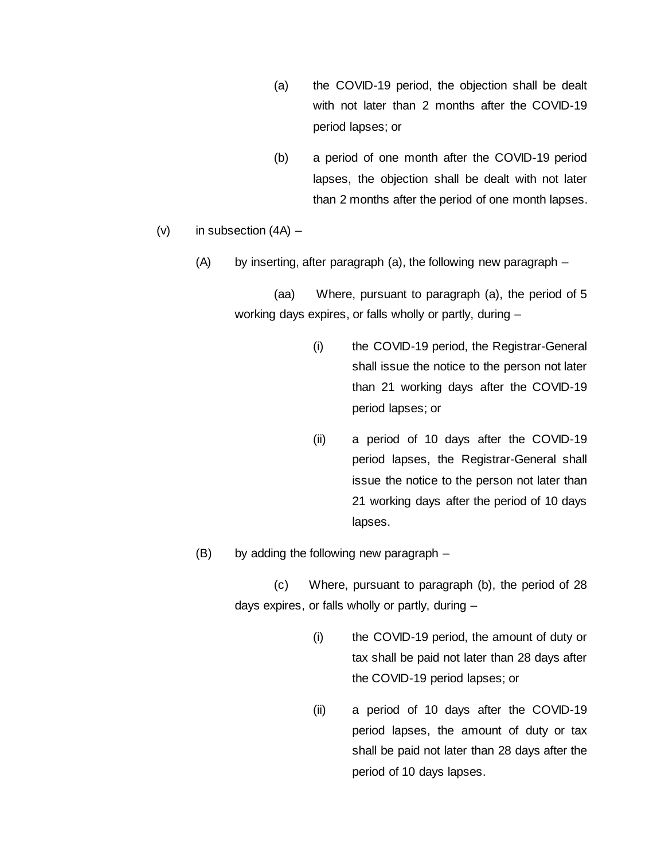- (a) the COVID-19 period, the objection shall be dealt with not later than 2 months after the COVID-19 period lapses; or
- (b) a period of one month after the COVID-19 period lapses, the objection shall be dealt with not later than 2 months after the period of one month lapses.
- $(v)$  in subsection  $(4A)$ 
	- (A) by inserting, after paragraph (a), the following new paragraph –

(aa) Where, pursuant to paragraph (a), the period of 5 working days expires, or falls wholly or partly, during –

- (i) the COVID-19 period, the Registrar-General shall issue the notice to the person not later than 21 working days after the COVID-19 period lapses; or
- (ii) a period of 10 days after the COVID-19 period lapses, the Registrar-General shall issue the notice to the person not later than 21 working days after the period of 10 days lapses.
- (B) by adding the following new paragraph –

(c) Where, pursuant to paragraph (b), the period of 28 days expires, or falls wholly or partly, during –

- (i) the COVID-19 period, the amount of duty or tax shall be paid not later than 28 days after the COVID-19 period lapses; or
- (ii) a period of 10 days after the COVID-19 period lapses, the amount of duty or tax shall be paid not later than 28 days after the period of 10 days lapses.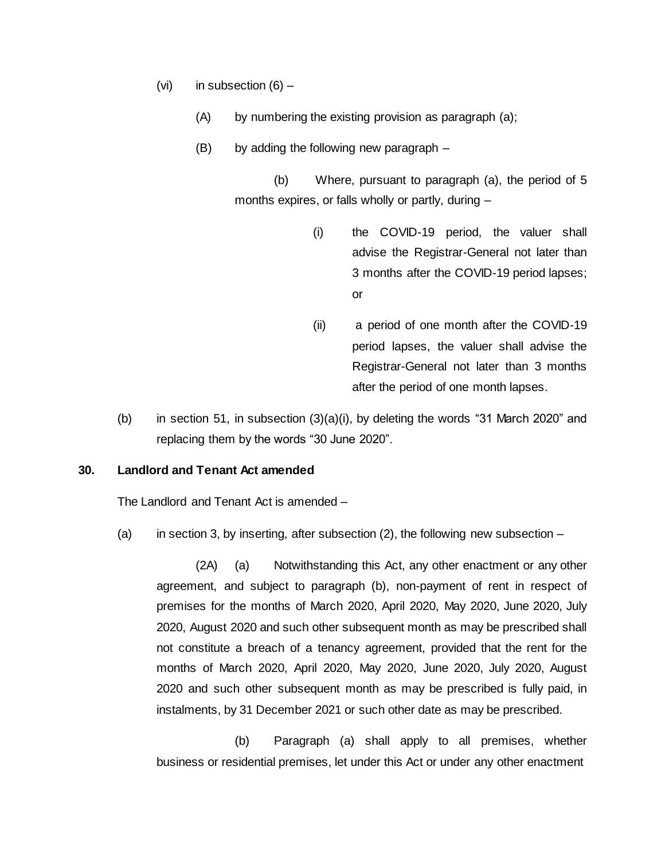- (vi) in subsection  $(6)$ 
	- (A) by numbering the existing provision as paragraph (a);
	- (B) by adding the following new paragraph –

(b) Where, pursuant to paragraph (a), the period of 5 months expires, or falls wholly or partly, during –

- (i) the COVID-19 period, the valuer shall advise the Registrar-General not later than 3 months after the COVID-19 period lapses; or
- (ii) a period of one month after the COVID-19 period lapses, the valuer shall advise the Registrar-General not later than 3 months after the period of one month lapses.
- (b) in section 51, in subsection  $(3)(a)(i)$ , by deleting the words "31 March 2020" and replacing them by the words "30 June 2020".

# **30. Landlord and Tenant Act amended**

The Landlord and Tenant Act is amended –

(a) in section 3, by inserting, after subsection  $(2)$ , the following new subsection –

(2A) (a) Notwithstanding this Act, any other enactment or any other agreement, and subject to paragraph (b), non-payment of rent in respect of premises for the months of March 2020, April 2020, May 2020, June 2020, July 2020, August 2020 and such other subsequent month as may be prescribed shall not constitute a breach of a tenancy agreement, provided that the rent for the months of March 2020, April 2020, May 2020, June 2020, July 2020, August 2020 and such other subsequent month as may be prescribed is fully paid, in instalments, by 31 December 2021 or such other date as may be prescribed.

(b) Paragraph (a) shall apply to all premises, whether business or residential premises, let under this Act or under any other enactment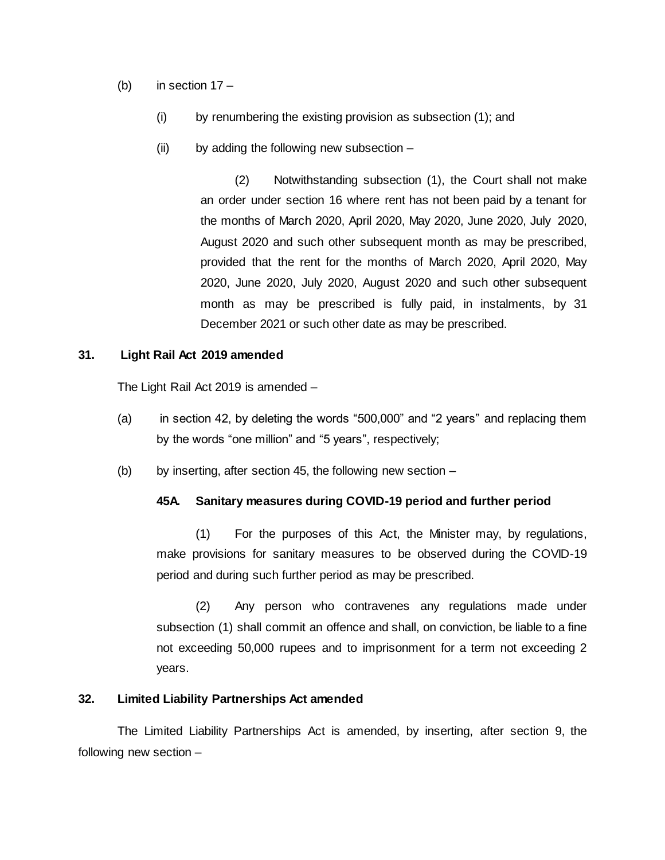- (b) in section  $17 -$ 
	- (i) by renumbering the existing provision as subsection (1); and
	- (ii) by adding the following new subsection –

(2) Notwithstanding subsection (1), the Court shall not make an order under section 16 where rent has not been paid by a tenant for the months of March 2020, April 2020, May 2020, June 2020, July 2020, August 2020 and such other subsequent month as may be prescribed, provided that the rent for the months of March 2020, April 2020, May 2020, June 2020, July 2020, August 2020 and such other subsequent month as may be prescribed is fully paid, in instalments, by 31 December 2021 or such other date as may be prescribed.

#### **31. Light Rail Act 2019 amended**

The Light Rail Act 2019 is amended –

- (a) in section 42, by deleting the words "500,000" and "2 years" and replacing them by the words "one million" and "5 years", respectively;
- (b) by inserting, after section 45, the following new section  $-$

#### **45A. Sanitary measures during COVID-19 period and further period**

(1) For the purposes of this Act, the Minister may, by regulations, make provisions for sanitary measures to be observed during the COVID-19 period and during such further period as may be prescribed.

(2) Any person who contravenes any regulations made under subsection (1) shall commit an offence and shall, on conviction, be liable to a fine not exceeding 50,000 rupees and to imprisonment for a term not exceeding 2 years.

# **32. Limited Liability Partnerships Act amended**

The Limited Liability Partnerships Act is amended, by inserting, after section 9, the following new section –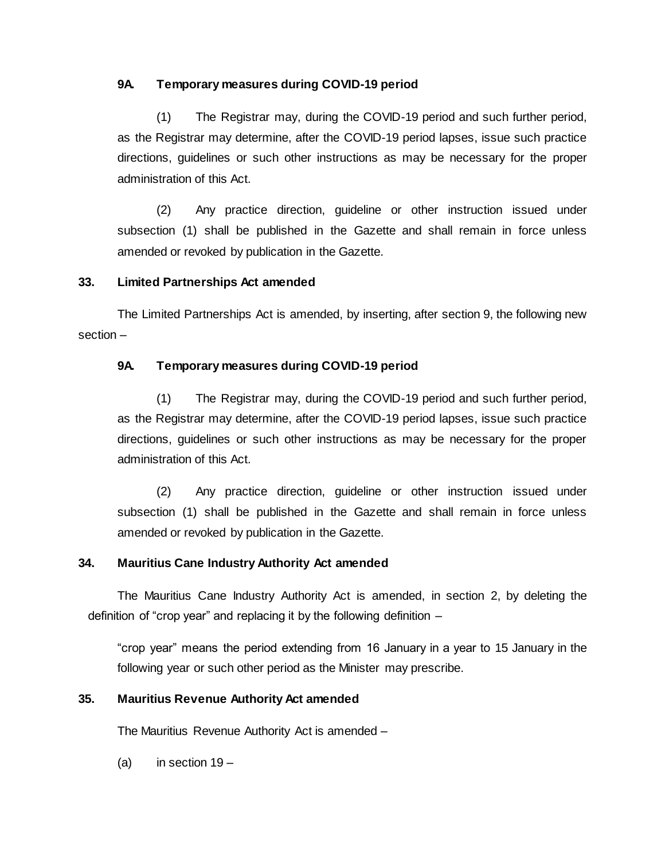# **9A. Temporary measures during COVID-19 period**

(1) The Registrar may, during the COVID-19 period and such further period, as the Registrar may determine, after the COVID-19 period lapses, issue such practice directions, guidelines or such other instructions as may be necessary for the proper administration of this Act.

(2) Any practice direction, guideline or other instruction issued under subsection (1) shall be published in the Gazette and shall remain in force unless amended or revoked by publication in the Gazette.

# **33. Limited Partnerships Act amended**

The Limited Partnerships Act is amended, by inserting, after section 9, the following new section –

# **9A. Temporary measures during COVID-19 period**

(1) The Registrar may, during the COVID-19 period and such further period, as the Registrar may determine, after the COVID-19 period lapses, issue such practice directions, guidelines or such other instructions as may be necessary for the proper administration of this Act.

(2) Any practice direction, guideline or other instruction issued under subsection (1) shall be published in the Gazette and shall remain in force unless amended or revoked by publication in the Gazette.

# **34. Mauritius Cane Industry Authority Act amended**

The Mauritius Cane Industry Authority Act is amended, in section 2, by deleting the definition of "crop year" and replacing it by the following definition –

"crop year" means the period extending from 16 January in a year to 15 January in the following year or such other period as the Minister may prescribe.

# **35. Mauritius Revenue Authority Act amended**

The Mauritius Revenue Authority Act is amended –

(a) in section  $19 -$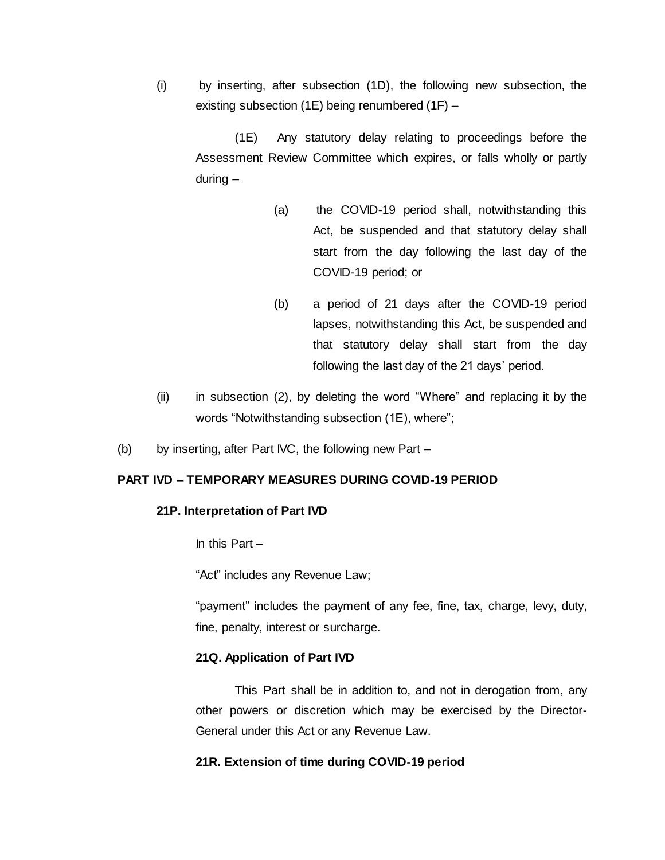(i) by inserting, after subsection (1D), the following new subsection, the existing subsection (1E) being renumbered (1F) –

(1E) Any statutory delay relating to proceedings before the Assessment Review Committee which expires, or falls wholly or partly during –

- (a) the COVID-19 period shall, notwithstanding this Act, be suspended and that statutory delay shall start from the day following the last day of the COVID-19 period; or
- (b) a period of 21 days after the COVID-19 period lapses, notwithstanding this Act, be suspended and that statutory delay shall start from the day following the last day of the 21 days' period.
- (ii) in subsection (2), by deleting the word "Where" and replacing it by the words "Notwithstanding subsection (1E), where";
- (b) by inserting, after Part IVC, the following new Part –

# **PART IVD – TEMPORARY MEASURES DURING COVID-19 PERIOD**

#### **21P. Interpretation of Part IVD**

In this Part  $-$ 

"Act" includes any Revenue Law;

"payment" includes the payment of any fee, fine, tax, charge, levy, duty, fine, penalty, interest or surcharge.

#### **21Q. Application of Part IVD**

This Part shall be in addition to, and not in derogation from, any other powers or discretion which may be exercised by the Director-General under this Act or any Revenue Law.

#### **21R. Extension of time during COVID-19 period**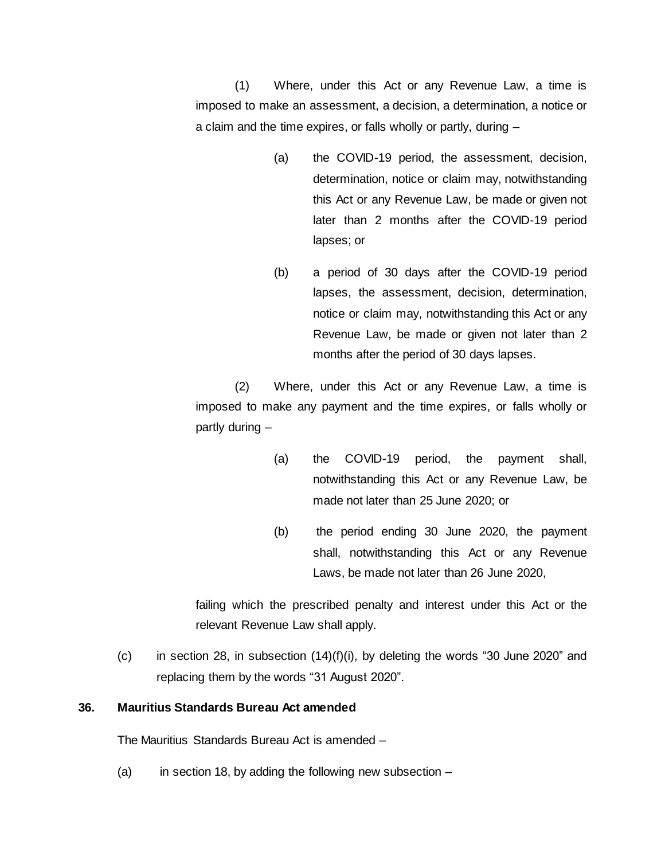(1) Where, under this Act or any Revenue Law, a time is imposed to make an assessment, a decision, a determination, a notice or a claim and the time expires, or falls wholly or partly, during –

- (a) the COVID-19 period, the assessment, decision, determination, notice or claim may, notwithstanding this Act or any Revenue Law, be made or given not later than 2 months after the COVID-19 period lapses; or
- (b) a period of 30 days after the COVID-19 period lapses, the assessment, decision, determination, notice or claim may, notwithstanding this Act or any Revenue Law, be made or given not later than 2 months after the period of 30 days lapses.

(2) Where, under this Act or any Revenue Law, a time is imposed to make any payment and the time expires, or falls wholly or partly during –

- (a) the COVID-19 period, the payment shall, notwithstanding this Act or any Revenue Law, be made not later than 25 June 2020; or
- (b) the period ending 30 June 2020, the payment shall, notwithstanding this Act or any Revenue Laws, be made not later than 26 June 2020,

failing which the prescribed penalty and interest under this Act or the relevant Revenue Law shall apply.

 $(c)$  in section 28, in subsection  $(14)(f)(i)$ , by deleting the words "30 June 2020" and replacing them by the words "31 August 2020".

#### **36. Mauritius Standards Bureau Act amended**

The Mauritius Standards Bureau Act is amended –

(a) in section 18, by adding the following new subsection  $-$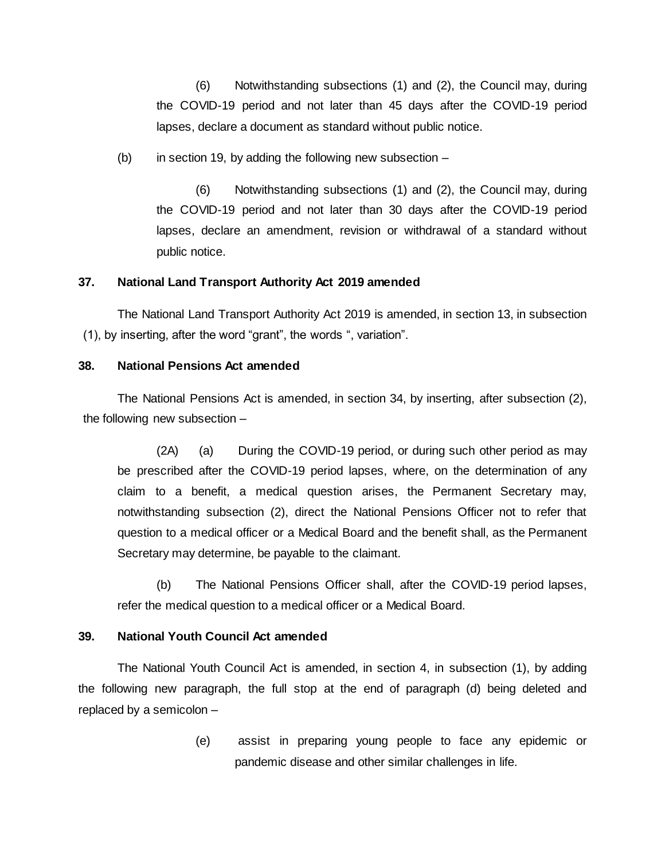(6) Notwithstanding subsections (1) and (2), the Council may, during the COVID-19 period and not later than 45 days after the COVID-19 period lapses, declare a document as standard without public notice.

(b) in section 19, by adding the following new subsection  $-$ 

(6) Notwithstanding subsections (1) and (2), the Council may, during the COVID-19 period and not later than 30 days after the COVID-19 period lapses, declare an amendment, revision or withdrawal of a standard without public notice.

#### **37. National Land Transport Authority Act 2019 amended**

The National Land Transport Authority Act 2019 is amended, in section 13, in subsection (1), by inserting, after the word "grant", the words ", variation".

#### **38. National Pensions Act amended**

The National Pensions Act is amended, in section 34, by inserting, after subsection (2), the following new subsection –

(2A) (a) During the COVID-19 period, or during such other period as may be prescribed after the COVID-19 period lapses, where, on the determination of any claim to a benefit, a medical question arises, the Permanent Secretary may, notwithstanding subsection (2), direct the National Pensions Officer not to refer that question to a medical officer or a Medical Board and the benefit shall, as the Permanent Secretary may determine, be payable to the claimant.

(b) The National Pensions Officer shall, after the COVID-19 period lapses, refer the medical question to a medical officer or a Medical Board.

# **39. National Youth Council Act amended**

The National Youth Council Act is amended, in section 4, in subsection (1), by adding the following new paragraph, the full stop at the end of paragraph (d) being deleted and replaced by a semicolon –

> (e) assist in preparing young people to face any epidemic or pandemic disease and other similar challenges in life.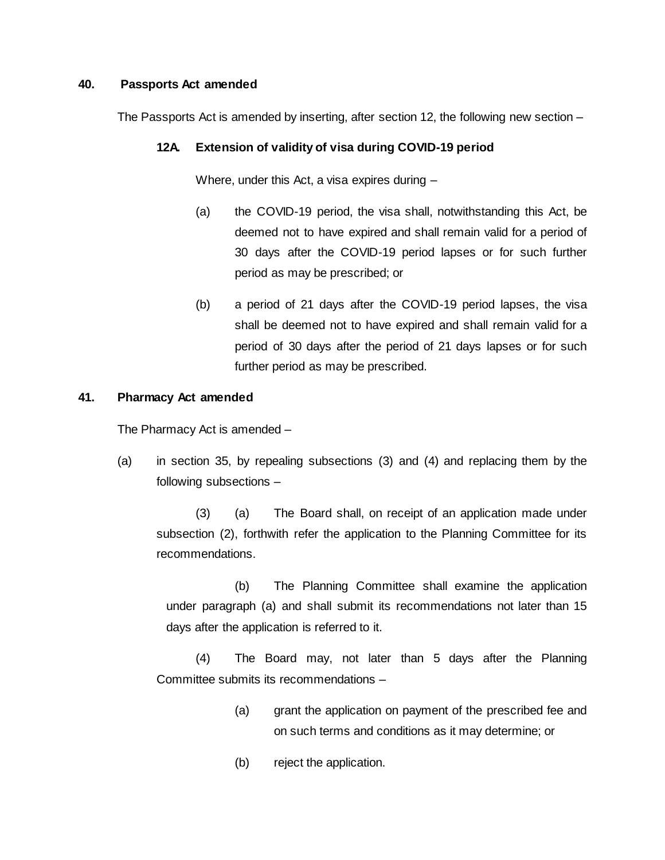## **40. Passports Act amended**

The Passports Act is amended by inserting, after section 12, the following new section –

# **12A. Extension of validity of visa during COVID-19 period**

Where, under this Act, a visa expires during –

- (a) the COVID-19 period, the visa shall, notwithstanding this Act, be deemed not to have expired and shall remain valid for a period of 30 days after the COVID-19 period lapses or for such further period as may be prescribed; or
- (b) a period of 21 days after the COVID-19 period lapses, the visa shall be deemed not to have expired and shall remain valid for a period of 30 days after the period of 21 days lapses or for such further period as may be prescribed.

# **41. Pharmacy Act amended**

The Pharmacy Act is amended –

(a) in section 35, by repealing subsections (3) and (4) and replacing them by the following subsections –

(3) (a) The Board shall, on receipt of an application made under subsection (2), forthwith refer the application to the Planning Committee for its recommendations.

(b) The Planning Committee shall examine the application under paragraph (a) and shall submit its recommendations not later than 15 days after the application is referred to it.

(4) The Board may, not later than 5 days after the Planning Committee submits its recommendations –

- (a) grant the application on payment of the prescribed fee and on such terms and conditions as it may determine; or
- (b) reject the application.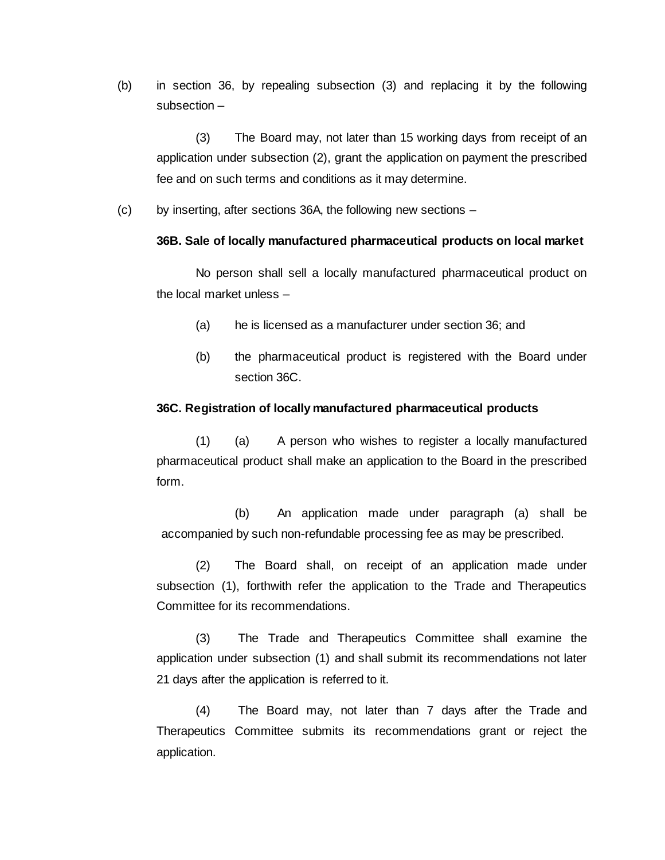(b) in section 36, by repealing subsection (3) and replacing it by the following subsection –

(3) The Board may, not later than 15 working days from receipt of an application under subsection (2), grant the application on payment the prescribed fee and on such terms and conditions as it may determine.

(c) by inserting, after sections 36A, the following new sections –

#### **36B. Sale of locally manufactured pharmaceutical products on local market**

No person shall sell a locally manufactured pharmaceutical product on the local market unless –

- (a) he is licensed as a manufacturer under section 36; and
- (b) the pharmaceutical product is registered with the Board under section 36C.

#### **36C. Registration of locally manufactured pharmaceutical products**

(1) (a) A person who wishes to register a locally manufactured pharmaceutical product shall make an application to the Board in the prescribed form.

(b) An application made under paragraph (a) shall be accompanied by such non-refundable processing fee as may be prescribed.

(2) The Board shall, on receipt of an application made under subsection (1), forthwith refer the application to the Trade and Therapeutics Committee for its recommendations.

(3) The Trade and Therapeutics Committee shall examine the application under subsection (1) and shall submit its recommendations not later 21 days after the application is referred to it.

(4) The Board may, not later than 7 days after the Trade and Therapeutics Committee submits its recommendations grant or reject the application.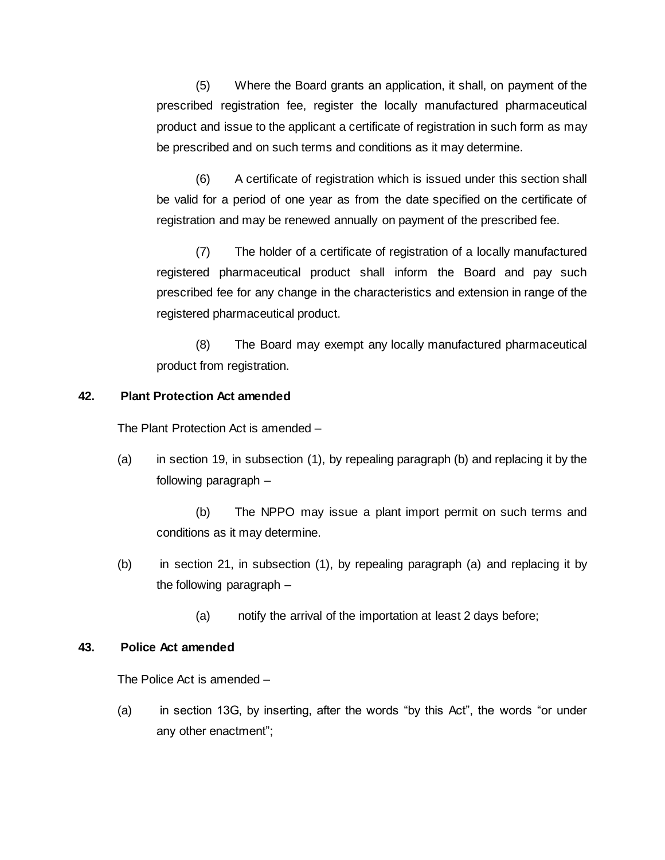(5) Where the Board grants an application, it shall, on payment of the prescribed registration fee, register the locally manufactured pharmaceutical product and issue to the applicant a certificate of registration in such form as may be prescribed and on such terms and conditions as it may determine.

(6) A certificate of registration which is issued under this section shall be valid for a period of one year as from the date specified on the certificate of registration and may be renewed annually on payment of the prescribed fee.

(7) The holder of a certificate of registration of a locally manufactured registered pharmaceutical product shall inform the Board and pay such prescribed fee for any change in the characteristics and extension in range of the registered pharmaceutical product.

(8) The Board may exempt any locally manufactured pharmaceutical product from registration.

# **42. Plant Protection Act amended**

The Plant Protection Act is amended –

(a) in section 19, in subsection (1), by repealing paragraph (b) and replacing it by the following paragraph –

(b) The NPPO may issue a plant import permit on such terms and conditions as it may determine.

- (b) in section 21, in subsection (1), by repealing paragraph (a) and replacing it by the following paragraph –
	- (a) notify the arrival of the importation at least 2 days before;

## **43. Police Act amended**

The Police Act is amended –

(a) in section 13G, by inserting, after the words "by this Act", the words "or under any other enactment";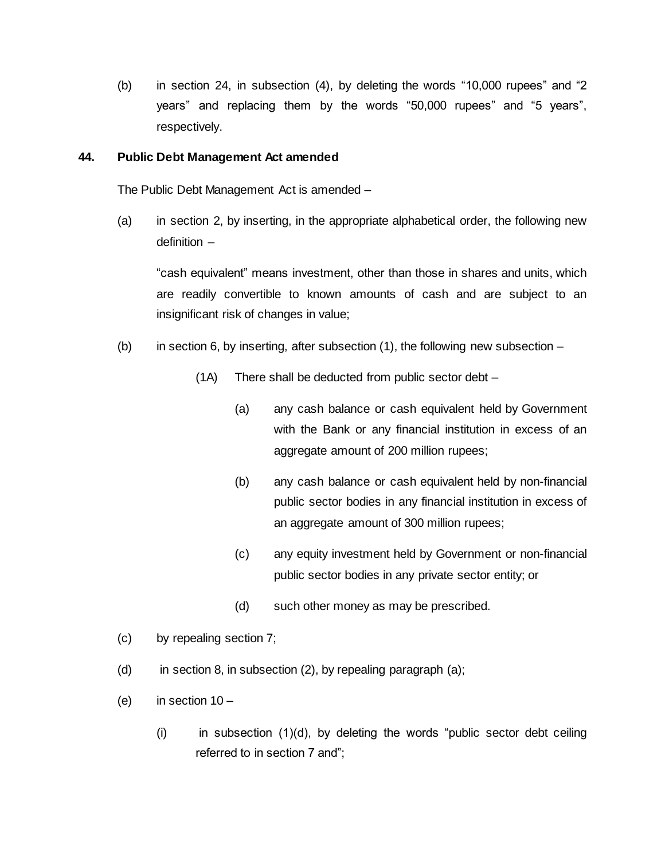(b) in section 24, in subsection (4), by deleting the words "10,000 rupees" and "2 years" and replacing them by the words "50,000 rupees" and "5 years", respectively.

## **44. Public Debt Management Act amended**

The Public Debt Management Act is amended –

(a) in section 2, by inserting, in the appropriate alphabetical order, the following new definition –

"cash equivalent" means investment, other than those in shares and units, which are readily convertible to known amounts of cash and are subject to an insignificant risk of changes in value;

- (b) in section 6, by inserting, after subsection  $(1)$ , the following new subsection
	- (1A) There shall be deducted from public sector debt
		- (a) any cash balance or cash equivalent held by Government with the Bank or any financial institution in excess of an aggregate amount of 200 million rupees;
		- (b) any cash balance or cash equivalent held by non-financial public sector bodies in any financial institution in excess of an aggregate amount of 300 million rupees;
		- (c) any equity investment held by Government or non-financial public sector bodies in any private sector entity; or
		- (d) such other money as may be prescribed.
- (c) by repealing section 7;
- (d) in section 8, in subsection  $(2)$ , by repealing paragraph  $(a)$ ;
- (e) in section  $10 -$ 
	- $(i)$  in subsection  $(1)(d)$ , by deleting the words "public sector debt ceiling referred to in section 7 and";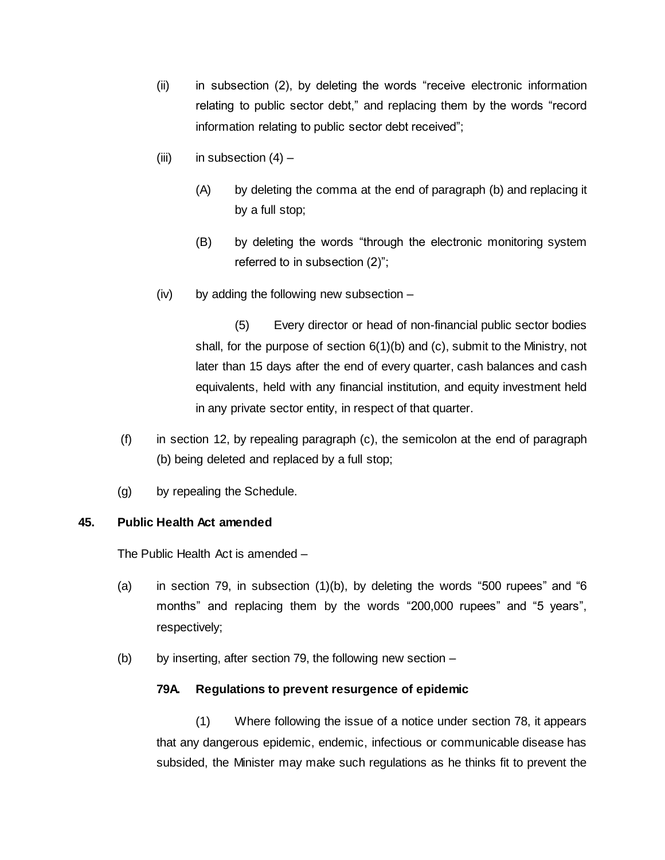- (ii) in subsection (2), by deleting the words "receive electronic information relating to public sector debt," and replacing them by the words "record information relating to public sector debt received";
- (iii) in subsection  $(4)$ 
	- (A) by deleting the comma at the end of paragraph (b) and replacing it by a full stop;
	- (B) by deleting the words "through the electronic monitoring system referred to in subsection (2)";
- (iv) by adding the following new subsection –

(5) Every director or head of non-financial public sector bodies shall, for the purpose of section 6(1)(b) and (c), submit to the Ministry, not later than 15 days after the end of every quarter, cash balances and cash equivalents, held with any financial institution, and equity investment held in any private sector entity, in respect of that quarter.

- (f) in section 12, by repealing paragraph (c), the semicolon at the end of paragraph (b) being deleted and replaced by a full stop;
- (g) by repealing the Schedule.

# **45. Public Health Act amended**

The Public Health Act is amended –

- (a) in section 79, in subsection (1)(b), by deleting the words "500 rupees" and "6 months" and replacing them by the words "200,000 rupees" and "5 years", respectively;
- (b) by inserting, after section 79, the following new section  $-$

# **79A. Regulations to prevent resurgence of epidemic**

(1) Where following the issue of a notice under section 78, it appears that any dangerous epidemic, endemic, infectious or communicable disease has subsided, the Minister may make such regulations as he thinks fit to prevent the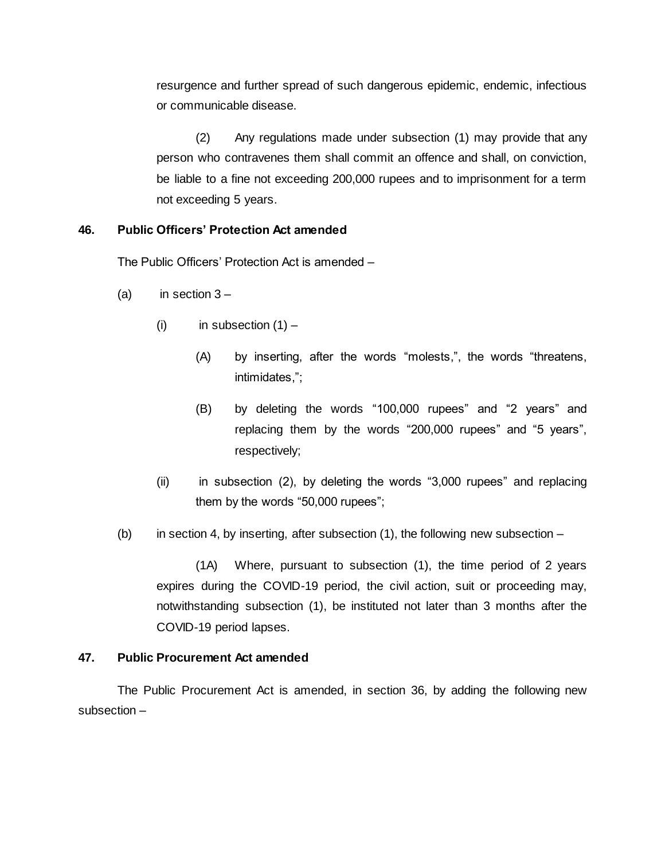resurgence and further spread of such dangerous epidemic, endemic, infectious or communicable disease.

(2) Any regulations made under subsection (1) may provide that any person who contravenes them shall commit an offence and shall, on conviction, be liable to a fine not exceeding 200,000 rupees and to imprisonment for a term not exceeding 5 years.

# **46. Public Officers' Protection Act amended**

The Public Officers' Protection Act is amended –

- (a) in section  $3 -$ 
	- (i) in subsection  $(1)$ 
		- (A) by inserting, after the words "molests,", the words "threatens, intimidates,";
		- (B) by deleting the words "100,000 rupees" and "2 years" and replacing them by the words "200,000 rupees" and "5 years", respectively;
	- (ii) in subsection (2), by deleting the words "3,000 rupees" and replacing them by the words "50,000 rupees";
- (b) in section 4, by inserting, after subsection  $(1)$ , the following new subsection –

(1A) Where, pursuant to subsection (1), the time period of 2 years expires during the COVID-19 period, the civil action, suit or proceeding may, notwithstanding subsection (1), be instituted not later than 3 months after the COVID-19 period lapses.

# **47. Public Procurement Act amended**

The Public Procurement Act is amended, in section 36, by adding the following new subsection –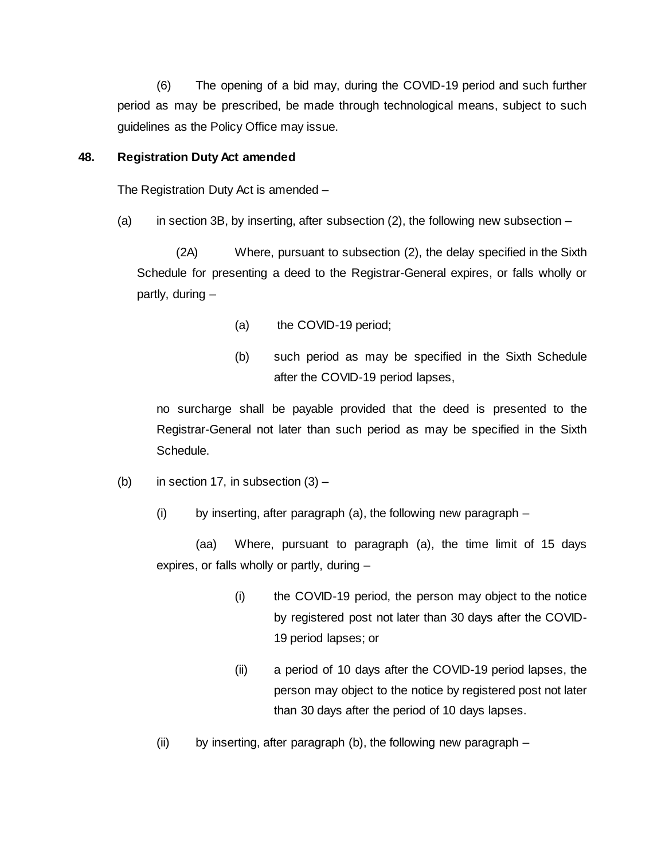(6) The opening of a bid may, during the COVID-19 period and such further period as may be prescribed, be made through technological means, subject to such guidelines as the Policy Office may issue.

## **48. Registration Duty Act amended**

The Registration Duty Act is amended –

(a) in section 3B, by inserting, after subsection  $(2)$ , the following new subsection –

(2A) Where, pursuant to subsection (2), the delay specified in the Sixth Schedule for presenting a deed to the Registrar-General expires, or falls wholly or partly, during –

- (a) the COVID-19 period;
- (b) such period as may be specified in the Sixth Schedule after the COVID-19 period lapses,

no surcharge shall be payable provided that the deed is presented to the Registrar-General not later than such period as may be specified in the Sixth Schedule.

(b) in section 17, in subsection  $(3)$  –

(i) by inserting, after paragraph (a), the following new paragraph –

(aa) Where, pursuant to paragraph (a), the time limit of 15 days expires, or falls wholly or partly, during –

- (i) the COVID-19 period, the person may object to the notice by registered post not later than 30 days after the COVID-19 period lapses; or
- (ii) a period of 10 days after the COVID-19 period lapses, the person may object to the notice by registered post not later than 30 days after the period of 10 days lapses.
- (ii) by inserting, after paragraph (b), the following new paragraph  $-$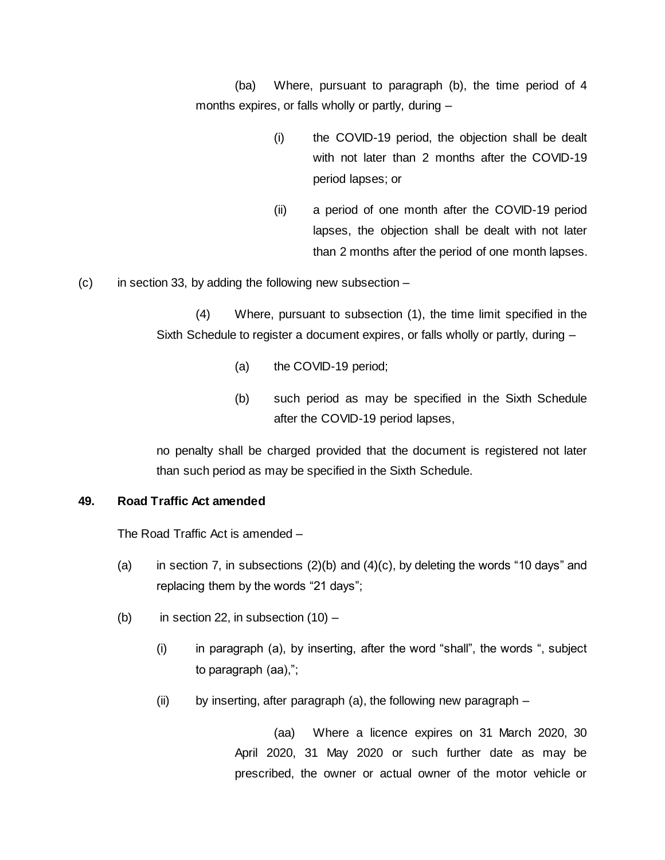(ba) Where, pursuant to paragraph (b), the time period of 4 months expires, or falls wholly or partly, during –

- (i) the COVID-19 period, the objection shall be dealt with not later than 2 months after the COVID-19 period lapses; or
- (ii) a period of one month after the COVID-19 period lapses, the objection shall be dealt with not later than 2 months after the period of one month lapses.

 $(c)$  in section 33, by adding the following new subsection –

(4) Where, pursuant to subsection (1), the time limit specified in the Sixth Schedule to register a document expires, or falls wholly or partly, during –

- (a) the COVID-19 period;
- (b) such period as may be specified in the Sixth Schedule after the COVID-19 period lapses,

no penalty shall be charged provided that the document is registered not later than such period as may be specified in the Sixth Schedule.

# **49. Road Traffic Act amended**

The Road Traffic Act is amended –

- (a) in section 7, in subsections  $(2)(b)$  and  $(4)(c)$ , by deleting the words "10 days" and replacing them by the words "21 days";
- (b) in section 22, in subsection  $(10)$ 
	- (i) in paragraph (a), by inserting, after the word "shall", the words ", subject to paragraph (aa),";
	- (ii) by inserting, after paragraph (a), the following new paragraph  $-$

(aa) Where a licence expires on 31 March 2020, 30 April 2020, 31 May 2020 or such further date as may be prescribed, the owner or actual owner of the motor vehicle or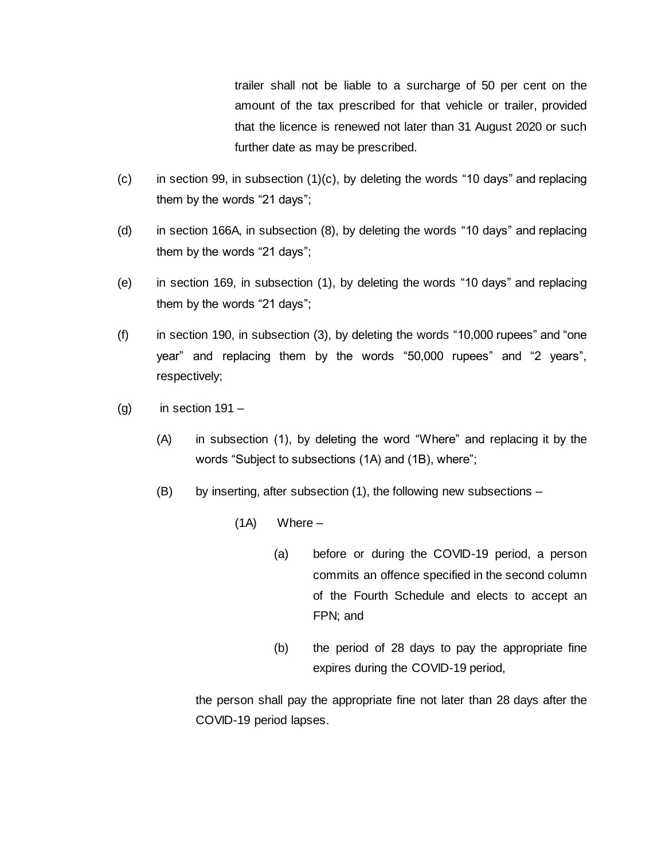trailer shall not be liable to a surcharge of 50 per cent on the amount of the tax prescribed for that vehicle or trailer, provided that the licence is renewed not later than 31 August 2020 or such further date as may be prescribed.

- $(c)$  in section 99, in subsection  $(1)(c)$ , by deleting the words "10 days" and replacing them by the words "21 days";
- (d) in section 166A, in subsection (8), by deleting the words "10 days" and replacing them by the words "21 days";
- (e) in section 169, in subsection (1), by deleting the words "10 days" and replacing them by the words "21 days";
- (f) in section 190, in subsection (3), by deleting the words "10,000 rupees" and "one year" and replacing them by the words "50,000 rupees" and "2 years", respectively;
- $(g)$  in section 191
	- (A) in subsection (1), by deleting the word "Where" and replacing it by the words "Subject to subsections (1A) and (1B), where";
	- (B) by inserting, after subsection (1), the following new subsections
		- (1A) Where
			- (a) before or during the COVID-19 period, a person commits an offence specified in the second column of the Fourth Schedule and elects to accept an FPN; and
			- (b) the period of 28 days to pay the appropriate fine expires during the COVID-19 period,

the person shall pay the appropriate fine not later than 28 days after the COVID-19 period lapses.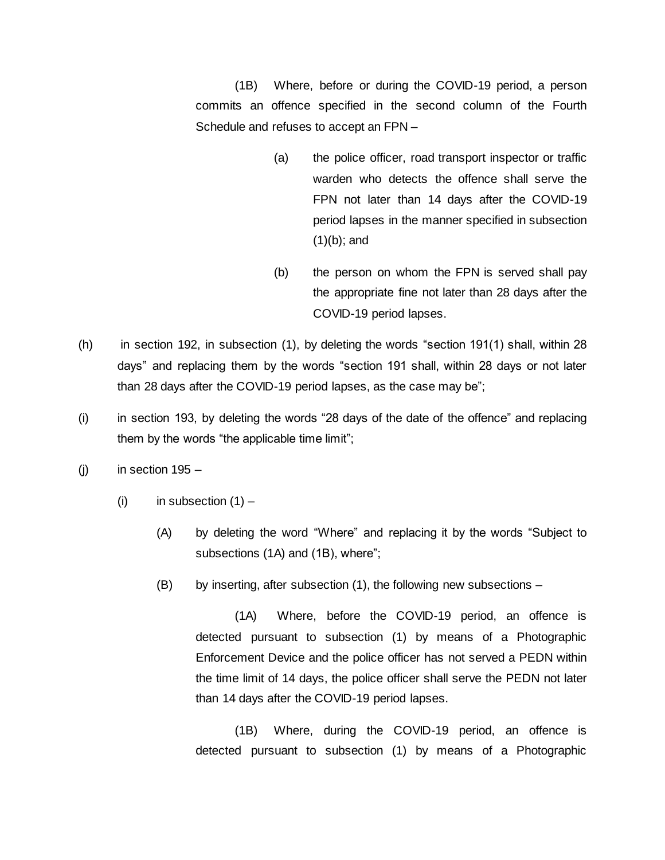(1B) Where, before or during the COVID-19 period, a person commits an offence specified in the second column of the Fourth Schedule and refuses to accept an FPN –

- (a) the police officer, road transport inspector or traffic warden who detects the offence shall serve the FPN not later than 14 days after the COVID-19 period lapses in the manner specified in subsection (1)(b); and
- (b) the person on whom the FPN is served shall pay the appropriate fine not later than 28 days after the COVID-19 period lapses.
- (h) in section 192, in subsection (1), by deleting the words "section 191(1) shall, within 28 days" and replacing them by the words "section 191 shall, within 28 days or not later than 28 days after the COVID-19 period lapses, as the case may be";
- (i) in section 193, by deleting the words "28 days of the date of the offence" and replacing them by the words "the applicable time limit";
- $(j)$  in section 195
	- (i) in subsection  $(1)$ 
		- (A) by deleting the word "Where" and replacing it by the words "Subject to subsections (1A) and (1B), where";
		- (B) by inserting, after subsection (1), the following new subsections –

(1A) Where, before the COVID-19 period, an offence is detected pursuant to subsection (1) by means of a Photographic Enforcement Device and the police officer has not served a PEDN within the time limit of 14 days, the police officer shall serve the PEDN not later than 14 days after the COVID-19 period lapses.

(1B) Where, during the COVID-19 period, an offence is detected pursuant to subsection (1) by means of a Photographic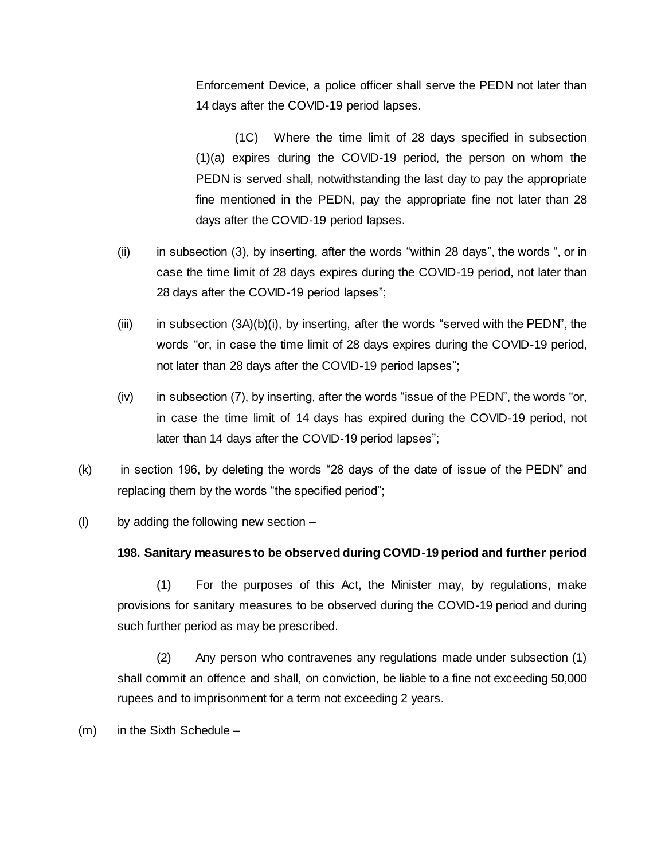Enforcement Device, a police officer shall serve the PEDN not later than 14 days after the COVID-19 period lapses.

(1C) Where the time limit of 28 days specified in subsection (1)(a) expires during the COVID-19 period, the person on whom the PEDN is served shall, notwithstanding the last day to pay the appropriate fine mentioned in the PEDN, pay the appropriate fine not later than 28 days after the COVID-19 period lapses.

- (ii) in subsection (3), by inserting, after the words "within 28 days", the words ", or in case the time limit of 28 days expires during the COVID-19 period, not later than 28 days after the COVID-19 period lapses";
- $(iii)$  in subsection  $(3A)(b)(i)$ , by inserting, after the words "served with the PEDN", the words "or, in case the time limit of 28 days expires during the COVID-19 period, not later than 28 days after the COVID-19 period lapses";
- (iv) in subsection (7), by inserting, after the words "issue of the PEDN", the words "or, in case the time limit of 14 days has expired during the COVID-19 period, not later than 14 days after the COVID-19 period lapses";
- (k) in section 196, by deleting the words "28 days of the date of issue of the PEDN" and replacing them by the words "the specified period";
- (I) by adding the following new section  $-$

# **198. Sanitary measures to be observed during COVID-19 period and further period**

(1) For the purposes of this Act, the Minister may, by regulations, make provisions for sanitary measures to be observed during the COVID-19 period and during such further period as may be prescribed.

(2) Any person who contravenes any regulations made under subsection (1) shall commit an offence and shall, on conviction, be liable to a fine not exceeding 50,000 rupees and to imprisonment for a term not exceeding 2 years.

(m) in the Sixth Schedule –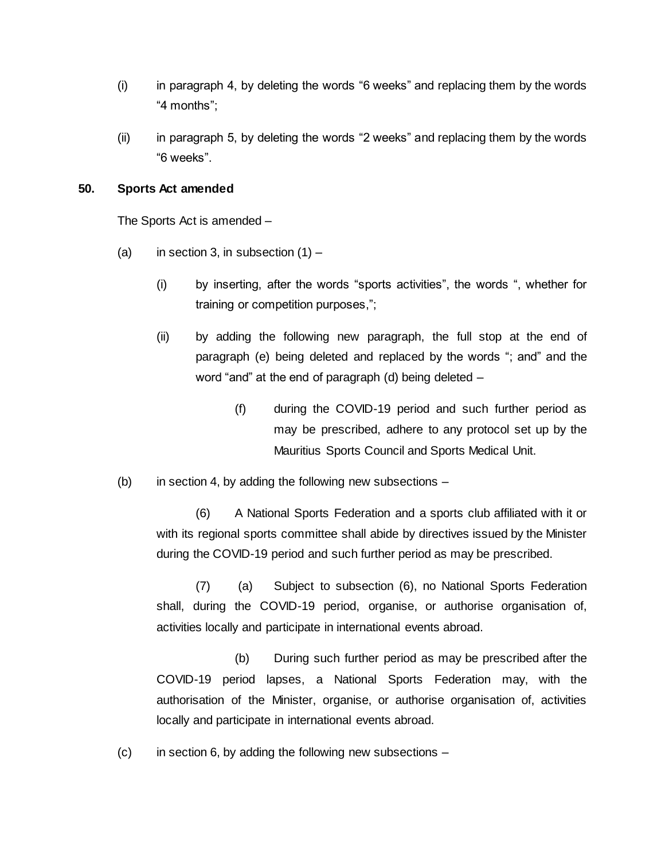- (i) in paragraph 4, by deleting the words "6 weeks" and replacing them by the words "4 months";
- (ii) in paragraph 5, by deleting the words "2 weeks" and replacing them by the words "6 weeks".

## **50. Sports Act amended**

The Sports Act is amended –

- (a) in section 3, in subsection  $(1)$ 
	- (i) by inserting, after the words "sports activities", the words ", whether for training or competition purposes,";
	- (ii) by adding the following new paragraph, the full stop at the end of paragraph (e) being deleted and replaced by the words "; and" and the word "and" at the end of paragraph (d) being deleted –
		- (f) during the COVID-19 period and such further period as may be prescribed, adhere to any protocol set up by the Mauritius Sports Council and Sports Medical Unit.
- $(b)$  in section 4, by adding the following new subsections –

(6) A National Sports Federation and a sports club affiliated with it or with its regional sports committee shall abide by directives issued by the Minister during the COVID-19 period and such further period as may be prescribed.

(7) (a) Subject to subsection (6), no National Sports Federation shall, during the COVID-19 period, organise, or authorise organisation of, activities locally and participate in international events abroad.

(b) During such further period as may be prescribed after the COVID-19 period lapses, a National Sports Federation may, with the authorisation of the Minister, organise, or authorise organisation of, activities locally and participate in international events abroad.

 $(c)$  in section 6, by adding the following new subsections –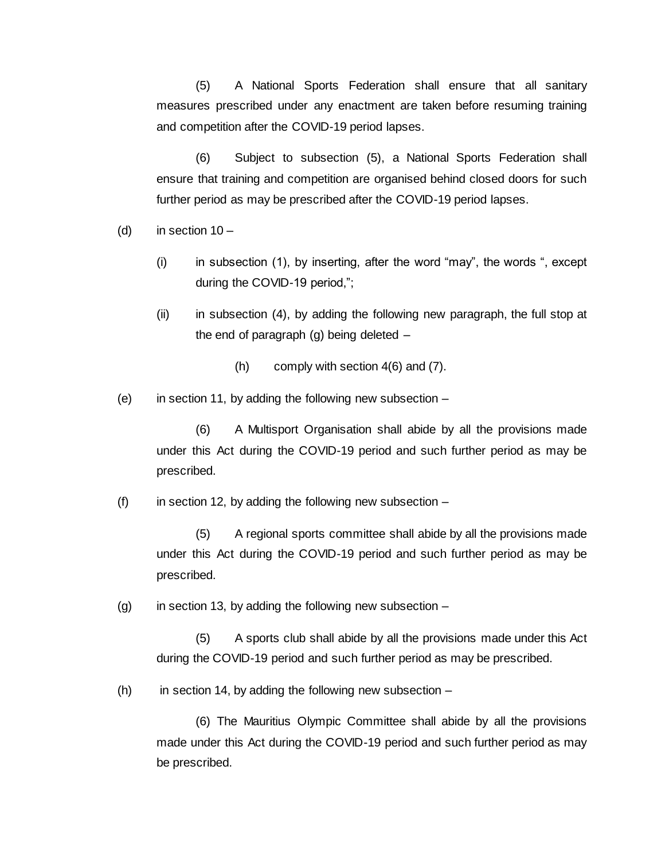(5) A National Sports Federation shall ensure that all sanitary measures prescribed under any enactment are taken before resuming training and competition after the COVID-19 period lapses.

(6) Subject to subsection (5), a National Sports Federation shall ensure that training and competition are organised behind closed doors for such further period as may be prescribed after the COVID-19 period lapses.

- (d) in section  $10 -$ 
	- (i) in subsection (1), by inserting, after the word "may", the words ", except during the COVID-19 period,";
	- (ii) in subsection (4), by adding the following new paragraph, the full stop at the end of paragraph (g) being deleted –
		- (h) comply with section 4(6) and (7).
- (e) in section 11, by adding the following new subsection  $-$

(6) A Multisport Organisation shall abide by all the provisions made under this Act during the COVID-19 period and such further period as may be prescribed.

(f) in section 12, by adding the following new subsection  $-$ 

(5) A regional sports committee shall abide by all the provisions made under this Act during the COVID-19 period and such further period as may be prescribed.

 $(g)$  in section 13, by adding the following new subsection –

(5) A sports club shall abide by all the provisions made under this Act during the COVID-19 period and such further period as may be prescribed.

 $(h)$  in section 14, by adding the following new subsection  $-$ 

(6) The Mauritius Olympic Committee shall abide by all the provisions made under this Act during the COVID-19 period and such further period as may be prescribed.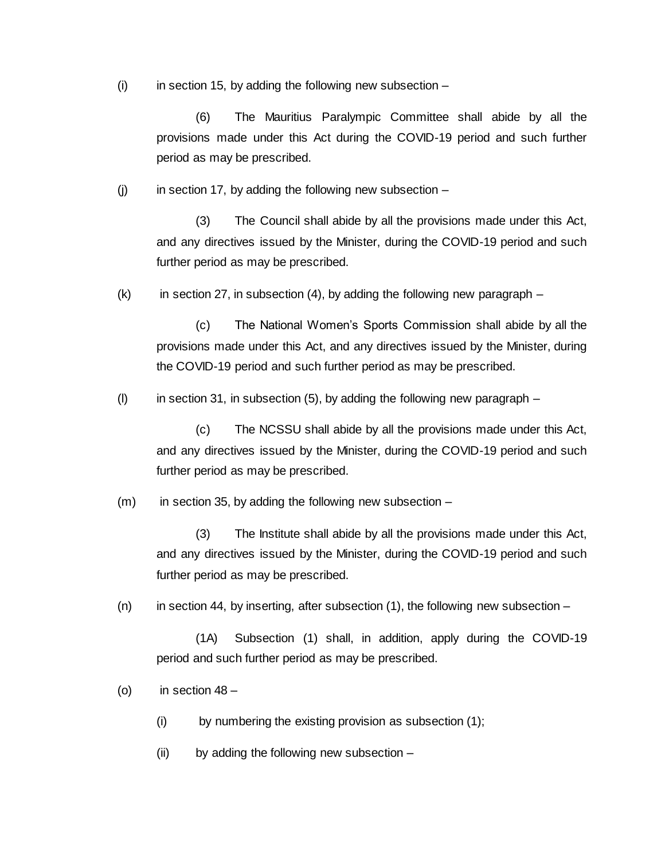$(i)$  in section 15, by adding the following new subsection –

(6) The Mauritius Paralympic Committee shall abide by all the provisions made under this Act during the COVID-19 period and such further period as may be prescribed.

 $(i)$  in section 17, by adding the following new subsection –

(3) The Council shall abide by all the provisions made under this Act, and any directives issued by the Minister, during the COVID-19 period and such further period as may be prescribed.

 $(k)$  in section 27, in subsection (4), by adding the following new paragraph –

(c) The National Women's Sports Commission shall abide by all the provisions made under this Act, and any directives issued by the Minister, during the COVID-19 period and such further period as may be prescribed.

(I) in section 31, in subsection  $(5)$ , by adding the following new paragraph –

(c) The NCSSU shall abide by all the provisions made under this Act, and any directives issued by the Minister, during the COVID-19 period and such further period as may be prescribed.

 $(m)$  in section 35, by adding the following new subsection –

(3) The Institute shall abide by all the provisions made under this Act, and any directives issued by the Minister, during the COVID-19 period and such further period as may be prescribed.

 $(n)$  in section 44, by inserting, after subsection  $(1)$ , the following new subsection –

(1A) Subsection (1) shall, in addition, apply during the COVID-19 period and such further period as may be prescribed.

(o) in section  $48 -$ 

(i) by numbering the existing provision as subsection (1);

(ii) by adding the following new subsection –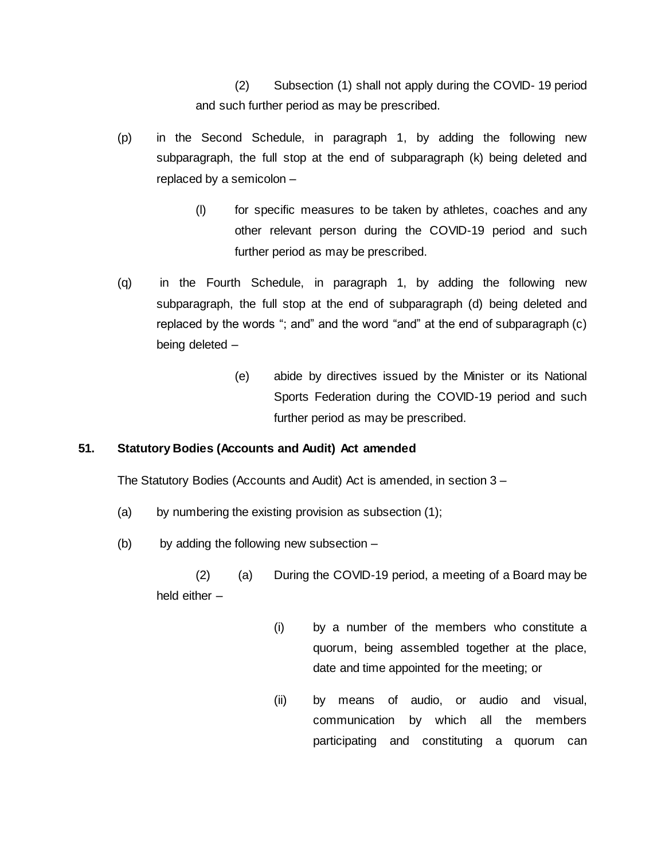(2) Subsection (1) shall not apply during the COVID- 19 period and such further period as may be prescribed.

- (p) in the Second Schedule, in paragraph 1, by adding the following new subparagraph, the full stop at the end of subparagraph (k) being deleted and replaced by a semicolon –
	- (l) for specific measures to be taken by athletes, coaches and any other relevant person during the COVID-19 period and such further period as may be prescribed.
- (q) in the Fourth Schedule, in paragraph 1, by adding the following new subparagraph, the full stop at the end of subparagraph (d) being deleted and replaced by the words "; and" and the word "and" at the end of subparagraph (c) being deleted –
	- (e) abide by directives issued by the Minister or its National Sports Federation during the COVID-19 period and such further period as may be prescribed.

# **51. Statutory Bodies (Accounts and Audit) Act amended**

The Statutory Bodies (Accounts and Audit) Act is amended, in section 3 –

- (a) by numbering the existing provision as subsection (1);
- (b) by adding the following new subsection –

(2) (a) During the COVID-19 period, a meeting of a Board may be held either –

- (i) by a number of the members who constitute a quorum, being assembled together at the place, date and time appointed for the meeting; or
- (ii) by means of audio, or audio and visual, communication by which all the members participating and constituting a quorum can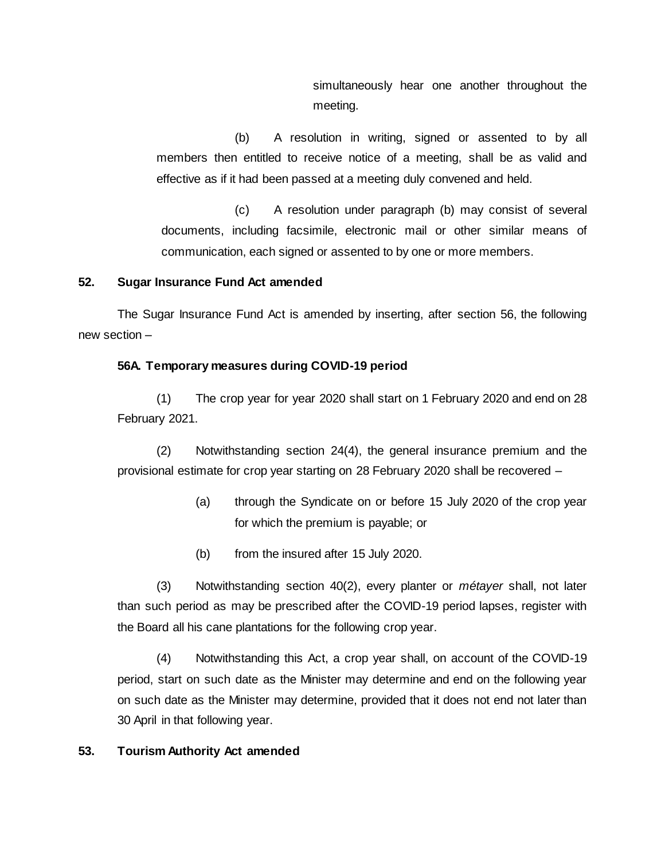simultaneously hear one another throughout the meeting.

(b) A resolution in writing, signed or assented to by all members then entitled to receive notice of a meeting, shall be as valid and effective as if it had been passed at a meeting duly convened and held.

(c) A resolution under paragraph (b) may consist of several documents, including facsimile, electronic mail or other similar means of communication, each signed or assented to by one or more members.

# **52. Sugar Insurance Fund Act amended**

The Sugar Insurance Fund Act is amended by inserting, after section 56, the following new section –

# **56A. Temporary measures during COVID-19 period**

(1) The crop year for year 2020 shall start on 1 February 2020 and end on 28 February 2021.

(2) Notwithstanding section 24(4), the general insurance premium and the provisional estimate for crop year starting on 28 February 2020 shall be recovered –

- (a) through the Syndicate on or before 15 July 2020 of the crop year for which the premium is payable; or
- (b) from the insured after 15 July 2020.

(3) Notwithstanding section 40(2), every planter or *métayer* shall, not later than such period as may be prescribed after the COVID-19 period lapses, register with the Board all his cane plantations for the following crop year.

(4) Notwithstanding this Act, a crop year shall, on account of the COVID-19 period, start on such date as the Minister may determine and end on the following year on such date as the Minister may determine, provided that it does not end not later than 30 April in that following year.

# **53. Tourism Authority Act amended**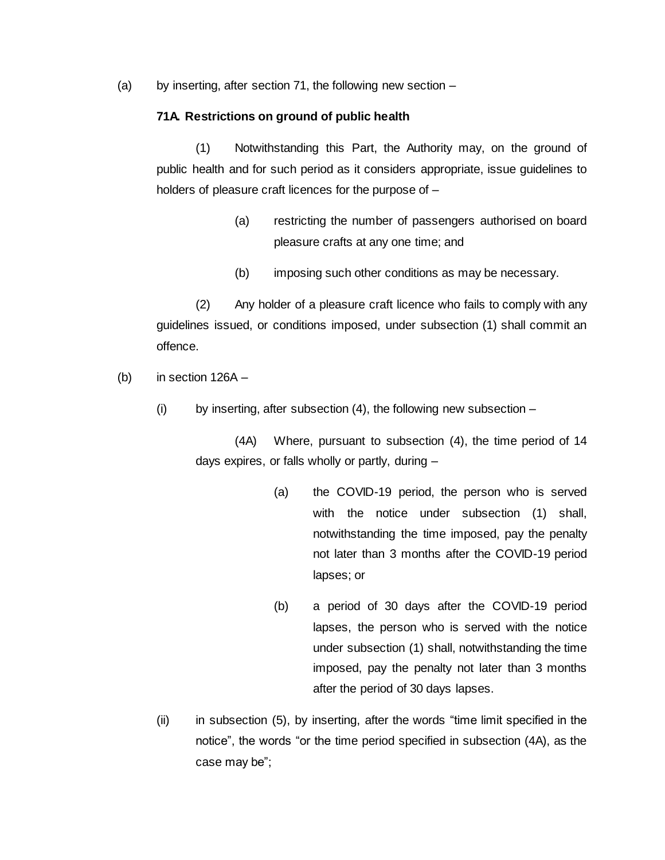(a) by inserting, after section 71, the following new section –

#### **71A. Restrictions on ground of public health**

(1) Notwithstanding this Part, the Authority may, on the ground of public health and for such period as it considers appropriate, issue guidelines to holders of pleasure craft licences for the purpose of -

- (a) restricting the number of passengers authorised on board pleasure crafts at any one time; and
- (b) imposing such other conditions as may be necessary.

(2) Any holder of a pleasure craft licence who fails to comply with any guidelines issued, or conditions imposed, under subsection (1) shall commit an offence.

- (b) in section 126A
	- $(i)$  by inserting, after subsection  $(4)$ , the following new subsection –

(4A) Where, pursuant to subsection (4), the time period of 14 days expires, or falls wholly or partly, during –

- (a) the COVID-19 period, the person who is served with the notice under subsection (1) shall, notwithstanding the time imposed, pay the penalty not later than 3 months after the COVID-19 period lapses; or
- (b) a period of 30 days after the COVID-19 period lapses, the person who is served with the notice under subsection (1) shall, notwithstanding the time imposed, pay the penalty not later than 3 months after the period of 30 days lapses.
- (ii) in subsection (5), by inserting, after the words "time limit specified in the notice", the words "or the time period specified in subsection (4A), as the case may be";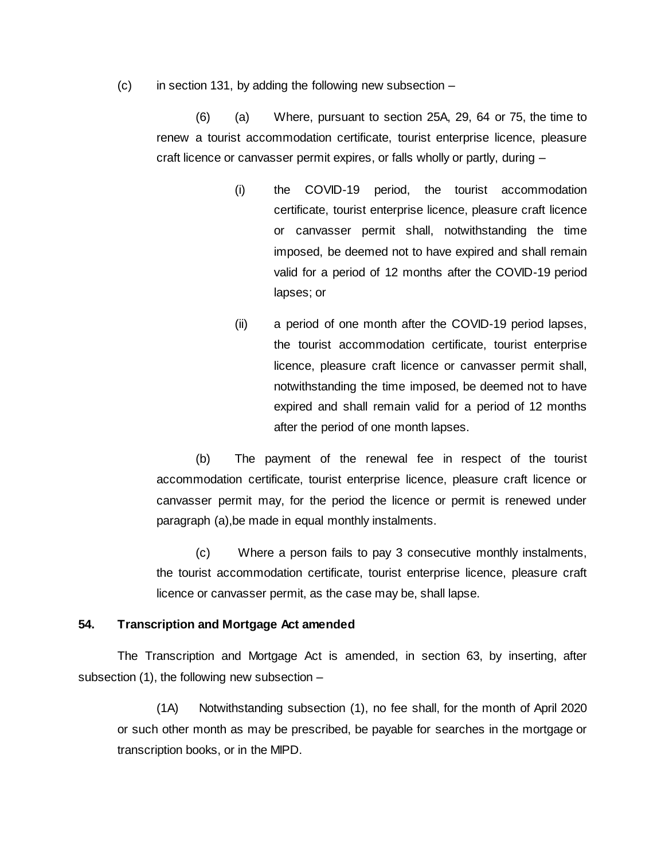$(c)$  in section 131, by adding the following new subsection –

(6) (a) Where, pursuant to section 25A, 29, 64 or 75, the time to renew a tourist accommodation certificate, tourist enterprise licence, pleasure craft licence or canvasser permit expires, or falls wholly or partly, during –

- (i) the COVID-19 period, the tourist accommodation certificate, tourist enterprise licence, pleasure craft licence or canvasser permit shall, notwithstanding the time imposed, be deemed not to have expired and shall remain valid for a period of 12 months after the COVID-19 period lapses; or
- (ii) a period of one month after the COVID-19 period lapses, the tourist accommodation certificate, tourist enterprise licence, pleasure craft licence or canvasser permit shall, notwithstanding the time imposed, be deemed not to have expired and shall remain valid for a period of 12 months after the period of one month lapses.

(b) The payment of the renewal fee in respect of the tourist accommodation certificate, tourist enterprise licence, pleasure craft licence or canvasser permit may, for the period the licence or permit is renewed under paragraph (a),be made in equal monthly instalments.

(c) Where a person fails to pay 3 consecutive monthly instalments, the tourist accommodation certificate, tourist enterprise licence, pleasure craft licence or canvasser permit, as the case may be, shall lapse.

#### **54. Transcription and Mortgage Act amended**

The Transcription and Mortgage Act is amended, in section 63, by inserting, after subsection (1), the following new subsection –

(1A) Notwithstanding subsection (1), no fee shall, for the month of April 2020 or such other month as may be prescribed, be payable for searches in the mortgage or transcription books, or in the MIPD.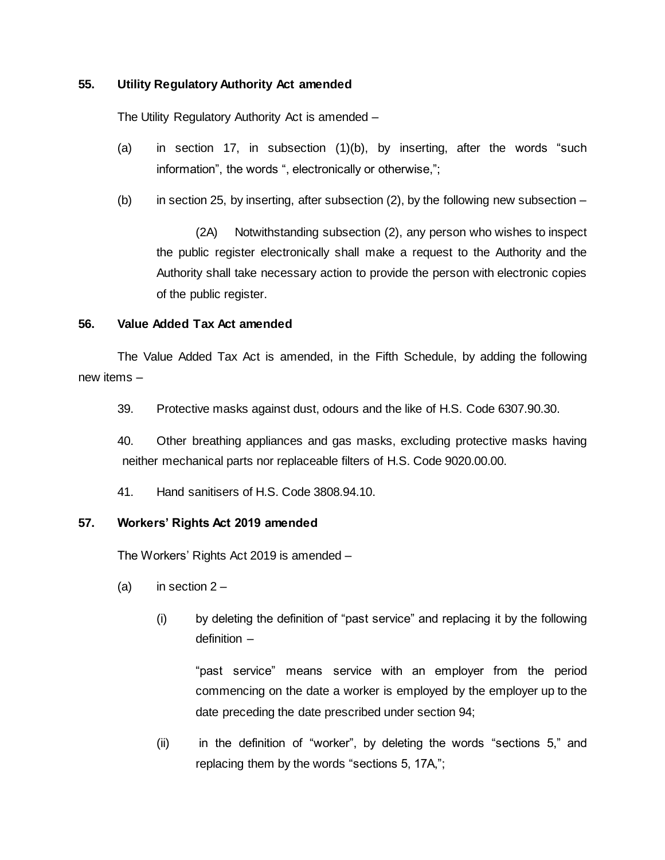## **55. Utility Regulatory Authority Act amended**

The Utility Regulatory Authority Act is amended –

- (a) in section 17, in subsection (1)(b), by inserting, after the words "such information", the words ", electronically or otherwise,";
- (b) in section 25, by inserting, after subsection  $(2)$ , by the following new subsection –

(2A) Notwithstanding subsection (2), any person who wishes to inspect the public register electronically shall make a request to the Authority and the Authority shall take necessary action to provide the person with electronic copies of the public register.

## **56. Value Added Tax Act amended**

The Value Added Tax Act is amended, in the Fifth Schedule, by adding the following new items –

39. Protective masks against dust, odours and the like of H.S. Code 6307.90.30.

40. Other breathing appliances and gas masks, excluding protective masks having neither mechanical parts nor replaceable filters of H.S. Code 9020.00.00.

41. Hand sanitisers of H.S. Code 3808.94.10.

## **57. Workers' Rights Act 2019 amended**

The Workers' Rights Act 2019 is amended –

- (a) in section  $2 -$ 
	- (i) by deleting the definition of "past service" and replacing it by the following definition –

"past service" means service with an employer from the period commencing on the date a worker is employed by the employer up to the date preceding the date prescribed under section 94;

(ii) in the definition of "worker", by deleting the words "sections 5," and replacing them by the words "sections 5, 17A,";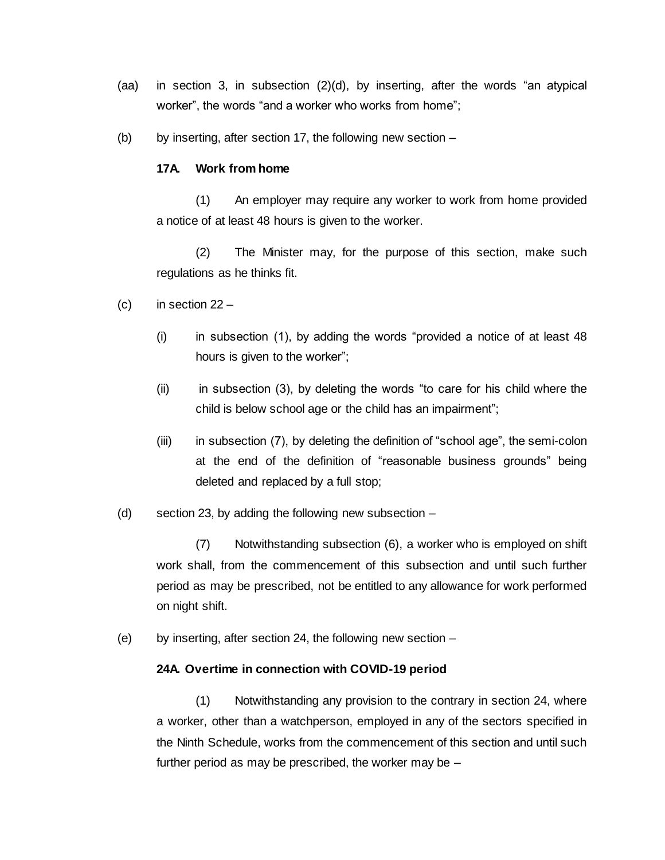- (aa) in section 3, in subsection (2)(d), by inserting, after the words "an atypical worker", the words "and a worker who works from home";
- (b) by inserting, after section 17, the following new section  $-$

#### **17A. Work from home**

(1) An employer may require any worker to work from home provided a notice of at least 48 hours is given to the worker.

(2) The Minister may, for the purpose of this section, make such regulations as he thinks fit.

- (c) in section  $22 -$ 
	- (i) in subsection (1), by adding the words "provided a notice of at least 48 hours is given to the worker";
	- (ii) in subsection (3), by deleting the words "to care for his child where the child is below school age or the child has an impairment";
	- (iii) in subsection (7), by deleting the definition of "school age", the semi-colon at the end of the definition of "reasonable business grounds" being deleted and replaced by a full stop;
- (d) section 23, by adding the following new subsection –

(7) Notwithstanding subsection (6), a worker who is employed on shift work shall, from the commencement of this subsection and until such further period as may be prescribed, not be entitled to any allowance for work performed on night shift.

(e) by inserting, after section 24, the following new section –

#### **24A. Overtime in connection with COVID-19 period**

(1) Notwithstanding any provision to the contrary in section 24, where a worker, other than a watchperson, employed in any of the sectors specified in the Ninth Schedule, works from the commencement of this section and until such further period as may be prescribed, the worker may be –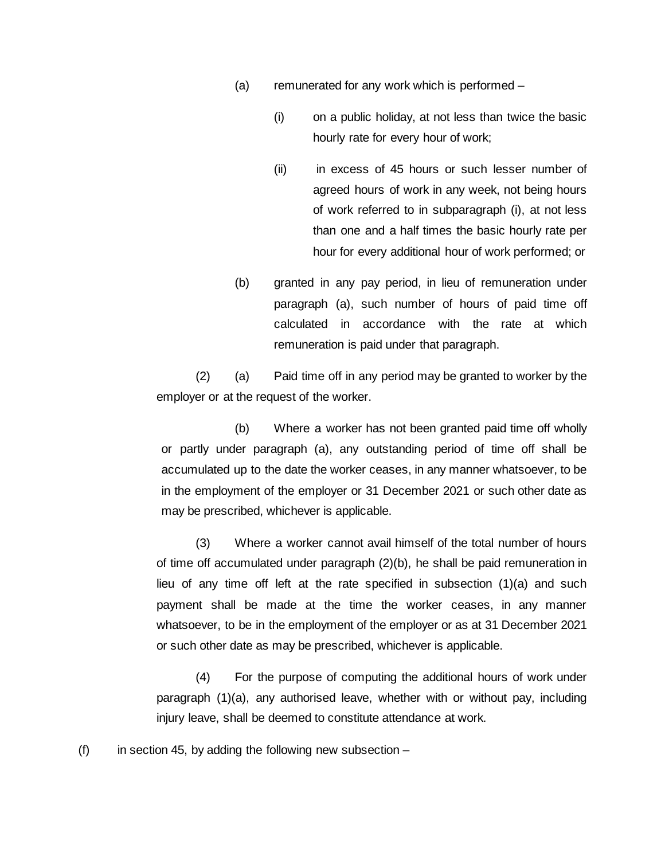- (a) remunerated for any work which is performed
	- (i) on a public holiday, at not less than twice the basic hourly rate for every hour of work;
	- (ii) in excess of 45 hours or such lesser number of agreed hours of work in any week, not being hours of work referred to in subparagraph (i), at not less than one and a half times the basic hourly rate per hour for every additional hour of work performed; or
- (b) granted in any pay period, in lieu of remuneration under paragraph (a), such number of hours of paid time off calculated in accordance with the rate at which remuneration is paid under that paragraph.

(2) (a) Paid time off in any period may be granted to worker by the employer or at the request of the worker.

(b) Where a worker has not been granted paid time off wholly or partly under paragraph (a), any outstanding period of time off shall be accumulated up to the date the worker ceases, in any manner whatsoever, to be in the employment of the employer or 31 December 2021 or such other date as may be prescribed, whichever is applicable.

(3) Where a worker cannot avail himself of the total number of hours of time off accumulated under paragraph (2)(b), he shall be paid remuneration in lieu of any time off left at the rate specified in subsection (1)(a) and such payment shall be made at the time the worker ceases, in any manner whatsoever, to be in the employment of the employer or as at 31 December 2021 or such other date as may be prescribed, whichever is applicable.

(4) For the purpose of computing the additional hours of work under paragraph (1)(a), any authorised leave, whether with or without pay, including injury leave, shall be deemed to constitute attendance at work.

(f) in section 45, by adding the following new subsection  $-$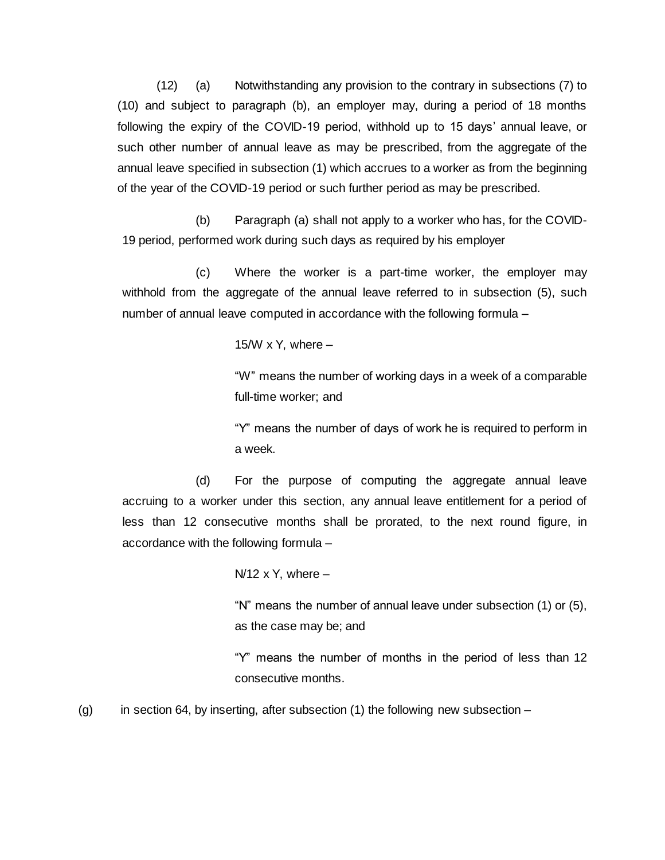(12) (a) Notwithstanding any provision to the contrary in subsections (7) to (10) and subject to paragraph (b), an employer may, during a period of 18 months following the expiry of the COVID-19 period, withhold up to 15 days' annual leave, or such other number of annual leave as may be prescribed, from the aggregate of the annual leave specified in subsection (1) which accrues to a worker as from the beginning of the year of the COVID-19 period or such further period as may be prescribed.

(b) Paragraph (a) shall not apply to a worker who has, for the COVID-19 period, performed work during such days as required by his employer

(c) Where the worker is a part-time worker, the employer may withhold from the aggregate of the annual leave referred to in subsection (5), such number of annual leave computed in accordance with the following formula –

15/W  $\times$  Y, where  $-$ 

"W" means the number of working days in a week of a comparable full-time worker; and

"Y" means the number of days of work he is required to perform in a week.

(d) For the purpose of computing the aggregate annual leave accruing to a worker under this section, any annual leave entitlement for a period of less than 12 consecutive months shall be prorated, to the next round figure, in accordance with the following formula –

 $N/12$  x Y, where  $-$ 

"N" means the number of annual leave under subsection (1) or (5), as the case may be; and

"Y" means the number of months in the period of less than 12 consecutive months.

(g) in section 64, by inserting, after subsection (1) the following new subsection  $-$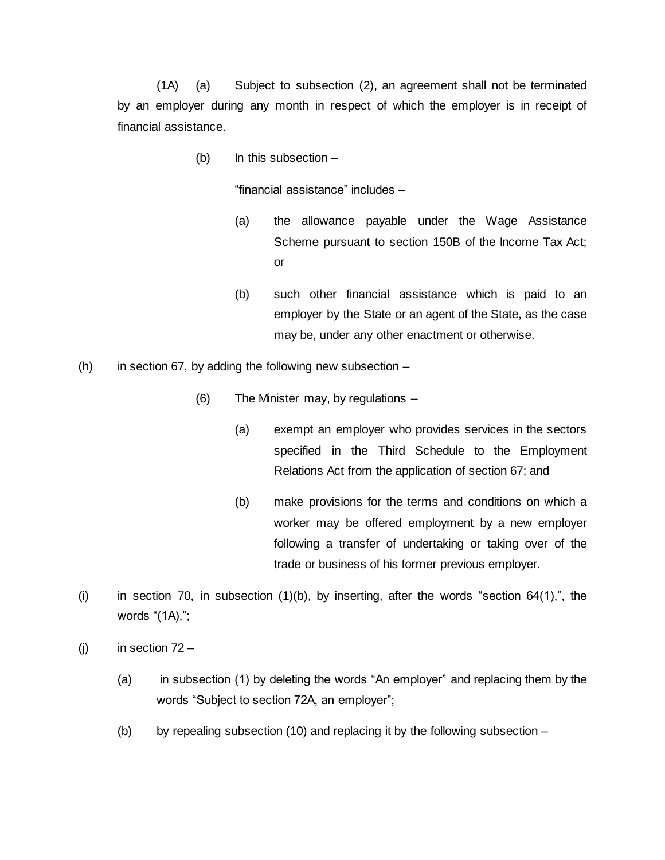(1A) (a) Subject to subsection (2), an agreement shall not be terminated by an employer during any month in respect of which the employer is in receipt of financial assistance.

 $(b)$  In this subsection  $-$ 

"financial assistance" includes –

- (a) the allowance payable under the Wage Assistance Scheme pursuant to section 150B of the Income Tax Act; or
- (b) such other financial assistance which is paid to an employer by the State or an agent of the State, as the case may be, under any other enactment or otherwise.
- (h) in section 67, by adding the following new subsection  $-$ 
	- (6) The Minister may, by regulations
		- (a) exempt an employer who provides services in the sectors specified in the Third Schedule to the Employment Relations Act from the application of section 67; and
		- (b) make provisions for the terms and conditions on which a worker may be offered employment by a new employer following a transfer of undertaking or taking over of the trade or business of his former previous employer.
- (i) in section 70, in subsection  $(1)(b)$ , by inserting, after the words "section 64 $(1)$ ,", the words "(1A),";
- (j) in section  $72 -$ 
	- (a) in subsection (1) by deleting the words "An employer" and replacing them by the words "Subject to section 72A, an employer";
	- (b) by repealing subsection (10) and replacing it by the following subsection  $-$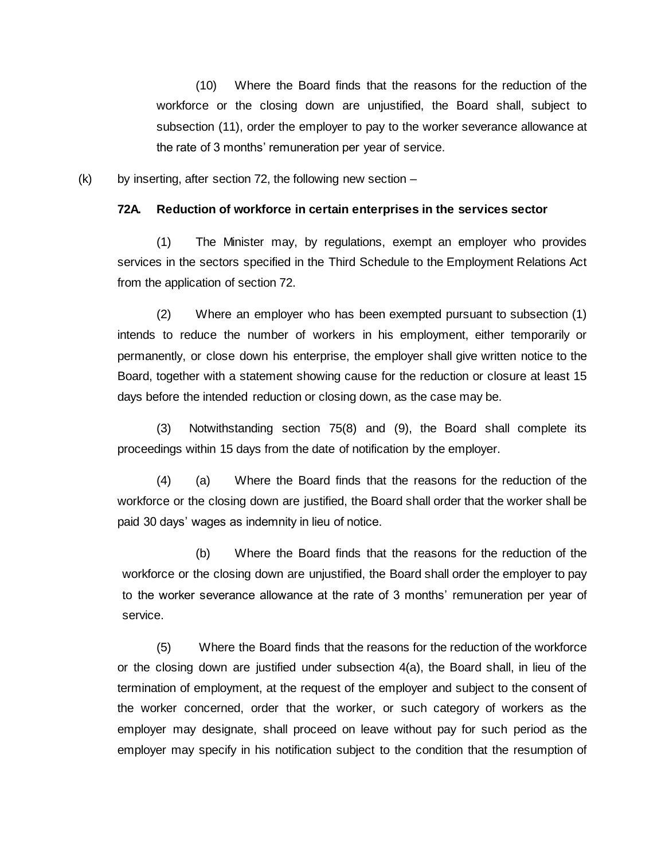(10) Where the Board finds that the reasons for the reduction of the workforce or the closing down are unjustified, the Board shall, subject to subsection (11), order the employer to pay to the worker severance allowance at the rate of 3 months' remuneration per year of service.

 $(k)$  by inserting, after section 72, the following new section –

#### **72A. Reduction of workforce in certain enterprises in the services sector**

(1) The Minister may, by regulations, exempt an employer who provides services in the sectors specified in the Third Schedule to the Employment Relations Act from the application of section 72.

(2) Where an employer who has been exempted pursuant to subsection (1) intends to reduce the number of workers in his employment, either temporarily or permanently, or close down his enterprise, the employer shall give written notice to the Board, together with a statement showing cause for the reduction or closure at least 15 days before the intended reduction or closing down, as the case may be.

(3) Notwithstanding section 75(8) and (9), the Board shall complete its proceedings within 15 days from the date of notification by the employer.

(4) (a) Where the Board finds that the reasons for the reduction of the workforce or the closing down are justified, the Board shall order that the worker shall be paid 30 days' wages as indemnity in lieu of notice.

(b) Where the Board finds that the reasons for the reduction of the workforce or the closing down are unjustified, the Board shall order the employer to pay to the worker severance allowance at the rate of 3 months' remuneration per year of service.

(5) Where the Board finds that the reasons for the reduction of the workforce or the closing down are justified under subsection 4(a), the Board shall, in lieu of the termination of employment, at the request of the employer and subject to the consent of the worker concerned, order that the worker, or such category of workers as the employer may designate, shall proceed on leave without pay for such period as the employer may specify in his notification subject to the condition that the resumption of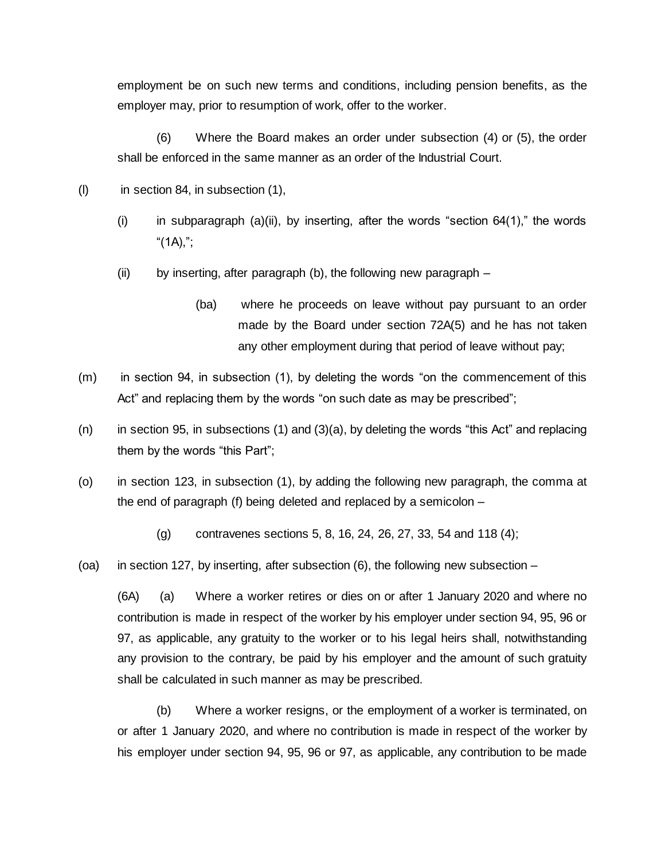employment be on such new terms and conditions, including pension benefits, as the employer may, prior to resumption of work, offer to the worker.

(6) Where the Board makes an order under subsection (4) or (5), the order shall be enforced in the same manner as an order of the Industrial Court.

- (l) in section 84, in subsection (1),
	- (i) in subparagraph (a)(ii), by inserting, after the words "section  $64(1)$ ," the words "( $1A$ ),";
	- (ii) by inserting, after paragraph (b), the following new paragraph
		- (ba) where he proceeds on leave without pay pursuant to an order made by the Board under section 72A(5) and he has not taken any other employment during that period of leave without pay;
- (m) in section 94, in subsection (1), by deleting the words "on the commencement of this Act" and replacing them by the words "on such date as may be prescribed";
- (n) in section 95, in subsections (1) and (3)(a), by deleting the words "this Act" and replacing them by the words "this Part";
- (o) in section 123, in subsection (1), by adding the following new paragraph, the comma at the end of paragraph (f) being deleted and replaced by a semicolon –
	- (g) contravenes sections 5, 8, 16, 24, 26, 27, 33, 54 and 118 (4);
- (oa) in section 127, by inserting, after subsection (6), the following new subsection –

(6A) (a) Where a worker retires or dies on or after 1 January 2020 and where no contribution is made in respect of the worker by his employer under section 94, 95, 96 or 97, as applicable, any gratuity to the worker or to his legal heirs shall, notwithstanding any provision to the contrary, be paid by his employer and the amount of such gratuity shall be calculated in such manner as may be prescribed.

(b) Where a worker resigns, or the employment of a worker is terminated, on or after 1 January 2020, and where no contribution is made in respect of the worker by his employer under section 94, 95, 96 or 97, as applicable, any contribution to be made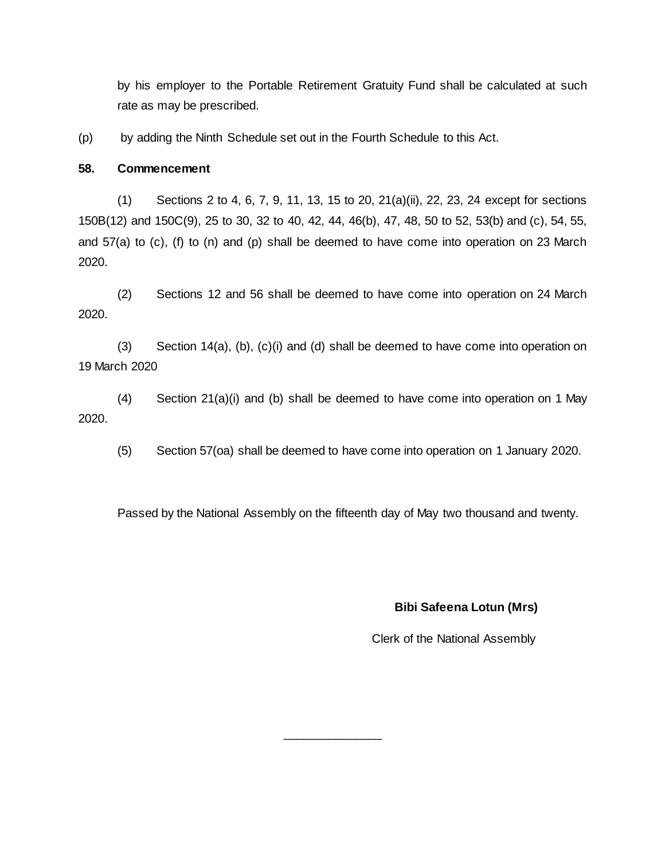by his employer to the Portable Retirement Gratuity Fund shall be calculated at such rate as may be prescribed.

(p) by adding the Ninth Schedule set out in the Fourth Schedule to this Act.

#### **58. Commencement**

(1) Sections 2 to 4, 6, 7, 9, 11, 13, 15 to 20, 21(a)(ii), 22, 23, 24 except for sections 150B(12) and 150C(9), 25 to 30, 32 to 40, 42, 44, 46(b), 47, 48, 50 to 52, 53(b) and (c), 54, 55, and 57(a) to (c), (f) to (n) and (p) shall be deemed to have come into operation on 23 March 2020.

(2) Sections 12 and 56 shall be deemed to have come into operation on 24 March 2020.

(3) Section 14(a), (b), (c)(i) and (d) shall be deemed to have come into operation on 19 March 2020

(4) Section 21(a)(i) and (b) shall be deemed to have come into operation on 1 May 2020.

(5) Section 57(oa) shall be deemed to have come into operation on 1 January 2020.

Passed by the National Assembly on the fifteenth day of May two thousand and twenty.

\_\_\_\_\_\_\_\_\_\_\_\_\_\_\_

## **Bibi Safeena Lotun (Mrs)**

Clerk of the National Assembly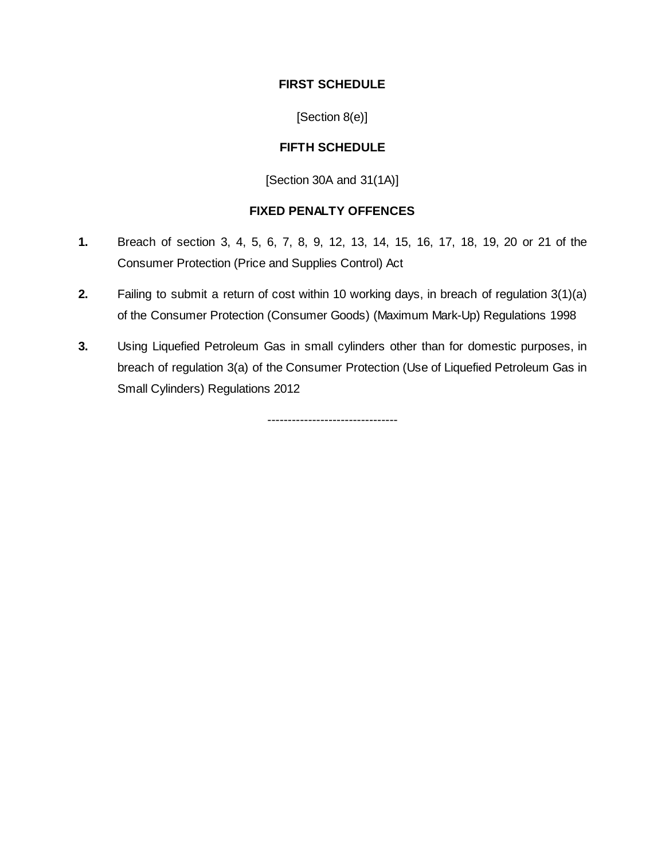## **FIRST SCHEDULE**

[Section 8(e)]

# **FIFTH SCHEDULE**

[Section 30A and 31(1A)]

# **FIXED PENALTY OFFENCES**

- **1.** Breach of section 3, 4, 5, 6, 7, 8, 9, 12, 13, 14, 15, 16, 17, 18, 19, 20 or 21 of the Consumer Protection (Price and Supplies Control) Act
- **2.** Failing to submit a return of cost within 10 working days, in breach of regulation 3(1)(a) of the Consumer Protection (Consumer Goods) (Maximum Mark-Up) Regulations 1998
- **3.** Using Liquefied Petroleum Gas in small cylinders other than for domestic purposes, in breach of regulation 3(a) of the Consumer Protection (Use of Liquefied Petroleum Gas in Small Cylinders) Regulations 2012

--------------------------------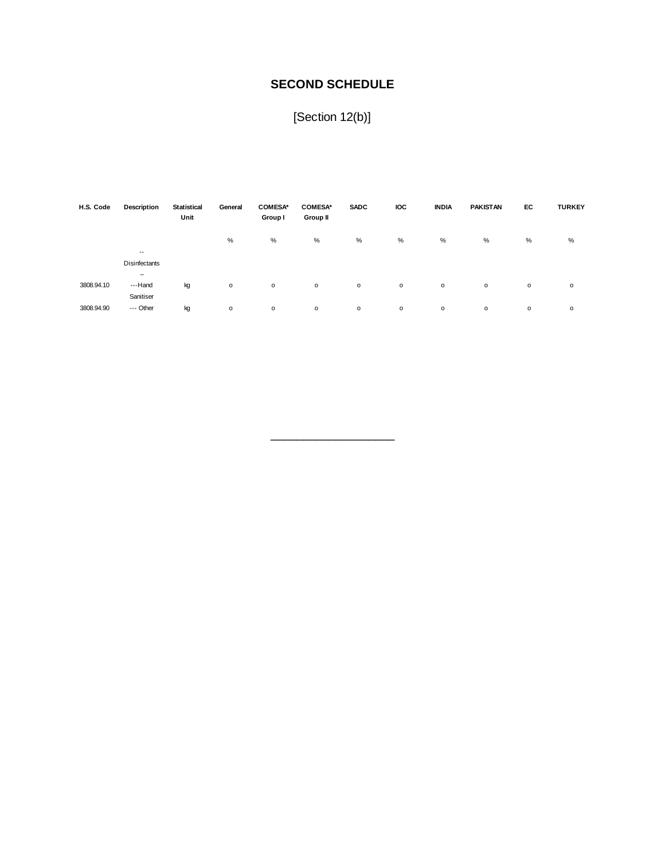# **SECOND SCHEDULE**

[Section 12(b)]

| H.S. Code  | Description              | <b>Statistical</b><br>Unit | General      | <b>COMESA*</b><br>Group I | <b>COMESA*</b><br>Group II | <b>SADC</b> | <b>IOC</b> | <b>INDIA</b> | <b>PAKISTAN</b> | EC           | <b>TURKEY</b> |
|------------|--------------------------|----------------------------|--------------|---------------------------|----------------------------|-------------|------------|--------------|-----------------|--------------|---------------|
|            |                          |                            | %            | %                         | %                          | %           | %          | %            | %               | %            | %             |
|            | $- -$                    |                            |              |                           |                            |             |            |              |                 |              |               |
|            | Disinfectants            |                            |              |                           |                            |             |            |              |                 |              |               |
|            | $\overline{\phantom{0}}$ |                            |              |                           |                            |             |            |              |                 |              |               |
| 3808.94.10 | ---Hand                  | kg                         | $\mathsf{o}$ | $\circ$                   | $\mathsf{o}\,$             | $\circ$     | $\circ$    | o            | $\circ$         | $\circ$      | o             |
|            | Sanitiser                |                            |              |                           |                            |             |            |              |                 |              |               |
| 3808.94.90 | --- Other                | kg                         | $\mathsf{o}$ | $\circ$                   | о                          | $\circ$     | o          | o            | $\circ$         | $\mathsf{o}$ | o             |

\_\_\_\_\_\_\_\_\_\_\_\_\_\_\_\_\_\_\_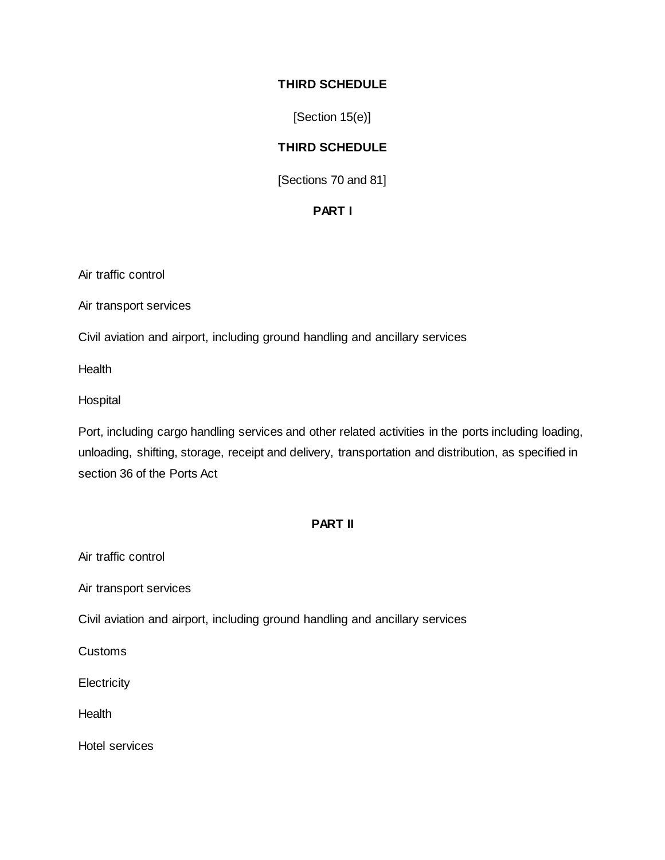## **THIRD SCHEDULE**

[Section 15(e)]

## **THIRD SCHEDULE**

[Sections 70 and 81]

## **PART I**

Air traffic control

Air transport services

Civil aviation and airport, including ground handling and ancillary services

**Health** 

**Hospital** 

Port, including cargo handling services and other related activities in the ports including loading, unloading, shifting, storage, receipt and delivery, transportation and distribution, as specified in section 36 of the Ports Act

#### **PART II**

Air traffic control

Air transport services

Civil aviation and airport, including ground handling and ancillary services

Customs

**Electricity** 

**Health** 

Hotel services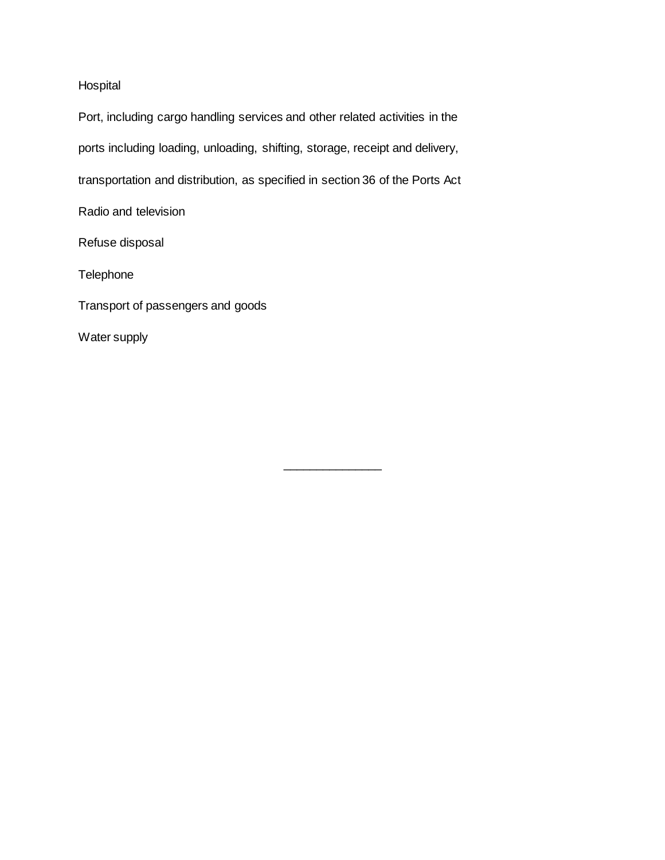# Hospital

Port, including cargo handling services and other related activities in the ports including loading, unloading, shifting, storage, receipt and delivery, transportation and distribution, as specified in section 36 of the Ports Act Radio and television Refuse disposal **Telephone** 

\_\_\_\_\_\_\_\_\_\_\_\_\_\_\_

Transport of passengers and goods

Water supply